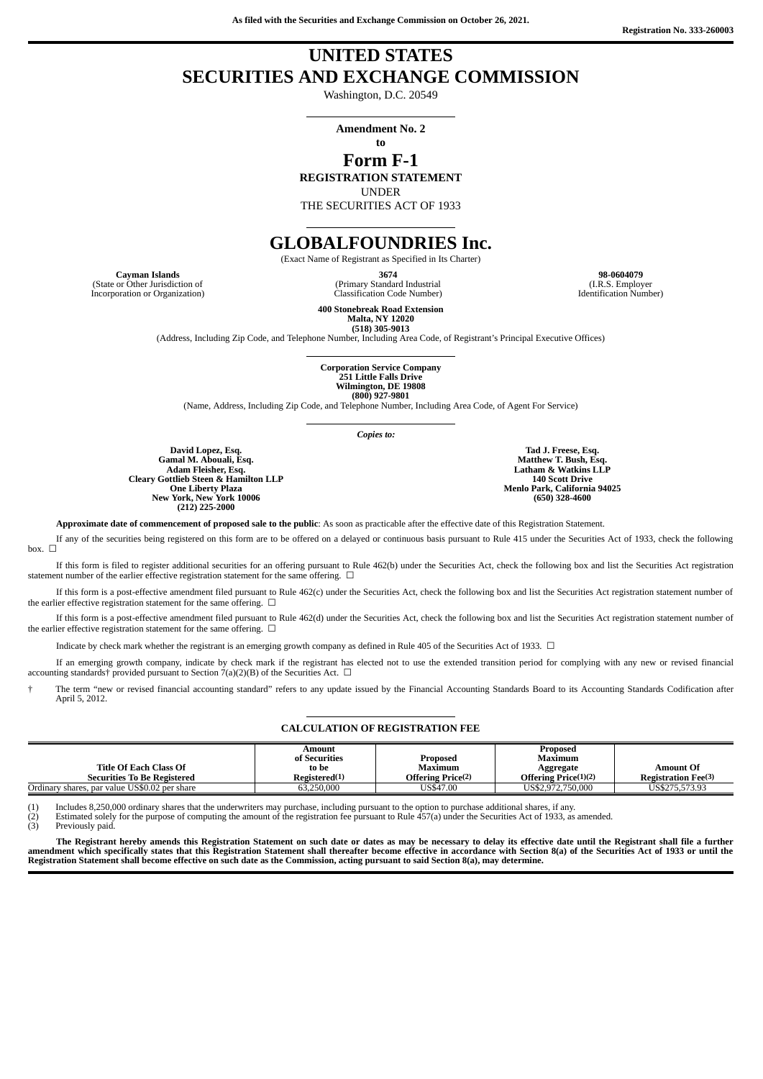**As filed with the Securities and Exchange Commission on October 26, 2021.**

# **UNITED STATES SECURITIES AND EXCHANGE COMMISSION**

Washington, D.C. 20549

**Amendment No. 2 to**

# **Form F-1**

**REGISTRATION STATEMENT**

UNDER

THE SECURITIES ACT OF 1933

# **GLOBALFOUNDRIES Inc.**

(Exact Name of Registrant as Specified in Its Charter)

(State or Other Jurisdiction of Incorporation or Organization)

**Cayman Islands 3674 98-0604079** (Primary Standard Industrial Classification Code Number)

(I.R.S. Employer Identification Number)

**400 Stonebreak Road Extension Malta, NY 12020 (518) 305-9013**

(Address, Including Zip Code, and Telephone Number, Including Area Code, of Registrant's Principal Executive Offices)

**Corporation Service Company 251 Little Falls Drive Wilmington, DE 19808 (800) 927-9801**

(Name, Address, Including Zip Code, and Telephone Number, Including Area Code, of Agent For Service)

*Copies to:*

**David Lopez, Esq. Gamal M. Abouali, Esq. Adam Fleisher, Esq. Cleary Gottlieb Steen & Hamilton LLP One Liberty Plaza New York, New York 10006 (212) 225-2000**

**Tad J. Freese, Esq. Matthew T. Bush, Esq. Latham & Watkins LLP 140 Scott Drive Menlo Park, California 94025 (650) 328-4600**

**Approximate date of commencement of proposed sale to the public**: As soon as practicable after the effective date of this Registration Statement.

If any of the securities being registered on this form are to be offered on a delayed or continuous basis pursuant to Rule 415 under the Securities Act of 1933, check the following box.  $\Box$ 

If this form is filed to register additional securities for an offering pursuant to Rule 462(b) under the Securities Act, check the following box and list the Securities Act registration statement number of the earlier effective registration statement for the same offering.  $\Box$ 

If this form is a post-effective amendment filed pursuant to Rule 462(c) under the Securities Act, check the following box and list the Securities Act registration statement number of the earlier effective registration statement for the same offering.  $\Box$ 

If this form is a post-effective amendment filed pursuant to Rule 462(d) under the Securities Act, check the following box and list the Securities Act registration statement number of the earlier effective registration statement for the same offering.  $\Box$ 

Indicate by check mark whether the registrant is an emerging growth company as defined in Rule 405 of the Securities Act of 1933.  $\Box$ 

If an emerging growth company, indicate by check mark if the registrant has elected not to use the extended transition period for complying with any new or revised financial accounting standards† provided pursuant to Section 7(a)(2)(B) of the Securities Act.  $\Box$ 

The term "new or revised financial accounting standard" refers to any update issued by the Financial Accounting Standards Board to its Accounting Standards Codification after April 5, 2012.

#### **CALCULATION OF REGISTRATION FEE**

|                                               | Amount<br>of Securities | Proposed                 | Proposed<br>Maximum  |                             |
|-----------------------------------------------|-------------------------|--------------------------|----------------------|-----------------------------|
| Title Of Each Class Of                        | to be                   | Maximum                  | Aggregate            | <b>Amount Of</b>            |
| <b>Securities To Be Registered</b>            | Registered(1)           | <b>Offering Price(2)</b> | Offering Price(1)(2) | <b>Registration Fee</b> (3) |
| Ordinary shares, par value US\$0.02 per share | 63.250,000              | US\$47.00                | US\$2,972,750,000    | US\$275.573.93              |

(1) Includes 8,250,000 ordinary shares that the underwriters may purchase, including pursuant to the option to purchase additional shares, if any.

(2) Estimated solely for the purpose of computing the amount of the registration fee pursuant to Rule 457(a) under the Securities Act of 1933, as amended.<br>(3) Previously paid.

Previously paid.

The Registrant hereby amends this Registration Statement on such date or dates as may be necessary to delay its effective date until the Registrant shall file a further amendment which specifically states that this Registration Statement shall thereafter become effective in accordance with Section 8(a) of the Securities Act of 1933 or until the Registration Statement shall become effective on such date as the Commission, acting pursuant to said Section 8(a), may determine.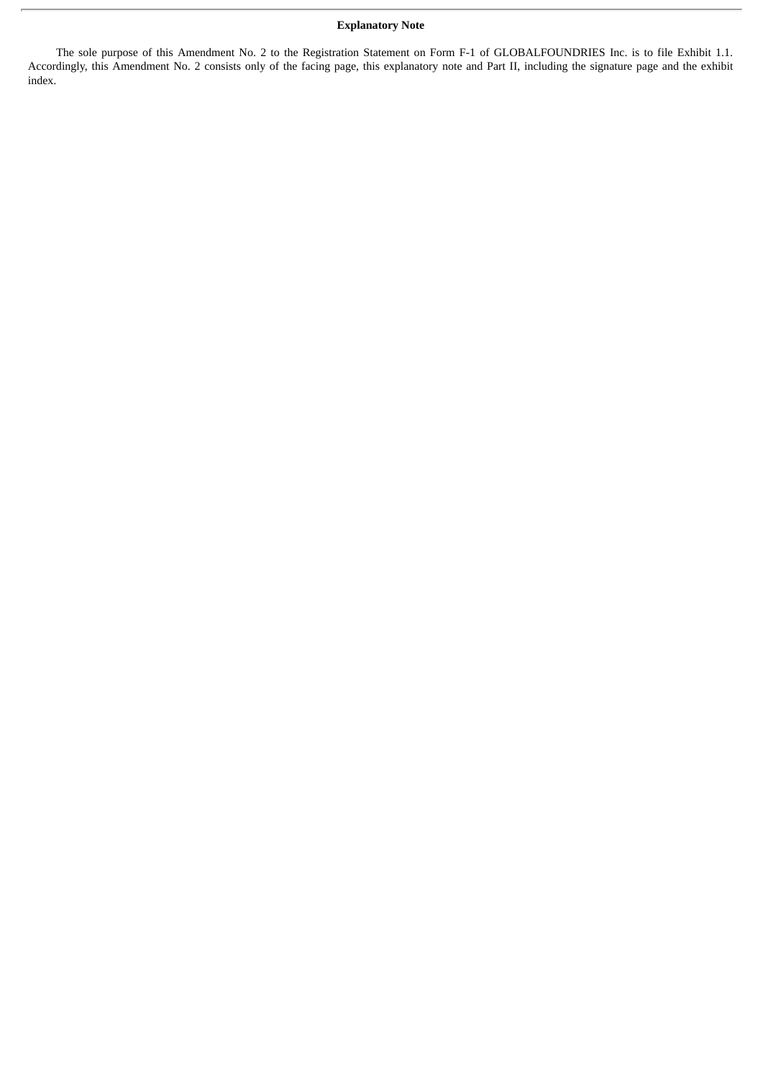## **Explanatory Note**

The sole purpose of this Amendment No. 2 to the Registration Statement on Form F-1 of GLOBALFOUNDRIES Inc. is to file Exhibit 1.1. Accordingly, this Amendment No. 2 consists only of the facing page, this explanatory note and Part II, including the signature page and the exhibit index.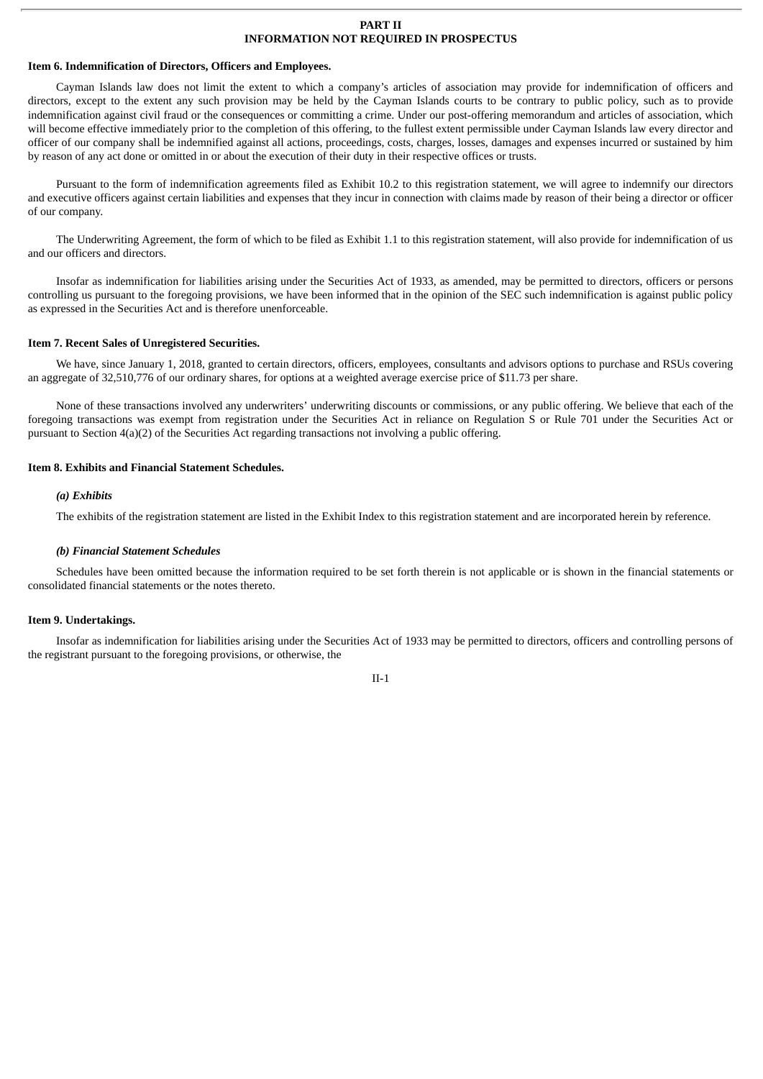#### **PART II INFORMATION NOT REQUIRED IN PROSPECTUS**

## **Item 6. Indemnification of Directors, Officers and Employees.**

Cayman Islands law does not limit the extent to which a company's articles of association may provide for indemnification of officers and directors, except to the extent any such provision may be held by the Cayman Islands courts to be contrary to public policy, such as to provide indemnification against civil fraud or the consequences or committing a crime. Under our post-offering memorandum and articles of association, which will become effective immediately prior to the completion of this offering, to the fullest extent permissible under Cayman Islands law every director and officer of our company shall be indemnified against all actions, proceedings, costs, charges, losses, damages and expenses incurred or sustained by him by reason of any act done or omitted in or about the execution of their duty in their respective offices or trusts.

Pursuant to the form of indemnification agreements filed as Exhibit 10.2 to this registration statement, we will agree to indemnify our directors and executive officers against certain liabilities and expenses that they incur in connection with claims made by reason of their being a director or officer of our company.

The Underwriting Agreement, the form of which to be filed as Exhibit 1.1 to this registration statement, will also provide for indemnification of us and our officers and directors.

Insofar as indemnification for liabilities arising under the Securities Act of 1933, as amended, may be permitted to directors, officers or persons controlling us pursuant to the foregoing provisions, we have been informed that in the opinion of the SEC such indemnification is against public policy as expressed in the Securities Act and is therefore unenforceable.

## **Item 7. Recent Sales of Unregistered Securities.**

We have, since January 1, 2018, granted to certain directors, officers, employees, consultants and advisors options to purchase and RSUs covering an aggregate of 32,510,776 of our ordinary shares, for options at a weighted average exercise price of \$11.73 per share.

None of these transactions involved any underwriters' underwriting discounts or commissions, or any public offering. We believe that each of the foregoing transactions was exempt from registration under the Securities Act in reliance on Regulation S or Rule 701 under the Securities Act or pursuant to Section 4(a)(2) of the Securities Act regarding transactions not involving a public offering.

### **Item 8. Exhibits and Financial Statement Schedules.**

## *(a) Exhibits*

The exhibits of the registration statement are listed in the Exhibit Index to this registration statement and are incorporated herein by reference.

#### *(b) Financial Statement Schedules*

Schedules have been omitted because the information required to be set forth therein is not applicable or is shown in the financial statements or consolidated financial statements or the notes thereto.

## **Item 9. Undertakings.**

Insofar as indemnification for liabilities arising under the Securities Act of 1933 may be permitted to directors, officers and controlling persons of the registrant pursuant to the foregoing provisions, or otherwise, the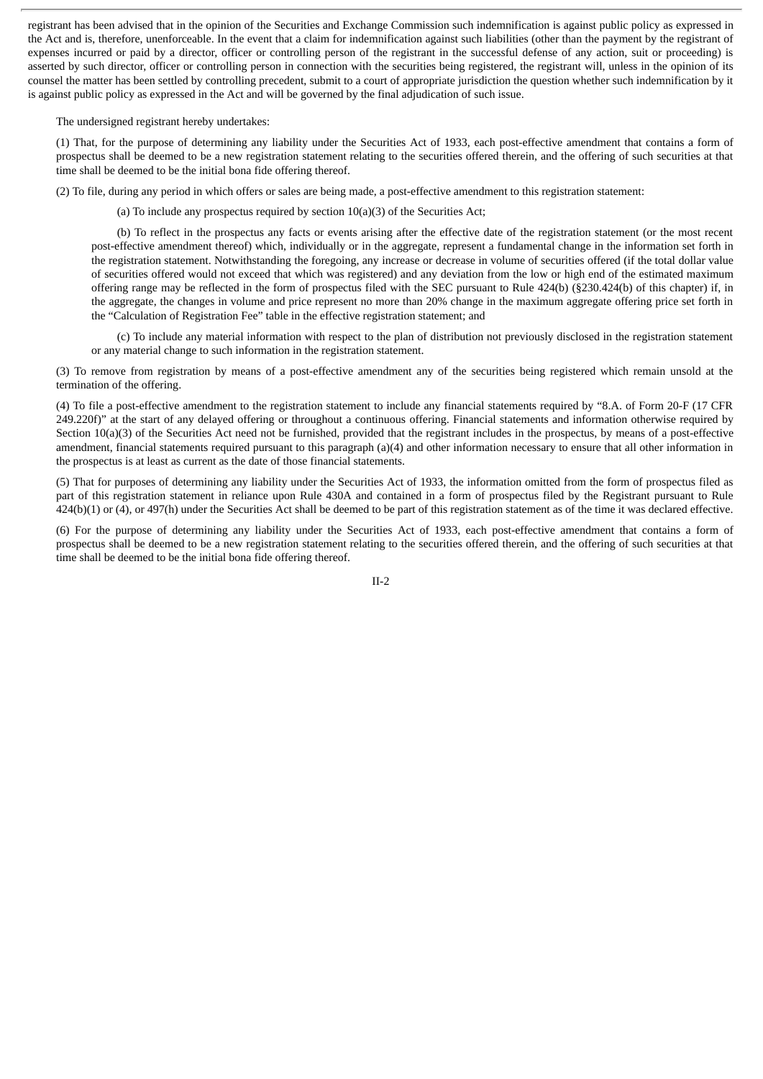registrant has been advised that in the opinion of the Securities and Exchange Commission such indemnification is against public policy as expressed in the Act and is, therefore, unenforceable. In the event that a claim for indemnification against such liabilities (other than the payment by the registrant of expenses incurred or paid by a director, officer or controlling person of the registrant in the successful defense of any action, suit or proceeding) is asserted by such director, officer or controlling person in connection with the securities being registered, the registrant will, unless in the opinion of its counsel the matter has been settled by controlling precedent, submit to a court of appropriate jurisdiction the question whether such indemnification by it is against public policy as expressed in the Act and will be governed by the final adjudication of such issue.

The undersigned registrant hereby undertakes:

(1) That, for the purpose of determining any liability under the Securities Act of 1933, each post-effective amendment that contains a form of prospectus shall be deemed to be a new registration statement relating to the securities offered therein, and the offering of such securities at that time shall be deemed to be the initial bona fide offering thereof.

(2) To file, during any period in which offers or sales are being made, a post-effective amendment to this registration statement:

(a) To include any prospectus required by section 10(a)(3) of the Securities Act;

(b) To reflect in the prospectus any facts or events arising after the effective date of the registration statement (or the most recent post-effective amendment thereof) which, individually or in the aggregate, represent a fundamental change in the information set forth in the registration statement. Notwithstanding the foregoing, any increase or decrease in volume of securities offered (if the total dollar value of securities offered would not exceed that which was registered) and any deviation from the low or high end of the estimated maximum offering range may be reflected in the form of prospectus filed with the SEC pursuant to Rule 424(b) (§230.424(b) of this chapter) if, in the aggregate, the changes in volume and price represent no more than 20% change in the maximum aggregate offering price set forth in the "Calculation of Registration Fee" table in the effective registration statement; and

(c) To include any material information with respect to the plan of distribution not previously disclosed in the registration statement or any material change to such information in the registration statement.

(3) To remove from registration by means of a post-effective amendment any of the securities being registered which remain unsold at the termination of the offering.

(4) To file a post-effective amendment to the registration statement to include any financial statements required by "8.A. of Form 20-F (17 CFR 249.220f)" at the start of any delayed offering or throughout a continuous offering. Financial statements and information otherwise required by Section 10(a)(3) of the Securities Act need not be furnished, provided that the registrant includes in the prospectus, by means of a post-effective amendment, financial statements required pursuant to this paragraph (a)(4) and other information necessary to ensure that all other information in the prospectus is at least as current as the date of those financial statements.

(5) That for purposes of determining any liability under the Securities Act of 1933, the information omitted from the form of prospectus filed as part of this registration statement in reliance upon Rule 430A and contained in a form of prospectus filed by the Registrant pursuant to Rule 424(b)(1) or (4), or 497(h) under the Securities Act shall be deemed to be part of this registration statement as of the time it was declared effective.

(6) For the purpose of determining any liability under the Securities Act of 1933, each post-effective amendment that contains a form of prospectus shall be deemed to be a new registration statement relating to the securities offered therein, and the offering of such securities at that time shall be deemed to be the initial bona fide offering thereof.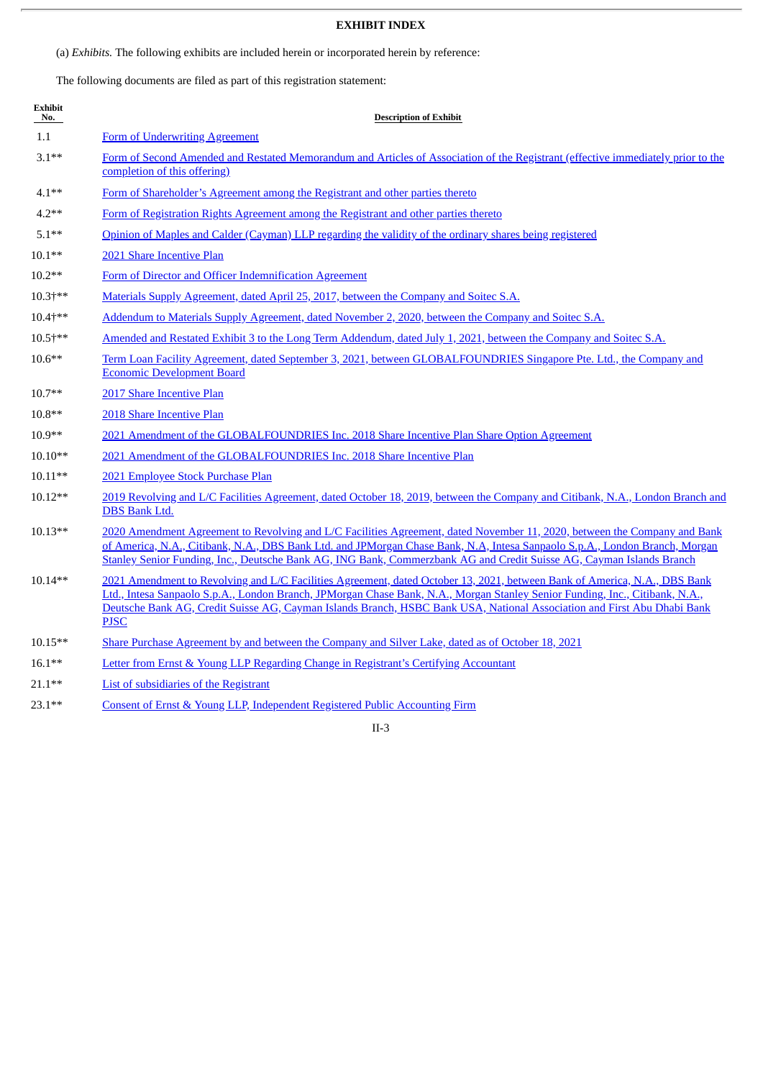# **EXHIBIT INDEX**

(a) *Exhibits.* The following exhibits are included herein or incorporated herein by reference:

The following documents are filed as part of this registration statement:

| <b>Exhibit</b><br>No. | <b>Description of Exhibit</b>                                                                                                                                                                                                                                                                                                                                                                       |
|-----------------------|-----------------------------------------------------------------------------------------------------------------------------------------------------------------------------------------------------------------------------------------------------------------------------------------------------------------------------------------------------------------------------------------------------|
| 1.1                   | <b>Form of Underwriting Agreement</b>                                                                                                                                                                                                                                                                                                                                                               |
| $3.1**$               | Form of Second Amended and Restated Memorandum and Articles of Association of the Registrant (effective immediately prior to the<br>completion of this offering)                                                                                                                                                                                                                                    |
| $4.1***$              | Form of Shareholder's Agreement among the Registrant and other parties thereto                                                                                                                                                                                                                                                                                                                      |
| $4.2**$               | Form of Registration Rights Agreement among the Registrant and other parties thereto                                                                                                                                                                                                                                                                                                                |
| $5.1**$               | Opinion of Maples and Calder (Cayman) LLP regarding the validity of the ordinary shares being registered                                                                                                                                                                                                                                                                                            |
| $10.1**$              | 2021 Share Incentive Plan                                                                                                                                                                                                                                                                                                                                                                           |
| $10.2**$              | Form of Director and Officer Indemnification Agreement                                                                                                                                                                                                                                                                                                                                              |
| $10.3$ †**            | <u>Materials Supply Agreement, dated April 25, 2017, between the Company and Soitec S.A.</u>                                                                                                                                                                                                                                                                                                        |
| 10.4+**               | Addendum to Materials Supply Agreement, dated November 2, 2020, between the Company and Soitec S.A.                                                                                                                                                                                                                                                                                                 |
| 10.5+**               | Amended and Restated Exhibit 3 to the Long Term Addendum, dated July 1, 2021, between the Company and Soitec S.A.                                                                                                                                                                                                                                                                                   |
| $10.6**$              | Term Loan Facility Agreement, dated September 3, 2021, between GLOBALFOUNDRIES Singapore Pte. Ltd., the Company and<br><b>Economic Development Board</b>                                                                                                                                                                                                                                            |
| 10.7**                | 2017 Share Incentive Plan                                                                                                                                                                                                                                                                                                                                                                           |
| $10.8**$              | 2018 Share Incentive Plan                                                                                                                                                                                                                                                                                                                                                                           |
| $10.9**$              | 2021 Amendment of the GLOBALFOUNDRIES Inc. 2018 Share Incentive Plan Share Option Agreement                                                                                                                                                                                                                                                                                                         |
| $10.10**$             | 2021 Amendment of the GLOBALFOUNDRIES Inc. 2018 Share Incentive Plan                                                                                                                                                                                                                                                                                                                                |
| $10.11**$             | 2021 Employee Stock Purchase Plan                                                                                                                                                                                                                                                                                                                                                                   |
| 10.12**               | 2019 Revolving and L/C Facilities Agreement, dated October 18, 2019, between the Company and Citibank, N.A., London Branch and<br><b>DBS</b> Bank Ltd.                                                                                                                                                                                                                                              |
| $10.13**$             | 2020 Amendment Agreement to Revolving and L/C Facilities Agreement, dated November 11, 2020, between the Company and Bank<br>of America, N.A., Citibank, N.A., DBS Bank Ltd. and JPMorgan Chase Bank, N.A. Intesa Sanpaolo S.p.A., London Branch, Morgan<br>Stanley Senior Funding, Inc., Deutsche Bank AG, ING Bank, Commerzbank AG and Credit Suisse AG, Cayman Islands Branch                    |
| 10.14**               | 2021 Amendment to Revolving and L/C Facilities Agreement, dated October 13, 2021, between Bank of America, N.A., DBS Bank<br>Ltd., Intesa Sanpaolo S.p.A., London Branch, JPMorgan Chase Bank, N.A., Morgan Stanley Senior Funding, Inc., Citibank, N.A.,<br>Deutsche Bank AG, Credit Suisse AG, Cayman Islands Branch, HSBC Bank USA, National Association and First Abu Dhabi Bank<br><b>PJSC</b> |
| 10.15**               | Share Purchase Agreement by and between the Company and Silver Lake, dated as of October 18, 2021                                                                                                                                                                                                                                                                                                   |
| $16.1***$             | Letter from Ernst & Young LLP Regarding Change in Registrant's Certifying Accountant                                                                                                                                                                                                                                                                                                                |
| $21.1***$             | List of subsidiaries of the Registrant                                                                                                                                                                                                                                                                                                                                                              |
| $23.1**$              | Consent of Ernst & Young LLP, Independent Registered Public Accounting Firm                                                                                                                                                                                                                                                                                                                         |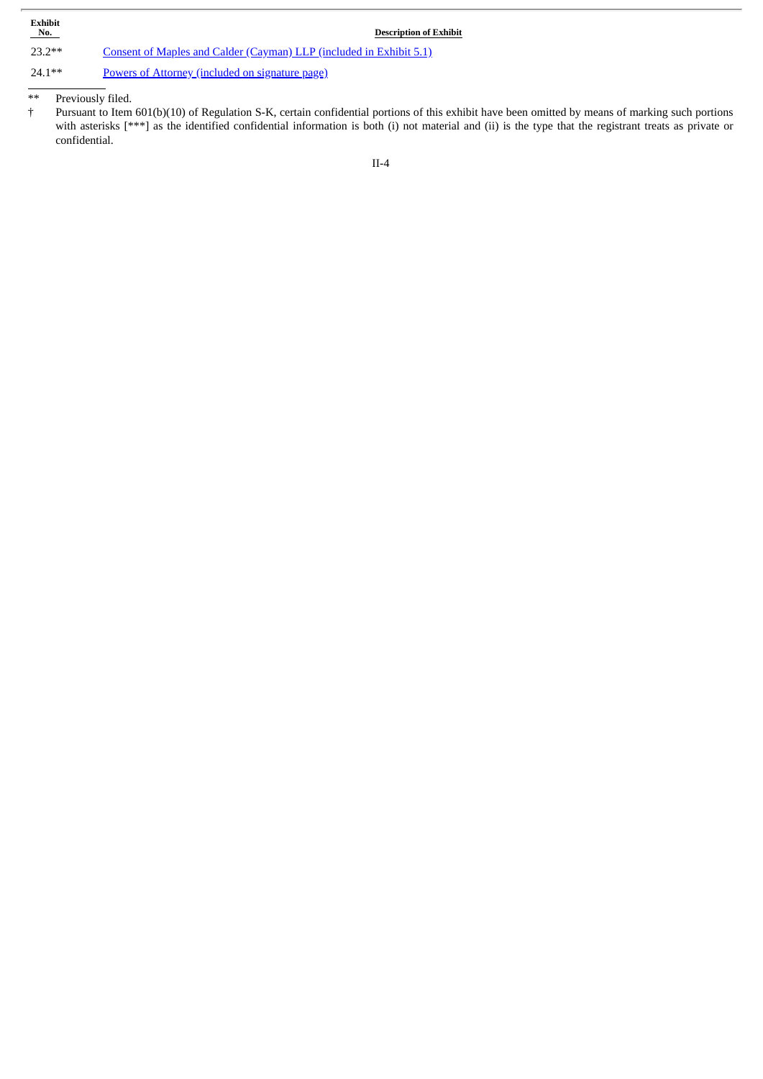| Exhibit<br>No. | <b>Description of Exhibit</b>                                       |
|----------------|---------------------------------------------------------------------|
| $23.2**$       | Consent of Maples and Calder (Cayman) LLP (included in Exhibit 5.1) |
| $24.1**$       | Powers of Attorney (included on signature page)                     |

\*\* Previously filed.

† Pursuant to Item 601(b)(10) of Regulation S-K, certain confidential portions of this exhibit have been omitted by means of marking such portions with asterisks [\*\*\*] as the identified confidential information is both (i) not material and (ii) is the type that the registrant treats as private or confidential.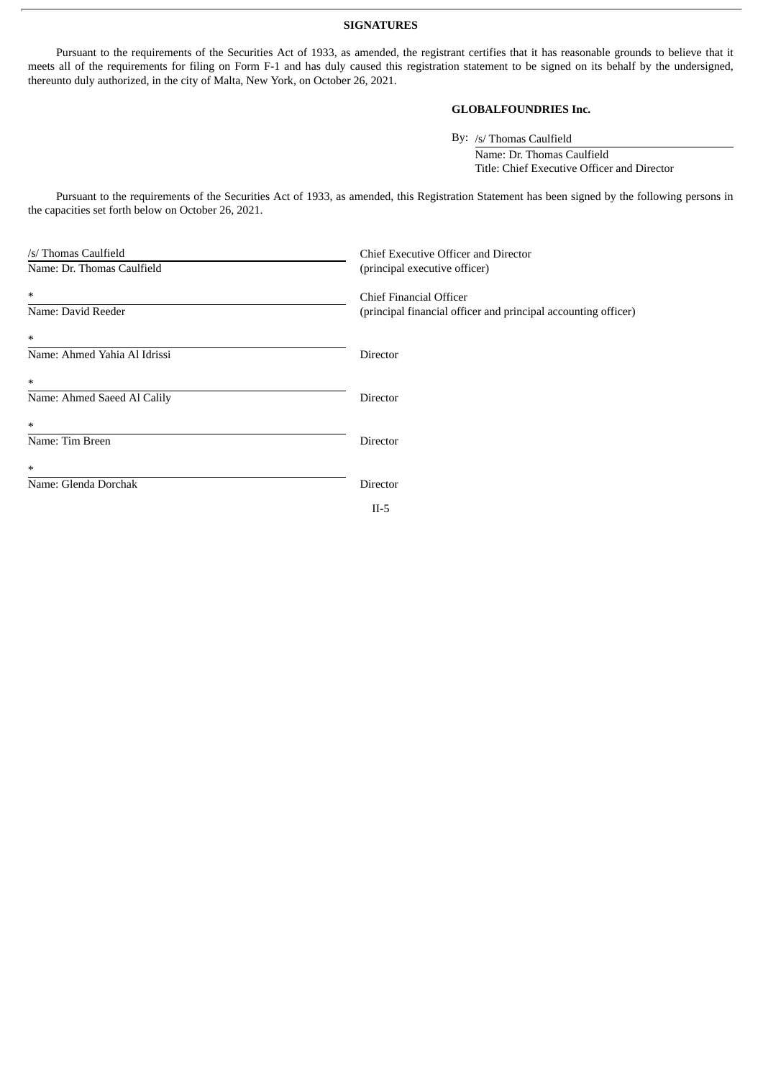## **SIGNATURES**

Pursuant to the requirements of the Securities Act of 1933, as amended, the registrant certifies that it has reasonable grounds to believe that it meets all of the requirements for filing on Form F-1 and has duly caused this registration statement to be signed on its behalf by the undersigned, thereunto duly authorized, in the city of Malta, New York, on October 26, 2021.

# **GLOBALFOUNDRIES Inc.**

By: /s/ Thomas Caulfield

Name: Dr. Thomas Caulfield Title: Chief Executive Officer and Director

Pursuant to the requirements of the Securities Act of 1933, as amended, this Registration Statement has been signed by the following persons in the capacities set forth below on October 26, 2021.

| /s/ Thomas Caulfield         | Chief Executive Officer and Director                                                      |
|------------------------------|-------------------------------------------------------------------------------------------|
| Name: Dr. Thomas Caulfield   | (principal executive officer)                                                             |
| $\ast$<br>Name: David Reeder | Chief Financial Officer<br>(principal financial officer and principal accounting officer) |
| $\ast$                       |                                                                                           |
| Name: Ahmed Yahia Al Idrissi | Director                                                                                  |
| $\ast$                       |                                                                                           |
| Name: Ahmed Saeed Al Calily  | Director                                                                                  |
| $\ast$                       |                                                                                           |
| Name: Tim Breen              | Director                                                                                  |
| $\ast$                       |                                                                                           |
| Name: Glenda Dorchak         | Director                                                                                  |
|                              | $II-5$                                                                                    |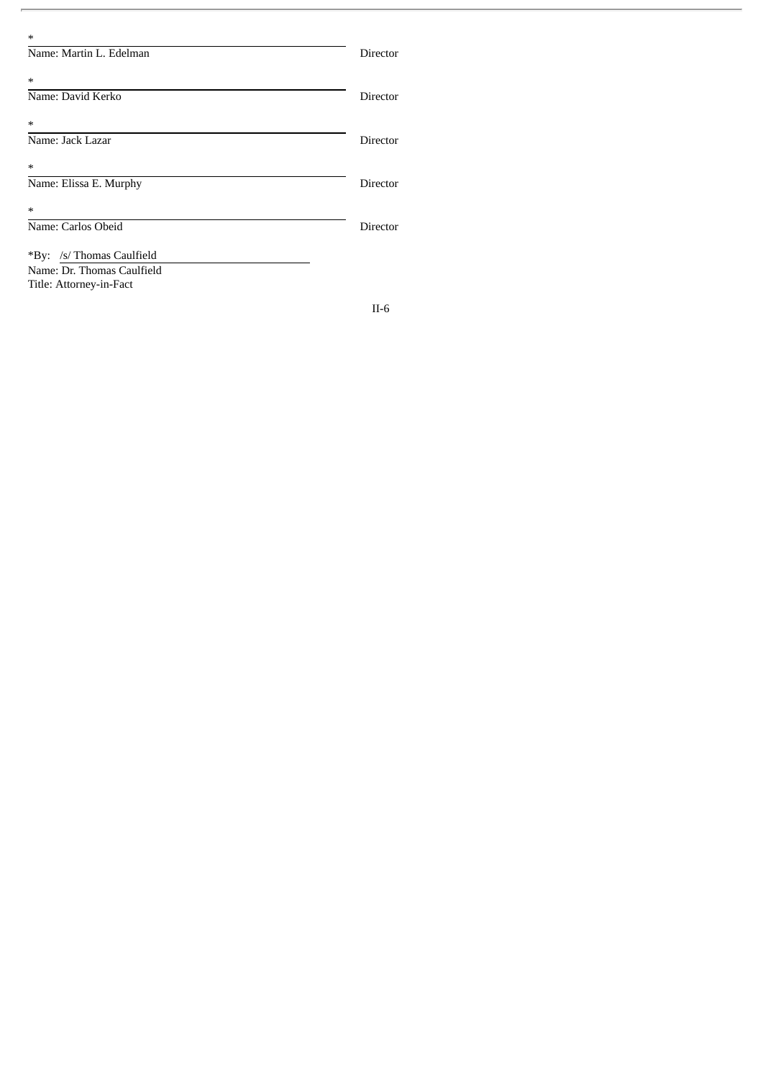| $\ast$                     |          |
|----------------------------|----------|
| Name: Martin L. Edelman    | Director |
| ∗                          |          |
| Name: David Kerko          | Director |
| ∗                          |          |
| Name: Jack Lazar           | Director |
| $\ast$                     |          |
| Name: Elissa E. Murphy     | Director |
| ∗                          |          |
| Name: Carlos Obeid         | Director |
| *By: /s/ Thomas Caulfield  |          |
| Name: Dr. Thomas Caulfield |          |
| Title: Attorney-in-Fact    |          |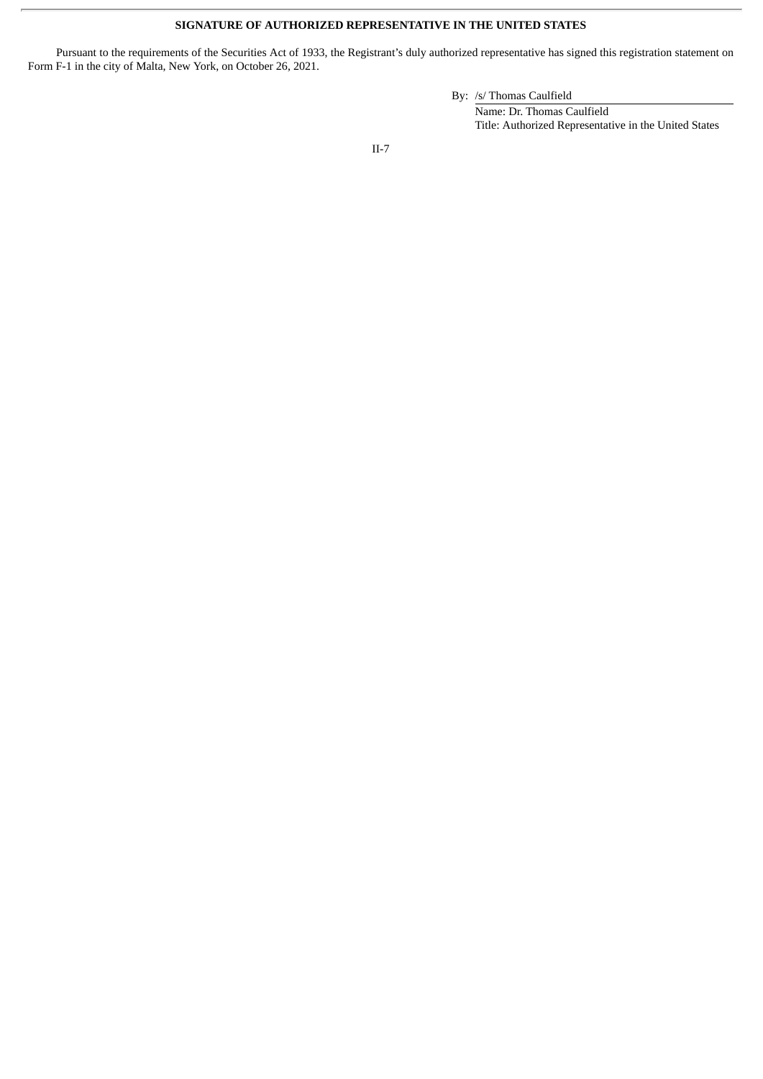# **SIGNATURE OF AUTHORIZED REPRESENTATIVE IN THE UNITED STATES**

Pursuant to the requirements of the Securities Act of 1933, the Registrant's duly authorized representative has signed this registration statement on Form F-1 in the city of Malta, New York, on October 26, 2021.

## By: /s/ Thomas Caulfield

Name: Dr. Thomas Caulfield Title: Authorized Representative in the United States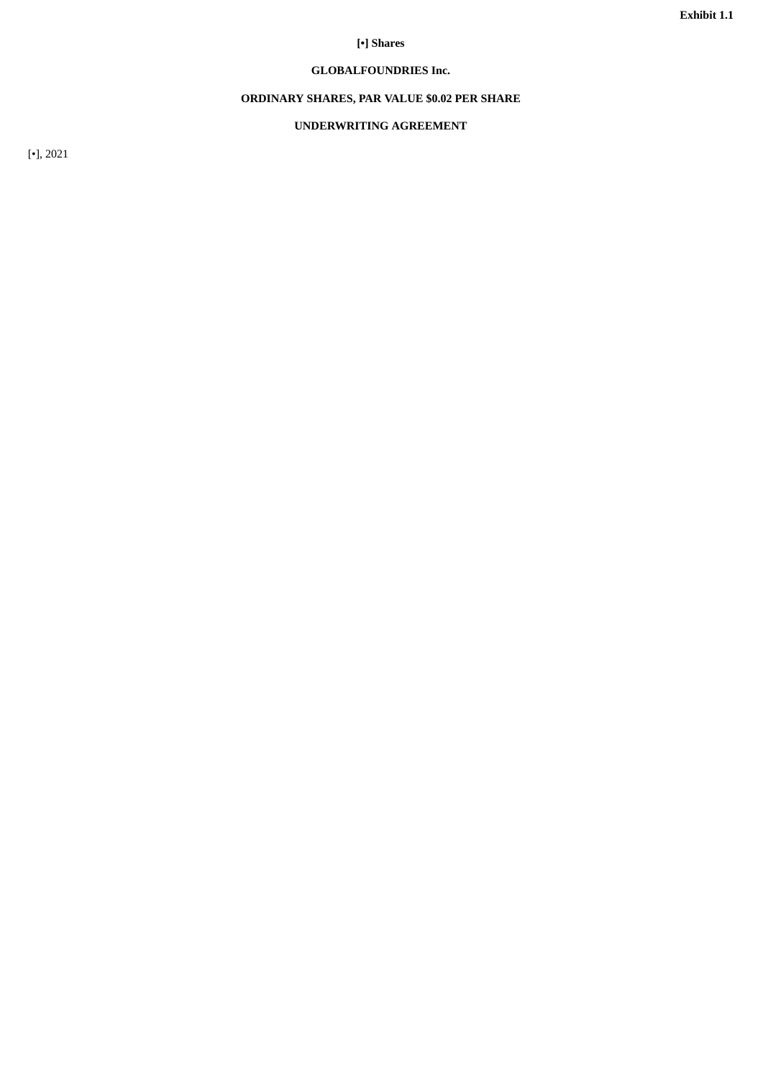# **[•] Shares**

# **GLOBALFOUNDRIES Inc.**

# **ORDINARY SHARES, PAR VALUE \$0.02 PER SHARE**

# **UNDERWRITING AGREEMENT**

<span id="page-9-0"></span>[•], 2021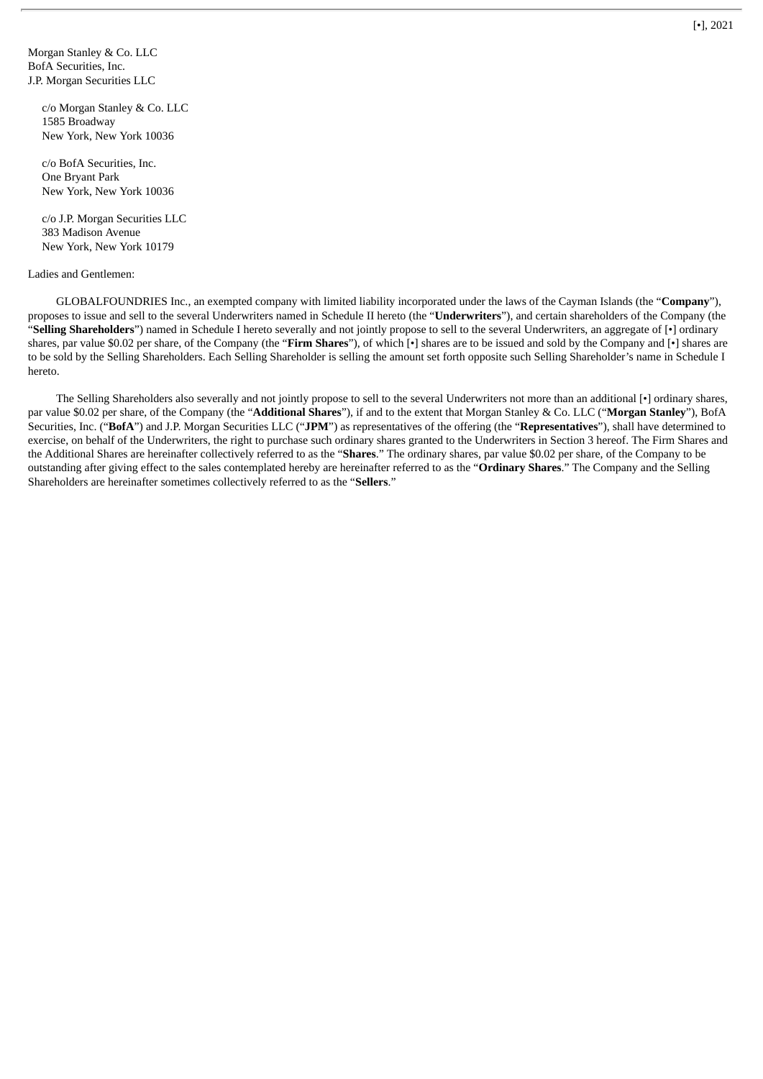Morgan Stanley & Co. LLC BofA Securities, Inc. J.P. Morgan Securities LLC

> c/o Morgan Stanley & Co. LLC 1585 Broadway New York, New York 10036

c/o BofA Securities, Inc. One Bryant Park New York, New York 10036

c/o J.P. Morgan Securities LLC 383 Madison Avenue New York, New York 10179

### Ladies and Gentlemen:

GLOBALFOUNDRIES Inc., an exempted company with limited liability incorporated under the laws of the Cayman Islands (the "**Company**"), proposes to issue and sell to the several Underwriters named in Schedule II hereto (the "**Underwriters**"), and certain shareholders of the Company (the "**Selling Shareholders**") named in Schedule I hereto severally and not jointly propose to sell to the several Underwriters, an aggregate of [•] ordinary shares, par value \$0.02 per share, of the Company (the "**Firm Shares**"), of which [•] shares are to be issued and sold by the Company and [•] shares are to be sold by the Selling Shareholders. Each Selling Shareholder is selling the amount set forth opposite such Selling Shareholder's name in Schedule I hereto.

The Selling Shareholders also severally and not jointly propose to sell to the several Underwriters not more than an additional [•] ordinary shares, par value \$0.02 per share, of the Company (the "**Additional Shares**"), if and to the extent that Morgan Stanley & Co. LLC ("**Morgan Stanley**"), BofA Securities, Inc. ("**BofA**") and J.P. Morgan Securities LLC ("**JPM**") as representatives of the offering (the "**Representatives**"), shall have determined to exercise, on behalf of the Underwriters, the right to purchase such ordinary shares granted to the Underwriters in Section 3 hereof. The Firm Shares and the Additional Shares are hereinafter collectively referred to as the "**Shares**." The ordinary shares, par value \$0.02 per share, of the Company to be outstanding after giving effect to the sales contemplated hereby are hereinafter referred to as the "**Ordinary Shares**." The Company and the Selling Shareholders are hereinafter sometimes collectively referred to as the "**Sellers**."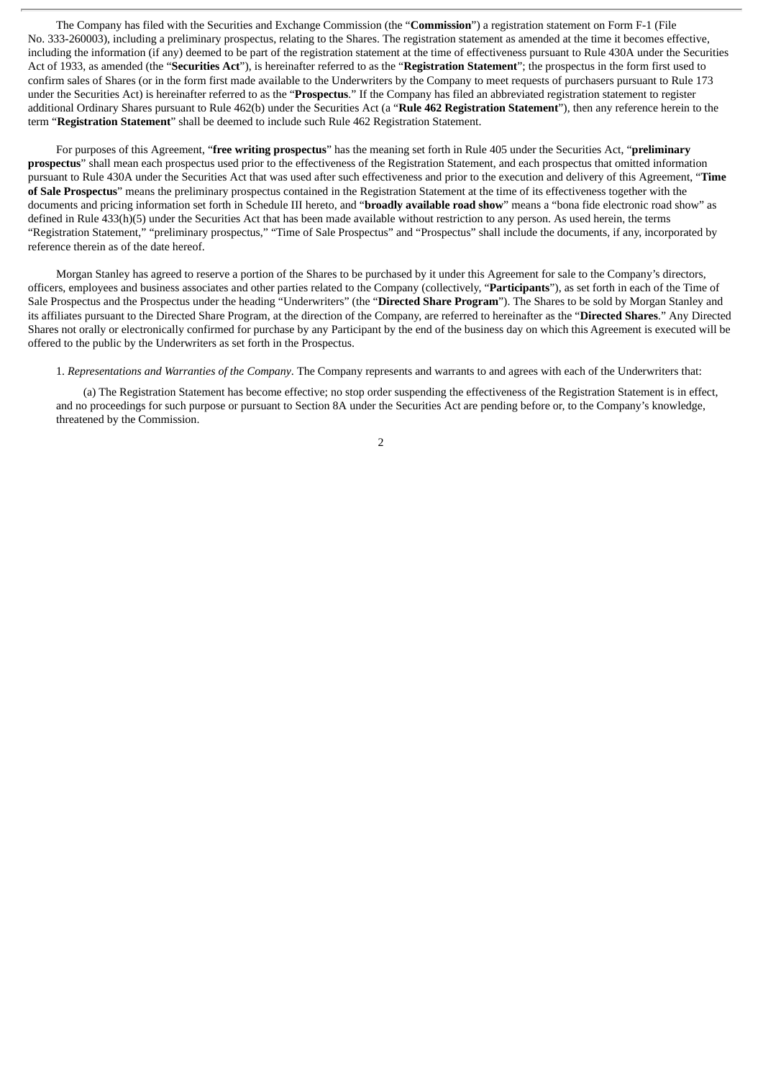The Company has filed with the Securities and Exchange Commission (the "**Commission**") a registration statement on Form F-1 (File No. 333-260003), including a preliminary prospectus, relating to the Shares. The registration statement as amended at the time it becomes effective, including the information (if any) deemed to be part of the registration statement at the time of effectiveness pursuant to Rule 430A under the Securities Act of 1933, as amended (the "**Securities Act**"), is hereinafter referred to as the "**Registration Statement**"; the prospectus in the form first used to confirm sales of Shares (or in the form first made available to the Underwriters by the Company to meet requests of purchasers pursuant to Rule 173 under the Securities Act) is hereinafter referred to as the "**Prospectus**." If the Company has filed an abbreviated registration statement to register additional Ordinary Shares pursuant to Rule 462(b) under the Securities Act (a "**Rule 462 Registration Statement**"), then any reference herein to the term "**Registration Statement**" shall be deemed to include such Rule 462 Registration Statement.

For purposes of this Agreement, "**free writing prospectus**" has the meaning set forth in Rule 405 under the Securities Act, "**preliminary prospectus**" shall mean each prospectus used prior to the effectiveness of the Registration Statement, and each prospectus that omitted information pursuant to Rule 430A under the Securities Act that was used after such effectiveness and prior to the execution and delivery of this Agreement, "**Time of Sale Prospectus**" means the preliminary prospectus contained in the Registration Statement at the time of its effectiveness together with the documents and pricing information set forth in Schedule III hereto, and "**broadly available road show**" means a "bona fide electronic road show" as defined in Rule 433(h)(5) under the Securities Act that has been made available without restriction to any person. As used herein, the terms "Registration Statement," "preliminary prospectus," "Time of Sale Prospectus" and "Prospectus" shall include the documents, if any, incorporated by reference therein as of the date hereof.

Morgan Stanley has agreed to reserve a portion of the Shares to be purchased by it under this Agreement for sale to the Company's directors, officers, employees and business associates and other parties related to the Company (collectively, "**Participants**"), as set forth in each of the Time of Sale Prospectus and the Prospectus under the heading "Underwriters" (the "**Directed Share Program**"). The Shares to be sold by Morgan Stanley and its affiliates pursuant to the Directed Share Program, at the direction of the Company, are referred to hereinafter as the "**Directed Shares**." Any Directed Shares not orally or electronically confirmed for purchase by any Participant by the end of the business day on which this Agreement is executed will be offered to the public by the Underwriters as set forth in the Prospectus.

1. *Representations and Warranties of the Company*. The Company represents and warrants to and agrees with each of the Underwriters that:

(a) The Registration Statement has become effective; no stop order suspending the effectiveness of the Registration Statement is in effect, and no proceedings for such purpose or pursuant to Section 8A under the Securities Act are pending before or, to the Company's knowledge, threatened by the Commission.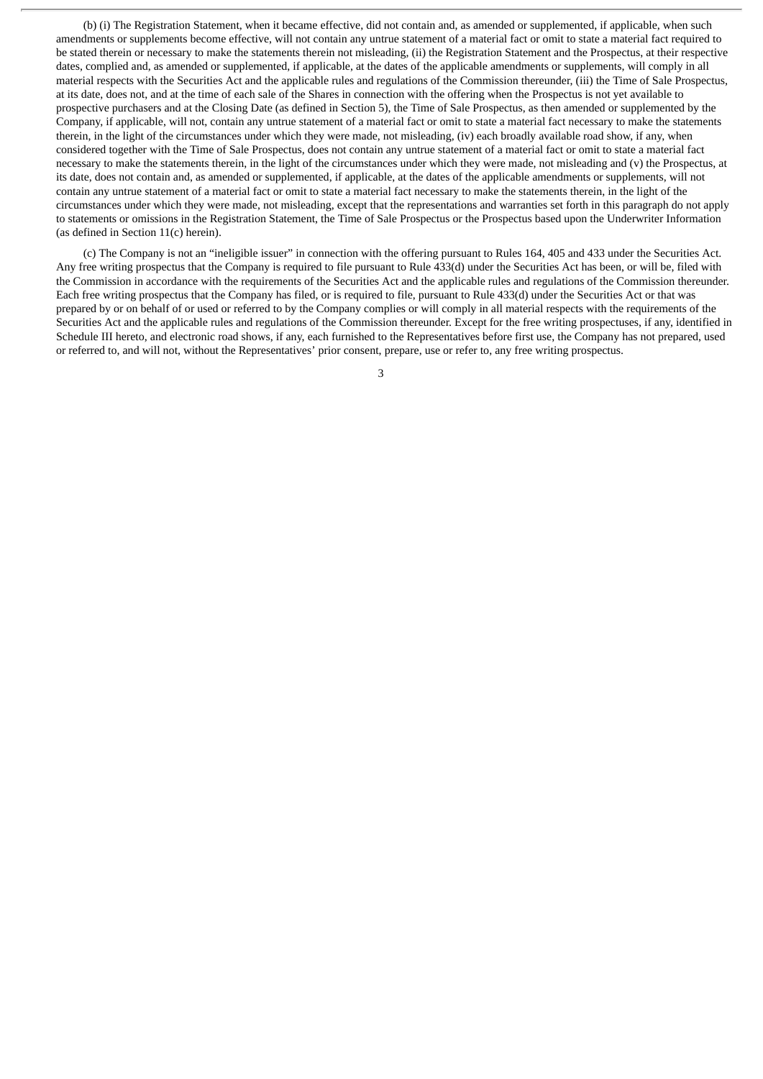(b) (i) The Registration Statement, when it became effective, did not contain and, as amended or supplemented, if applicable, when such amendments or supplements become effective, will not contain any untrue statement of a material fact or omit to state a material fact required to be stated therein or necessary to make the statements therein not misleading, (ii) the Registration Statement and the Prospectus, at their respective dates, complied and, as amended or supplemented, if applicable, at the dates of the applicable amendments or supplements, will comply in all material respects with the Securities Act and the applicable rules and regulations of the Commission thereunder, (iii) the Time of Sale Prospectus, at its date, does not, and at the time of each sale of the Shares in connection with the offering when the Prospectus is not yet available to prospective purchasers and at the Closing Date (as defined in Section 5), the Time of Sale Prospectus, as then amended or supplemented by the Company, if applicable, will not, contain any untrue statement of a material fact or omit to state a material fact necessary to make the statements therein, in the light of the circumstances under which they were made, not misleading, (iv) each broadly available road show, if any, when considered together with the Time of Sale Prospectus, does not contain any untrue statement of a material fact or omit to state a material fact necessary to make the statements therein, in the light of the circumstances under which they were made, not misleading and (v) the Prospectus, at its date, does not contain and, as amended or supplemented, if applicable, at the dates of the applicable amendments or supplements, will not contain any untrue statement of a material fact or omit to state a material fact necessary to make the statements therein, in the light of the circumstances under which they were made, not misleading, except that the representations and warranties set forth in this paragraph do not apply to statements or omissions in the Registration Statement, the Time of Sale Prospectus or the Prospectus based upon the Underwriter Information (as defined in Section 11(c) herein).

(c) The Company is not an "ineligible issuer" in connection with the offering pursuant to Rules 164, 405 and 433 under the Securities Act. Any free writing prospectus that the Company is required to file pursuant to Rule 433(d) under the Securities Act has been, or will be, filed with the Commission in accordance with the requirements of the Securities Act and the applicable rules and regulations of the Commission thereunder. Each free writing prospectus that the Company has filed, or is required to file, pursuant to Rule 433(d) under the Securities Act or that was prepared by or on behalf of or used or referred to by the Company complies or will comply in all material respects with the requirements of the Securities Act and the applicable rules and regulations of the Commission thereunder. Except for the free writing prospectuses, if any, identified in Schedule III hereto, and electronic road shows, if any, each furnished to the Representatives before first use, the Company has not prepared, used or referred to, and will not, without the Representatives' prior consent, prepare, use or refer to, any free writing prospectus.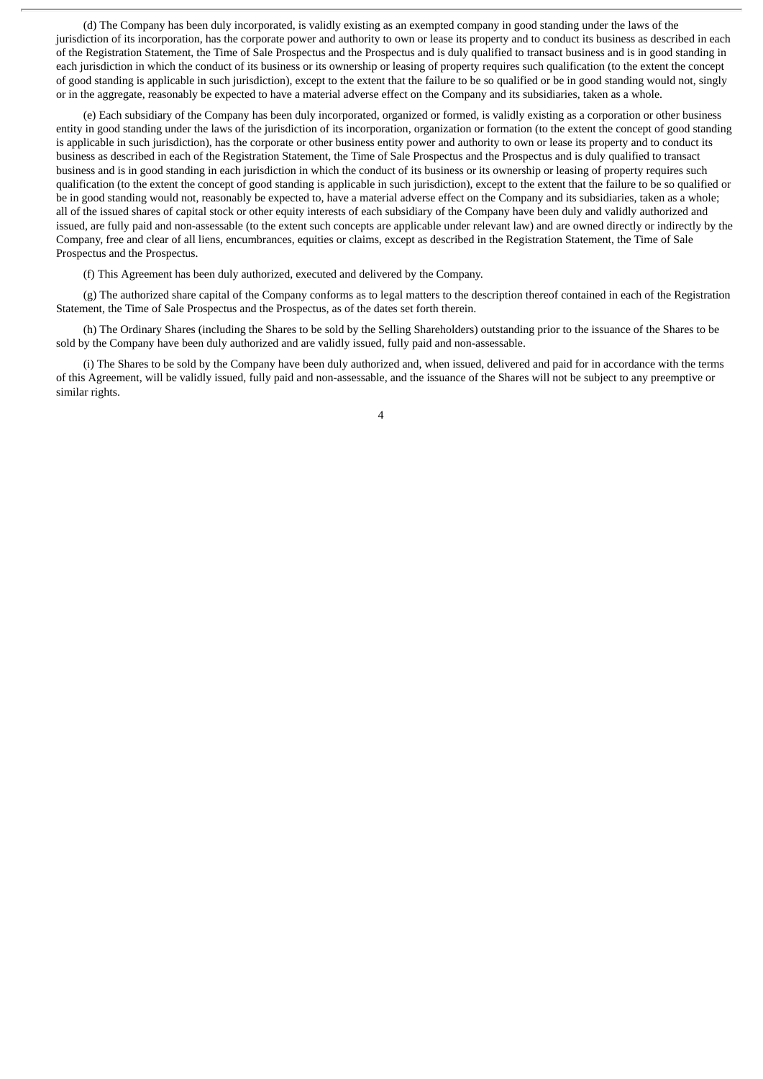(d) The Company has been duly incorporated, is validly existing as an exempted company in good standing under the laws of the jurisdiction of its incorporation, has the corporate power and authority to own or lease its property and to conduct its business as described in each of the Registration Statement, the Time of Sale Prospectus and the Prospectus and is duly qualified to transact business and is in good standing in each jurisdiction in which the conduct of its business or its ownership or leasing of property requires such qualification (to the extent the concept of good standing is applicable in such jurisdiction), except to the extent that the failure to be so qualified or be in good standing would not, singly or in the aggregate, reasonably be expected to have a material adverse effect on the Company and its subsidiaries, taken as a whole.

(e) Each subsidiary of the Company has been duly incorporated, organized or formed, is validly existing as a corporation or other business entity in good standing under the laws of the jurisdiction of its incorporation, organization or formation (to the extent the concept of good standing is applicable in such jurisdiction), has the corporate or other business entity power and authority to own or lease its property and to conduct its business as described in each of the Registration Statement, the Time of Sale Prospectus and the Prospectus and is duly qualified to transact business and is in good standing in each jurisdiction in which the conduct of its business or its ownership or leasing of property requires such qualification (to the extent the concept of good standing is applicable in such jurisdiction), except to the extent that the failure to be so qualified or be in good standing would not, reasonably be expected to, have a material adverse effect on the Company and its subsidiaries, taken as a whole; all of the issued shares of capital stock or other equity interests of each subsidiary of the Company have been duly and validly authorized and issued, are fully paid and non-assessable (to the extent such concepts are applicable under relevant law) and are owned directly or indirectly by the Company, free and clear of all liens, encumbrances, equities or claims, except as described in the Registration Statement, the Time of Sale Prospectus and the Prospectus.

(f) This Agreement has been duly authorized, executed and delivered by the Company.

(g) The authorized share capital of the Company conforms as to legal matters to the description thereof contained in each of the Registration Statement, the Time of Sale Prospectus and the Prospectus, as of the dates set forth therein.

(h) The Ordinary Shares (including the Shares to be sold by the Selling Shareholders) outstanding prior to the issuance of the Shares to be sold by the Company have been duly authorized and are validly issued, fully paid and non-assessable.

(i) The Shares to be sold by the Company have been duly authorized and, when issued, delivered and paid for in accordance with the terms of this Agreement, will be validly issued, fully paid and non-assessable, and the issuance of the Shares will not be subject to any preemptive or similar rights.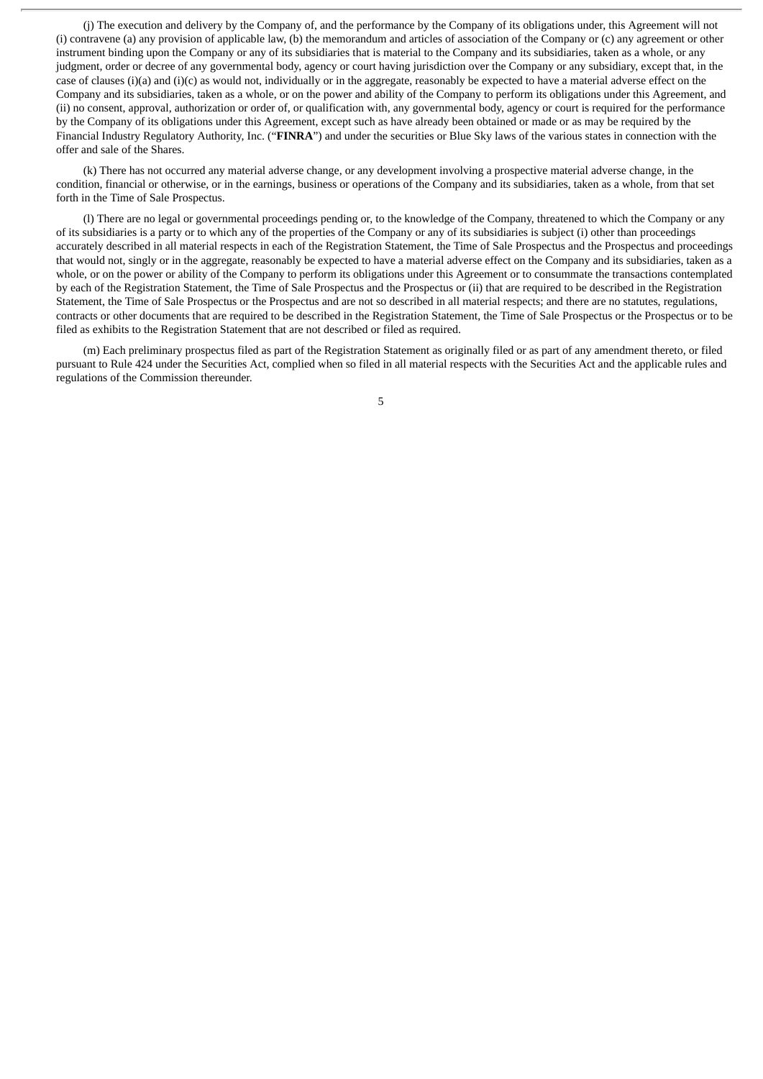(j) The execution and delivery by the Company of, and the performance by the Company of its obligations under, this Agreement will not (i) contravene (a) any provision of applicable law, (b) the memorandum and articles of association of the Company or (c) any agreement or other instrument binding upon the Company or any of its subsidiaries that is material to the Company and its subsidiaries, taken as a whole, or any judgment, order or decree of any governmental body, agency or court having jurisdiction over the Company or any subsidiary, except that, in the case of clauses (i)(a) and (i)(c) as would not, individually or in the aggregate, reasonably be expected to have a material adverse effect on the Company and its subsidiaries, taken as a whole, or on the power and ability of the Company to perform its obligations under this Agreement, and (ii) no consent, approval, authorization or order of, or qualification with, any governmental body, agency or court is required for the performance by the Company of its obligations under this Agreement, except such as have already been obtained or made or as may be required by the Financial Industry Regulatory Authority, Inc. ("**FINRA**") and under the securities or Blue Sky laws of the various states in connection with the offer and sale of the Shares.

(k) There has not occurred any material adverse change, or any development involving a prospective material adverse change, in the condition, financial or otherwise, or in the earnings, business or operations of the Company and its subsidiaries, taken as a whole, from that set forth in the Time of Sale Prospectus.

(l) There are no legal or governmental proceedings pending or, to the knowledge of the Company, threatened to which the Company or any of its subsidiaries is a party or to which any of the properties of the Company or any of its subsidiaries is subject (i) other than proceedings accurately described in all material respects in each of the Registration Statement, the Time of Sale Prospectus and the Prospectus and proceedings that would not, singly or in the aggregate, reasonably be expected to have a material adverse effect on the Company and its subsidiaries, taken as a whole, or on the power or ability of the Company to perform its obligations under this Agreement or to consummate the transactions contemplated by each of the Registration Statement, the Time of Sale Prospectus and the Prospectus or (ii) that are required to be described in the Registration Statement, the Time of Sale Prospectus or the Prospectus and are not so described in all material respects; and there are no statutes, regulations, contracts or other documents that are required to be described in the Registration Statement, the Time of Sale Prospectus or the Prospectus or to be filed as exhibits to the Registration Statement that are not described or filed as required.

(m) Each preliminary prospectus filed as part of the Registration Statement as originally filed or as part of any amendment thereto, or filed pursuant to Rule 424 under the Securities Act, complied when so filed in all material respects with the Securities Act and the applicable rules and regulations of the Commission thereunder.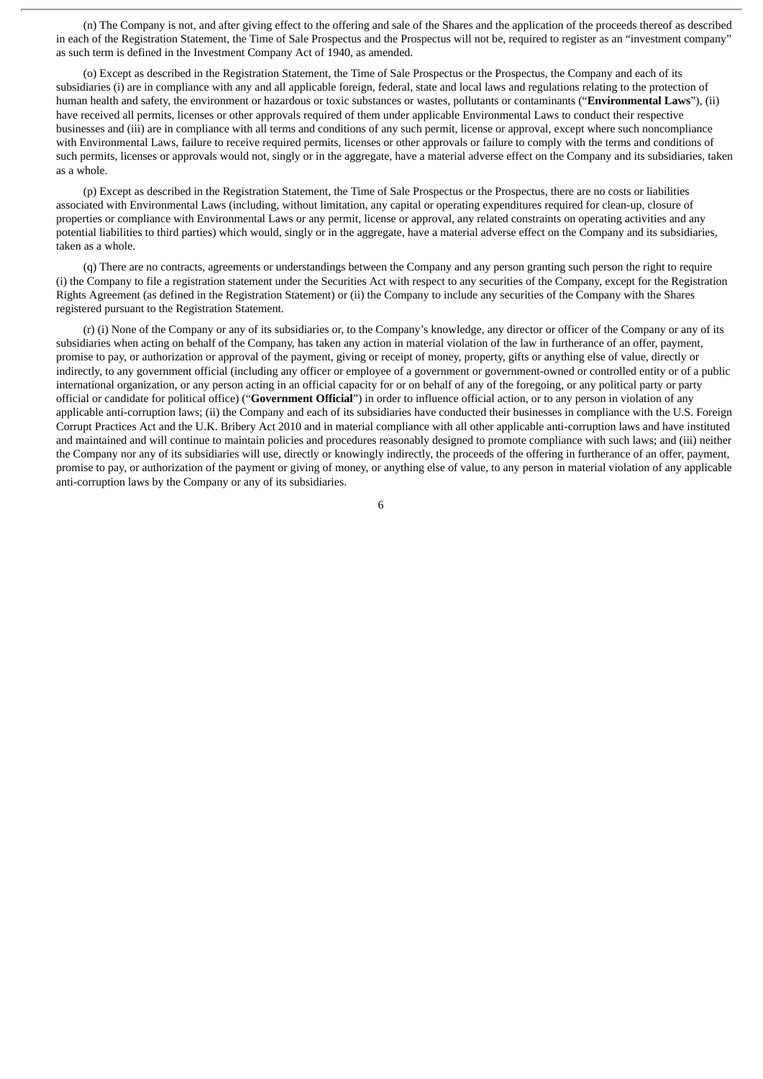(n) The Company is not, and after giving effect to the offering and sale of the Shares and the application of the proceeds thereof as described in each of the Registration Statement, the Time of Sale Prospectus and the Prospectus will not be, required to register as an "investment company" as such term is defined in the Investment Company Act of 1940, as amended.

(o) Except as described in the Registration Statement, the Time of Sale Prospectus or the Prospectus, the Company and each of its subsidiaries (i) are in compliance with any and all applicable foreign, federal, state and local laws and regulations relating to the protection of human health and safety, the environment or hazardous or toxic substances or wastes, pollutants or contaminants ("**Environmental Laws**"), (ii) have received all permits, licenses or other approvals required of them under applicable Environmental Laws to conduct their respective businesses and (iii) are in compliance with all terms and conditions of any such permit, license or approval, except where such noncompliance with Environmental Laws, failure to receive required permits, licenses or other approvals or failure to comply with the terms and conditions of such permits, licenses or approvals would not, singly or in the aggregate, have a material adverse effect on the Company and its subsidiaries, taken as a whole.

(p) Except as described in the Registration Statement, the Time of Sale Prospectus or the Prospectus, there are no costs or liabilities associated with Environmental Laws (including, without limitation, any capital or operating expenditures required for clean-up, closure of properties or compliance with Environmental Laws or any permit, license or approval, any related constraints on operating activities and any potential liabilities to third parties) which would, singly or in the aggregate, have a material adverse effect on the Company and its subsidiaries, taken as a whole.

(q) There are no contracts, agreements or understandings between the Company and any person granting such person the right to require (i) the Company to file a registration statement under the Securities Act with respect to any securities of the Company, except for the Registration Rights Agreement (as defined in the Registration Statement) or (ii) the Company to include any securities of the Company with the Shares registered pursuant to the Registration Statement.

(r) (i) None of the Company or any of its subsidiaries or, to the Company's knowledge, any director or officer of the Company or any of its subsidiaries when acting on behalf of the Company, has taken any action in material violation of the law in furtherance of an offer, payment, promise to pay, or authorization or approval of the payment, giving or receipt of money, property, gifts or anything else of value, directly or indirectly, to any government official (including any officer or employee of a government or government-owned or controlled entity or of a public international organization, or any person acting in an official capacity for or on behalf of any of the foregoing, or any political party or party official or candidate for political office) ("**Government Official**") in order to influence official action, or to any person in violation of any applicable anti-corruption laws; (ii) the Company and each of its subsidiaries have conducted their businesses in compliance with the U.S. Foreign Corrupt Practices Act and the U.K. Bribery Act 2010 and in material compliance with all other applicable anti-corruption laws and have instituted and maintained and will continue to maintain policies and procedures reasonably designed to promote compliance with such laws; and (iii) neither the Company nor any of its subsidiaries will use, directly or knowingly indirectly, the proceeds of the offering in furtherance of an offer, payment, promise to pay, or authorization of the payment or giving of money, or anything else of value, to any person in material violation of any applicable anti-corruption laws by the Company or any of its subsidiaries.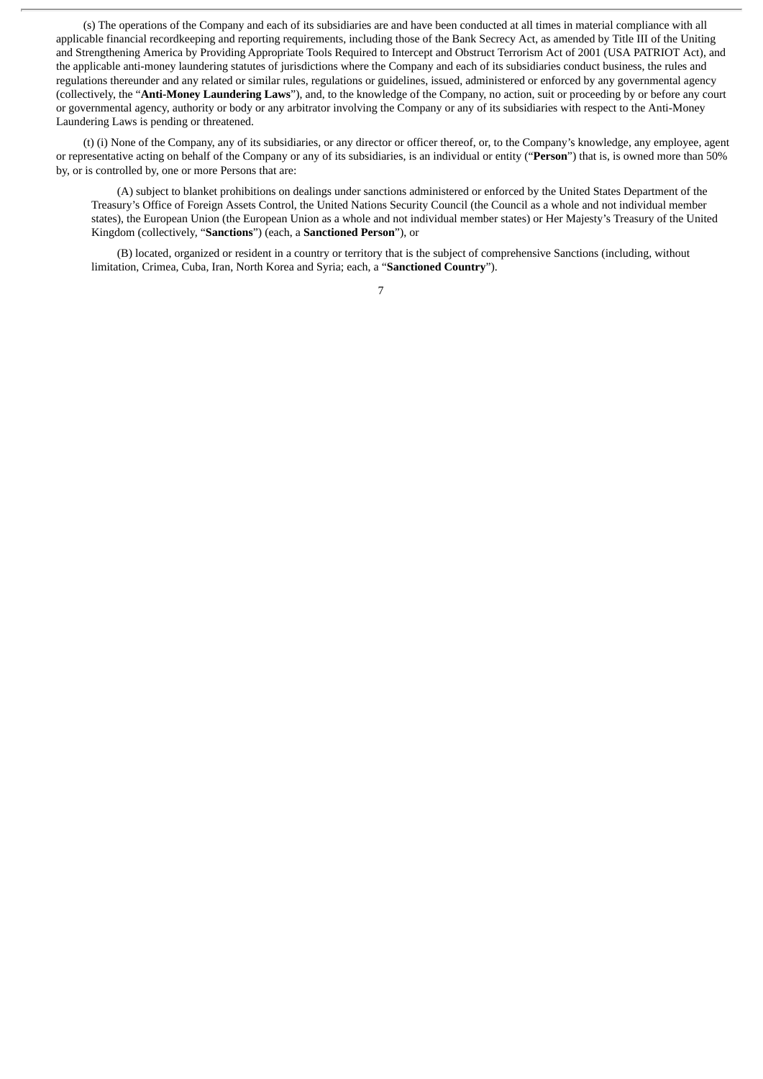(s) The operations of the Company and each of its subsidiaries are and have been conducted at all times in material compliance with all applicable financial recordkeeping and reporting requirements, including those of the Bank Secrecy Act, as amended by Title III of the Uniting and Strengthening America by Providing Appropriate Tools Required to Intercept and Obstruct Terrorism Act of 2001 (USA PATRIOT Act), and the applicable anti-money laundering statutes of jurisdictions where the Company and each of its subsidiaries conduct business, the rules and regulations thereunder and any related or similar rules, regulations or guidelines, issued, administered or enforced by any governmental agency (collectively, the "**Anti-Money Laundering Laws**"), and, to the knowledge of the Company, no action, suit or proceeding by or before any court or governmental agency, authority or body or any arbitrator involving the Company or any of its subsidiaries with respect to the Anti-Money Laundering Laws is pending or threatened.

(t) (i) None of the Company, any of its subsidiaries, or any director or officer thereof, or, to the Company's knowledge, any employee, agent or representative acting on behalf of the Company or any of its subsidiaries, is an individual or entity ("**Person**") that is, is owned more than 50% by, or is controlled by, one or more Persons that are:

(A) subject to blanket prohibitions on dealings under sanctions administered or enforced by the United States Department of the Treasury's Office of Foreign Assets Control, the United Nations Security Council (the Council as a whole and not individual member states), the European Union (the European Union as a whole and not individual member states) or Her Majesty's Treasury of the United Kingdom (collectively, "**Sanctions**") (each, a **Sanctioned Person**"), or

(B) located, organized or resident in a country or territory that is the subject of comprehensive Sanctions (including, without limitation, Crimea, Cuba, Iran, North Korea and Syria; each, a "**Sanctioned Country**").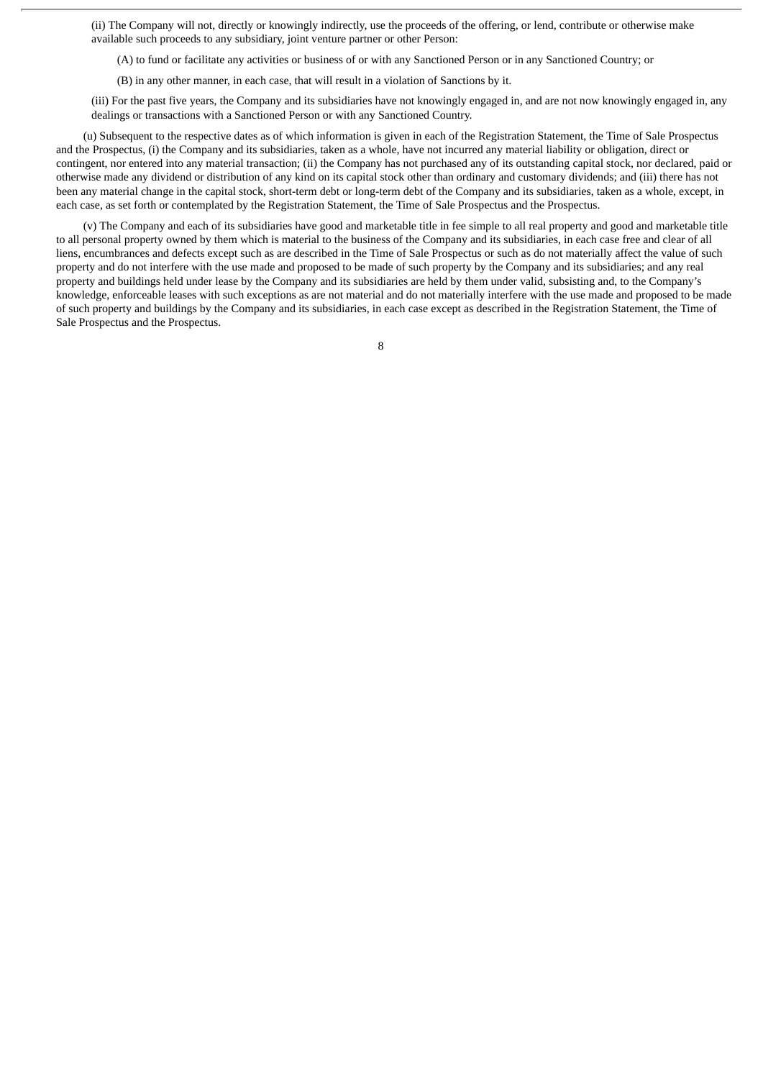(ii) The Company will not, directly or knowingly indirectly, use the proceeds of the offering, or lend, contribute or otherwise make available such proceeds to any subsidiary, joint venture partner or other Person:

(A) to fund or facilitate any activities or business of or with any Sanctioned Person or in any Sanctioned Country; or

(B) in any other manner, in each case, that will result in a violation of Sanctions by it.

(iii) For the past five years, the Company and its subsidiaries have not knowingly engaged in, and are not now knowingly engaged in, any dealings or transactions with a Sanctioned Person or with any Sanctioned Country.

(u) Subsequent to the respective dates as of which information is given in each of the Registration Statement, the Time of Sale Prospectus and the Prospectus, (i) the Company and its subsidiaries, taken as a whole, have not incurred any material liability or obligation, direct or contingent, nor entered into any material transaction; (ii) the Company has not purchased any of its outstanding capital stock, nor declared, paid or otherwise made any dividend or distribution of any kind on its capital stock other than ordinary and customary dividends; and (iii) there has not been any material change in the capital stock, short-term debt or long-term debt of the Company and its subsidiaries, taken as a whole, except, in each case, as set forth or contemplated by the Registration Statement, the Time of Sale Prospectus and the Prospectus.

(v) The Company and each of its subsidiaries have good and marketable title in fee simple to all real property and good and marketable title to all personal property owned by them which is material to the business of the Company and its subsidiaries, in each case free and clear of all liens, encumbrances and defects except such as are described in the Time of Sale Prospectus or such as do not materially affect the value of such property and do not interfere with the use made and proposed to be made of such property by the Company and its subsidiaries; and any real property and buildings held under lease by the Company and its subsidiaries are held by them under valid, subsisting and, to the Company's knowledge, enforceable leases with such exceptions as are not material and do not materially interfere with the use made and proposed to be made of such property and buildings by the Company and its subsidiaries, in each case except as described in the Registration Statement, the Time of Sale Prospectus and the Prospectus.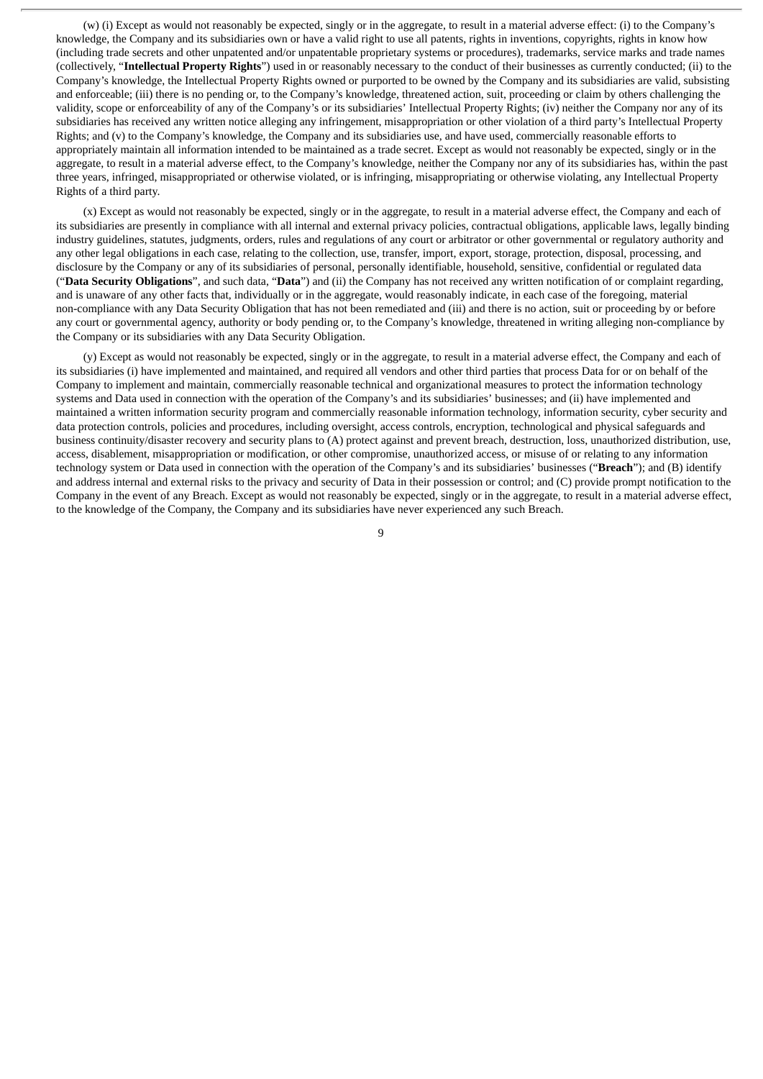(w) (i) Except as would not reasonably be expected, singly or in the aggregate, to result in a material adverse effect: (i) to the Company's knowledge, the Company and its subsidiaries own or have a valid right to use all patents, rights in inventions, copyrights, rights in know how (including trade secrets and other unpatented and/or unpatentable proprietary systems or procedures), trademarks, service marks and trade names (collectively, "**Intellectual Property Rights**") used in or reasonably necessary to the conduct of their businesses as currently conducted; (ii) to the Company's knowledge, the Intellectual Property Rights owned or purported to be owned by the Company and its subsidiaries are valid, subsisting and enforceable; (iii) there is no pending or, to the Company's knowledge, threatened action, suit, proceeding or claim by others challenging the validity, scope or enforceability of any of the Company's or its subsidiaries' Intellectual Property Rights; (iv) neither the Company nor any of its subsidiaries has received any written notice alleging any infringement, misappropriation or other violation of a third party's Intellectual Property Rights; and (v) to the Company's knowledge, the Company and its subsidiaries use, and have used, commercially reasonable efforts to appropriately maintain all information intended to be maintained as a trade secret. Except as would not reasonably be expected, singly or in the aggregate, to result in a material adverse effect, to the Company's knowledge, neither the Company nor any of its subsidiaries has, within the past three years, infringed, misappropriated or otherwise violated, or is infringing, misappropriating or otherwise violating, any Intellectual Property Rights of a third party.

(x) Except as would not reasonably be expected, singly or in the aggregate, to result in a material adverse effect, the Company and each of its subsidiaries are presently in compliance with all internal and external privacy policies, contractual obligations, applicable laws, legally binding industry guidelines, statutes, judgments, orders, rules and regulations of any court or arbitrator or other governmental or regulatory authority and any other legal obligations in each case, relating to the collection, use, transfer, import, export, storage, protection, disposal, processing, and disclosure by the Company or any of its subsidiaries of personal, personally identifiable, household, sensitive, confidential or regulated data ("**Data Security Obligations**", and such data, "**Data**") and (ii) the Company has not received any written notification of or complaint regarding, and is unaware of any other facts that, individually or in the aggregate, would reasonably indicate, in each case of the foregoing, material non-compliance with any Data Security Obligation that has not been remediated and (iii) and there is no action, suit or proceeding by or before any court or governmental agency, authority or body pending or, to the Company's knowledge, threatened in writing alleging non-compliance by the Company or its subsidiaries with any Data Security Obligation.

(y) Except as would not reasonably be expected, singly or in the aggregate, to result in a material adverse effect, the Company and each of its subsidiaries (i) have implemented and maintained, and required all vendors and other third parties that process Data for or on behalf of the Company to implement and maintain, commercially reasonable technical and organizational measures to protect the information technology systems and Data used in connection with the operation of the Company's and its subsidiaries' businesses; and (ii) have implemented and maintained a written information security program and commercially reasonable information technology, information security, cyber security and data protection controls, policies and procedures, including oversight, access controls, encryption, technological and physical safeguards and business continuity/disaster recovery and security plans to (A) protect against and prevent breach, destruction, loss, unauthorized distribution, use, access, disablement, misappropriation or modification, or other compromise, unauthorized access, or misuse of or relating to any information technology system or Data used in connection with the operation of the Company's and its subsidiaries' businesses ("**Breach**"); and (B) identify and address internal and external risks to the privacy and security of Data in their possession or control; and (C) provide prompt notification to the Company in the event of any Breach. Except as would not reasonably be expected, singly or in the aggregate, to result in a material adverse effect, to the knowledge of the Company, the Company and its subsidiaries have never experienced any such Breach.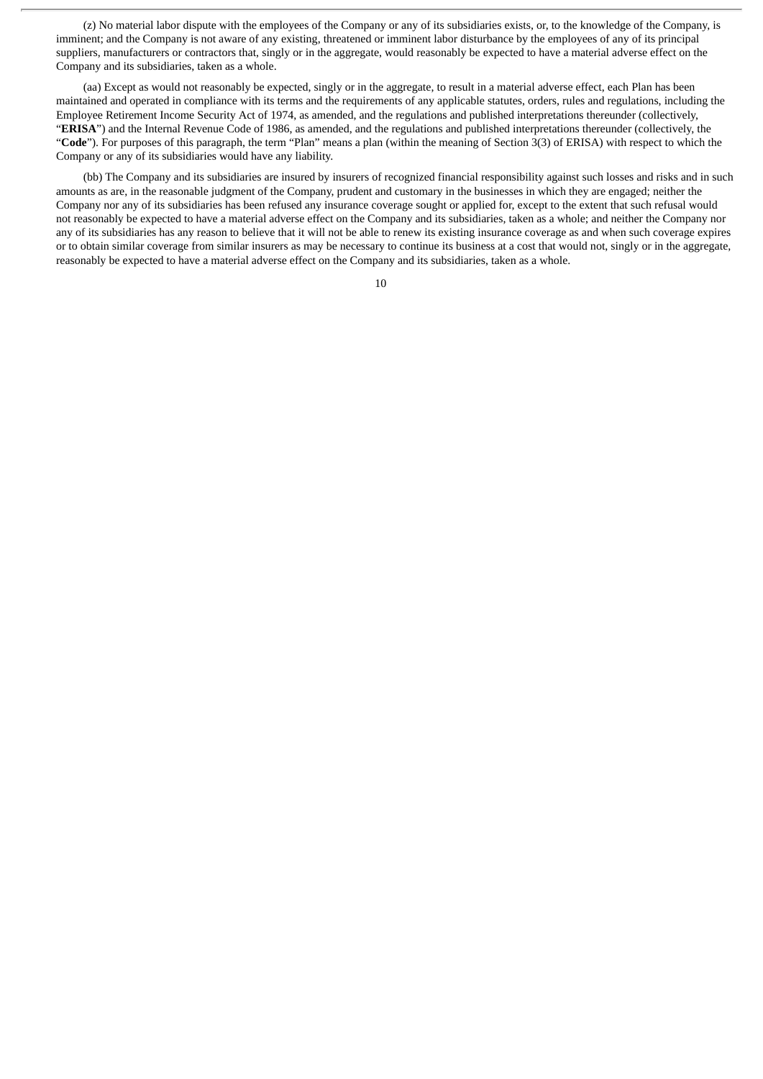(z) No material labor dispute with the employees of the Company or any of its subsidiaries exists, or, to the knowledge of the Company, is imminent; and the Company is not aware of any existing, threatened or imminent labor disturbance by the employees of any of its principal suppliers, manufacturers or contractors that, singly or in the aggregate, would reasonably be expected to have a material adverse effect on the Company and its subsidiaries, taken as a whole.

(aa) Except as would not reasonably be expected, singly or in the aggregate, to result in a material adverse effect, each Plan has been maintained and operated in compliance with its terms and the requirements of any applicable statutes, orders, rules and regulations, including the Employee Retirement Income Security Act of 1974, as amended, and the regulations and published interpretations thereunder (collectively, "**ERISA**") and the Internal Revenue Code of 1986, as amended, and the regulations and published interpretations thereunder (collectively, the "**Code**"). For purposes of this paragraph, the term "Plan" means a plan (within the meaning of Section 3(3) of ERISA) with respect to which the Company or any of its subsidiaries would have any liability.

(bb) The Company and its subsidiaries are insured by insurers of recognized financial responsibility against such losses and risks and in such amounts as are, in the reasonable judgment of the Company, prudent and customary in the businesses in which they are engaged; neither the Company nor any of its subsidiaries has been refused any insurance coverage sought or applied for, except to the extent that such refusal would not reasonably be expected to have a material adverse effect on the Company and its subsidiaries, taken as a whole; and neither the Company nor any of its subsidiaries has any reason to believe that it will not be able to renew its existing insurance coverage as and when such coverage expires or to obtain similar coverage from similar insurers as may be necessary to continue its business at a cost that would not, singly or in the aggregate, reasonably be expected to have a material adverse effect on the Company and its subsidiaries, taken as a whole.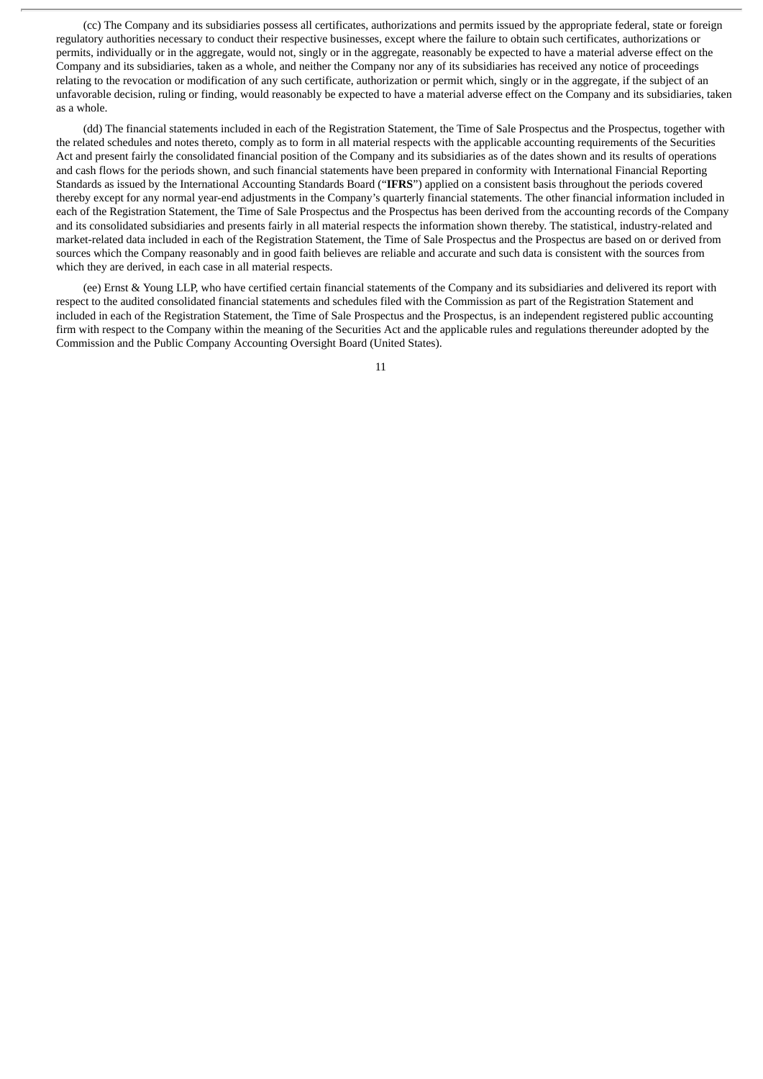(cc) The Company and its subsidiaries possess all certificates, authorizations and permits issued by the appropriate federal, state or foreign regulatory authorities necessary to conduct their respective businesses, except where the failure to obtain such certificates, authorizations or permits, individually or in the aggregate, would not, singly or in the aggregate, reasonably be expected to have a material adverse effect on the Company and its subsidiaries, taken as a whole, and neither the Company nor any of its subsidiaries has received any notice of proceedings relating to the revocation or modification of any such certificate, authorization or permit which, singly or in the aggregate, if the subject of an unfavorable decision, ruling or finding, would reasonably be expected to have a material adverse effect on the Company and its subsidiaries, taken as a whole.

(dd) The financial statements included in each of the Registration Statement, the Time of Sale Prospectus and the Prospectus, together with the related schedules and notes thereto, comply as to form in all material respects with the applicable accounting requirements of the Securities Act and present fairly the consolidated financial position of the Company and its subsidiaries as of the dates shown and its results of operations and cash flows for the periods shown, and such financial statements have been prepared in conformity with International Financial Reporting Standards as issued by the International Accounting Standards Board ("**IFRS**") applied on a consistent basis throughout the periods covered thereby except for any normal year-end adjustments in the Company's quarterly financial statements. The other financial information included in each of the Registration Statement, the Time of Sale Prospectus and the Prospectus has been derived from the accounting records of the Company and its consolidated subsidiaries and presents fairly in all material respects the information shown thereby. The statistical, industry-related and market-related data included in each of the Registration Statement, the Time of Sale Prospectus and the Prospectus are based on or derived from sources which the Company reasonably and in good faith believes are reliable and accurate and such data is consistent with the sources from which they are derived, in each case in all material respects.

(ee) Ernst & Young LLP, who have certified certain financial statements of the Company and its subsidiaries and delivered its report with respect to the audited consolidated financial statements and schedules filed with the Commission as part of the Registration Statement and included in each of the Registration Statement, the Time of Sale Prospectus and the Prospectus, is an independent registered public accounting firm with respect to the Company within the meaning of the Securities Act and the applicable rules and regulations thereunder adopted by the Commission and the Public Company Accounting Oversight Board (United States).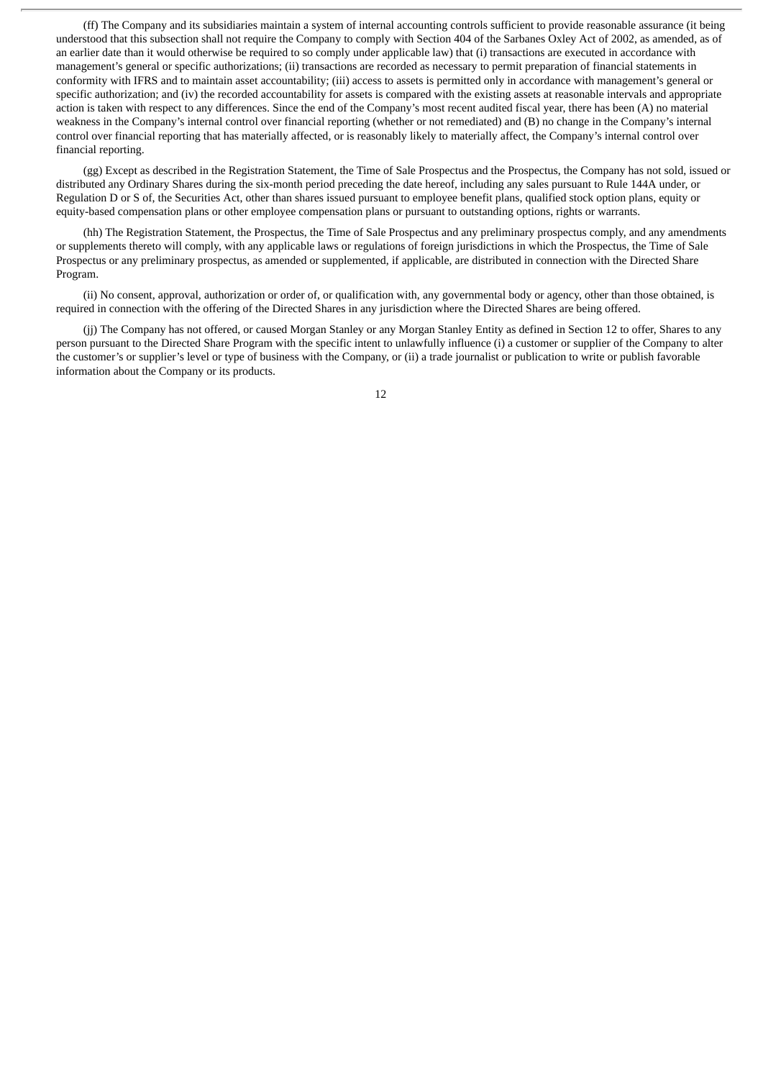(ff) The Company and its subsidiaries maintain a system of internal accounting controls sufficient to provide reasonable assurance (it being understood that this subsection shall not require the Company to comply with Section 404 of the Sarbanes Oxley Act of 2002, as amended, as of an earlier date than it would otherwise be required to so comply under applicable law) that (i) transactions are executed in accordance with management's general or specific authorizations; (ii) transactions are recorded as necessary to permit preparation of financial statements in conformity with IFRS and to maintain asset accountability; (iii) access to assets is permitted only in accordance with management's general or specific authorization; and (iv) the recorded accountability for assets is compared with the existing assets at reasonable intervals and appropriate action is taken with respect to any differences. Since the end of the Company's most recent audited fiscal year, there has been (A) no material weakness in the Company's internal control over financial reporting (whether or not remediated) and (B) no change in the Company's internal control over financial reporting that has materially affected, or is reasonably likely to materially affect, the Company's internal control over financial reporting.

(gg) Except as described in the Registration Statement, the Time of Sale Prospectus and the Prospectus, the Company has not sold, issued or distributed any Ordinary Shares during the six-month period preceding the date hereof, including any sales pursuant to Rule 144A under, or Regulation D or S of, the Securities Act, other than shares issued pursuant to employee benefit plans, qualified stock option plans, equity or equity-based compensation plans or other employee compensation plans or pursuant to outstanding options, rights or warrants.

(hh) The Registration Statement, the Prospectus, the Time of Sale Prospectus and any preliminary prospectus comply, and any amendments or supplements thereto will comply, with any applicable laws or regulations of foreign jurisdictions in which the Prospectus, the Time of Sale Prospectus or any preliminary prospectus, as amended or supplemented, if applicable, are distributed in connection with the Directed Share Program.

(ii) No consent, approval, authorization or order of, or qualification with, any governmental body or agency, other than those obtained, is required in connection with the offering of the Directed Shares in any jurisdiction where the Directed Shares are being offered.

(jj) The Company has not offered, or caused Morgan Stanley or any Morgan Stanley Entity as defined in Section 12 to offer, Shares to any person pursuant to the Directed Share Program with the specific intent to unlawfully influence (i) a customer or supplier of the Company to alter the customer's or supplier's level or type of business with the Company, or (ii) a trade journalist or publication to write or publish favorable information about the Company or its products.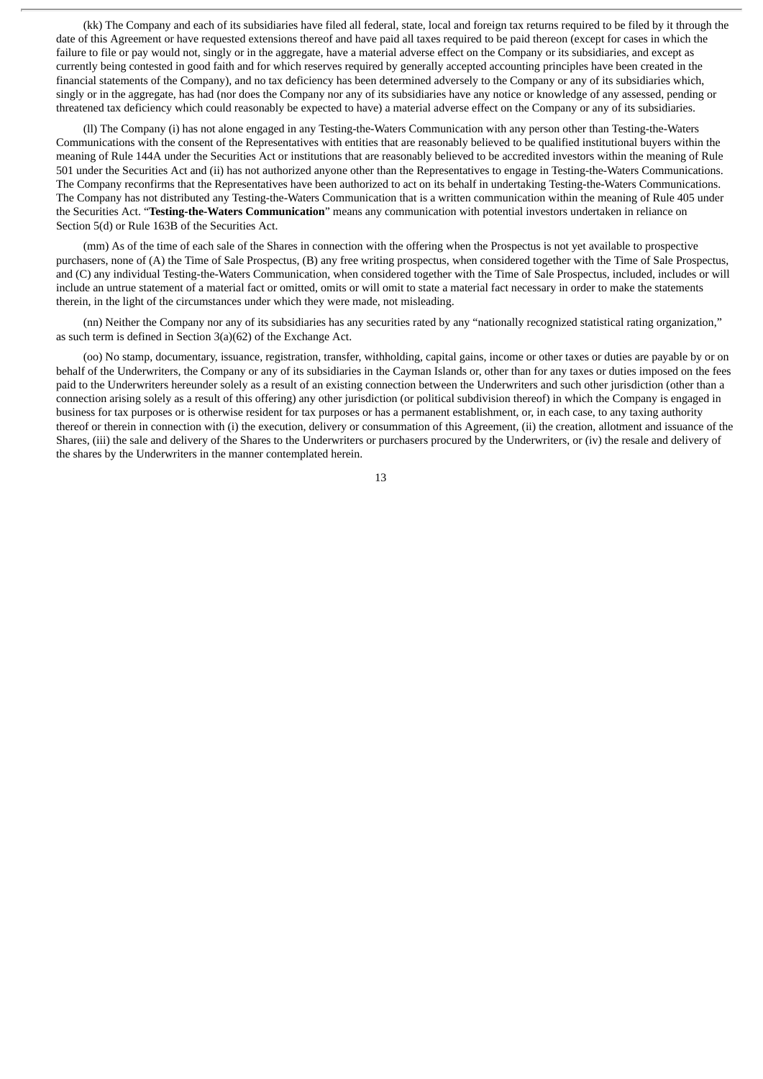(kk) The Company and each of its subsidiaries have filed all federal, state, local and foreign tax returns required to be filed by it through the date of this Agreement or have requested extensions thereof and have paid all taxes required to be paid thereon (except for cases in which the failure to file or pay would not, singly or in the aggregate, have a material adverse effect on the Company or its subsidiaries, and except as currently being contested in good faith and for which reserves required by generally accepted accounting principles have been created in the financial statements of the Company), and no tax deficiency has been determined adversely to the Company or any of its subsidiaries which, singly or in the aggregate, has had (nor does the Company nor any of its subsidiaries have any notice or knowledge of any assessed, pending or threatened tax deficiency which could reasonably be expected to have) a material adverse effect on the Company or any of its subsidiaries.

(ll) The Company (i) has not alone engaged in any Testing-the-Waters Communication with any person other than Testing-the-Waters Communications with the consent of the Representatives with entities that are reasonably believed to be qualified institutional buyers within the meaning of Rule 144A under the Securities Act or institutions that are reasonably believed to be accredited investors within the meaning of Rule 501 under the Securities Act and (ii) has not authorized anyone other than the Representatives to engage in Testing-the-Waters Communications. The Company reconfirms that the Representatives have been authorized to act on its behalf in undertaking Testing-the-Waters Communications. The Company has not distributed any Testing-the-Waters Communication that is a written communication within the meaning of Rule 405 under the Securities Act. "**Testing-the-Waters Communication**" means any communication with potential investors undertaken in reliance on Section 5(d) or Rule 163B of the Securities Act.

(mm) As of the time of each sale of the Shares in connection with the offering when the Prospectus is not yet available to prospective purchasers, none of (A) the Time of Sale Prospectus, (B) any free writing prospectus, when considered together with the Time of Sale Prospectus, and (C) any individual Testing-the-Waters Communication, when considered together with the Time of Sale Prospectus, included, includes or will include an untrue statement of a material fact or omitted, omits or will omit to state a material fact necessary in order to make the statements therein, in the light of the circumstances under which they were made, not misleading.

(nn) Neither the Company nor any of its subsidiaries has any securities rated by any "nationally recognized statistical rating organization," as such term is defined in Section 3(a)(62) of the Exchange Act.

(oo) No stamp, documentary, issuance, registration, transfer, withholding, capital gains, income or other taxes or duties are payable by or on behalf of the Underwriters, the Company or any of its subsidiaries in the Cayman Islands or, other than for any taxes or duties imposed on the fees paid to the Underwriters hereunder solely as a result of an existing connection between the Underwriters and such other jurisdiction (other than a connection arising solely as a result of this offering) any other jurisdiction (or political subdivision thereof) in which the Company is engaged in business for tax purposes or is otherwise resident for tax purposes or has a permanent establishment, or, in each case, to any taxing authority thereof or therein in connection with (i) the execution, delivery or consummation of this Agreement, (ii) the creation, allotment and issuance of the Shares, (iii) the sale and delivery of the Shares to the Underwriters or purchasers procured by the Underwriters, or (iv) the resale and delivery of the shares by the Underwriters in the manner contemplated herein.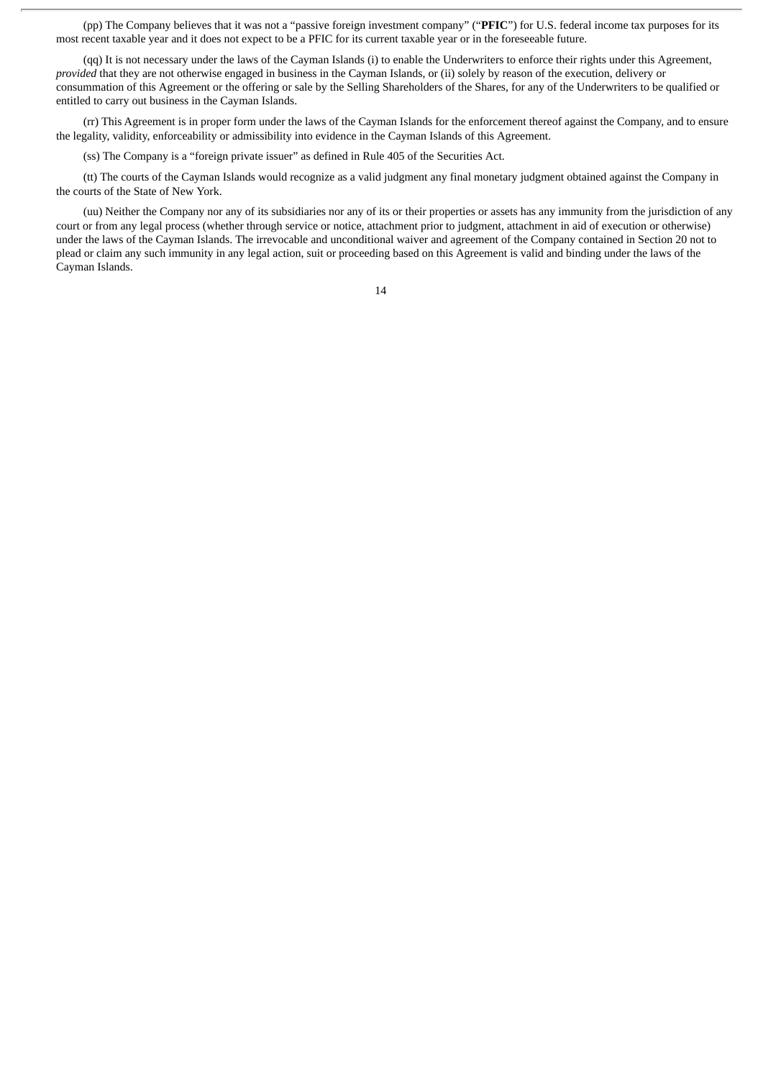(pp) The Company believes that it was not a "passive foreign investment company" ("**PFIC**") for U.S. federal income tax purposes for its most recent taxable year and it does not expect to be a PFIC for its current taxable year or in the foreseeable future.

(qq) It is not necessary under the laws of the Cayman Islands (i) to enable the Underwriters to enforce their rights under this Agreement, *provided* that they are not otherwise engaged in business in the Cayman Islands, or (ii) solely by reason of the execution, delivery or consummation of this Agreement or the offering or sale by the Selling Shareholders of the Shares, for any of the Underwriters to be qualified or entitled to carry out business in the Cayman Islands.

(rr) This Agreement is in proper form under the laws of the Cayman Islands for the enforcement thereof against the Company, and to ensure the legality, validity, enforceability or admissibility into evidence in the Cayman Islands of this Agreement.

(ss) The Company is a "foreign private issuer" as defined in Rule 405 of the Securities Act.

(tt) The courts of the Cayman Islands would recognize as a valid judgment any final monetary judgment obtained against the Company in the courts of the State of New York.

(uu) Neither the Company nor any of its subsidiaries nor any of its or their properties or assets has any immunity from the jurisdiction of any court or from any legal process (whether through service or notice, attachment prior to judgment, attachment in aid of execution or otherwise) under the laws of the Cayman Islands. The irrevocable and unconditional waiver and agreement of the Company contained in Section 20 not to plead or claim any such immunity in any legal action, suit or proceeding based on this Agreement is valid and binding under the laws of the Cayman Islands.

<sup>14</sup>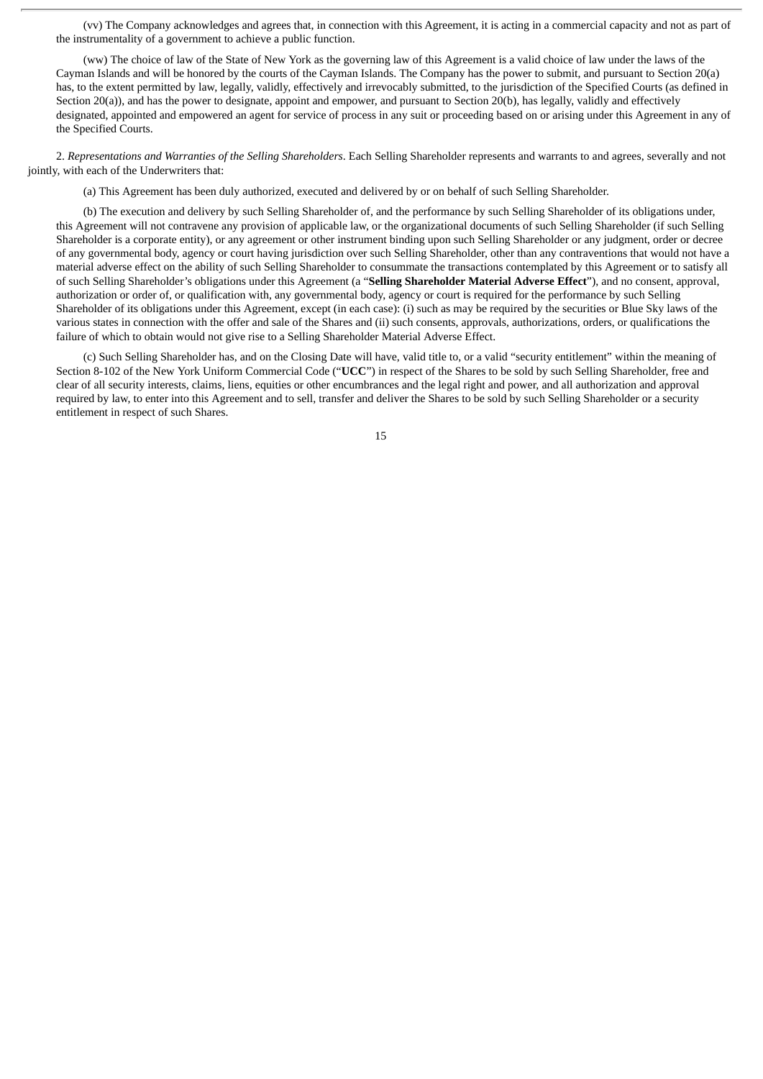(vv) The Company acknowledges and agrees that, in connection with this Agreement, it is acting in a commercial capacity and not as part of the instrumentality of a government to achieve a public function.

(ww) The choice of law of the State of New York as the governing law of this Agreement is a valid choice of law under the laws of the Cayman Islands and will be honored by the courts of the Cayman Islands. The Company has the power to submit, and pursuant to Section 20(a) has, to the extent permitted by law, legally, validly, effectively and irrevocably submitted, to the jurisdiction of the Specified Courts (as defined in Section 20(a)), and has the power to designate, appoint and empower, and pursuant to Section 20(b), has legally, validly and effectively designated, appointed and empowered an agent for service of process in any suit or proceeding based on or arising under this Agreement in any of the Specified Courts.

2. *Representations and Warranties of the Selling Shareholders*. Each Selling Shareholder represents and warrants to and agrees, severally and not jointly, with each of the Underwriters that:

(a) This Agreement has been duly authorized, executed and delivered by or on behalf of such Selling Shareholder.

(b) The execution and delivery by such Selling Shareholder of, and the performance by such Selling Shareholder of its obligations under, this Agreement will not contravene any provision of applicable law, or the organizational documents of such Selling Shareholder (if such Selling Shareholder is a corporate entity), or any agreement or other instrument binding upon such Selling Shareholder or any judgment, order or decree of any governmental body, agency or court having jurisdiction over such Selling Shareholder, other than any contraventions that would not have a material adverse effect on the ability of such Selling Shareholder to consummate the transactions contemplated by this Agreement or to satisfy all of such Selling Shareholder's obligations under this Agreement (a "**Selling Shareholder Material Adverse Effect**"), and no consent, approval, authorization or order of, or qualification with, any governmental body, agency or court is required for the performance by such Selling Shareholder of its obligations under this Agreement, except (in each case): (i) such as may be required by the securities or Blue Sky laws of the various states in connection with the offer and sale of the Shares and (ii) such consents, approvals, authorizations, orders, or qualifications the failure of which to obtain would not give rise to a Selling Shareholder Material Adverse Effect.

(c) Such Selling Shareholder has, and on the Closing Date will have, valid title to, or a valid "security entitlement" within the meaning of Section 8-102 of the New York Uniform Commercial Code ("**UCC**") in respect of the Shares to be sold by such Selling Shareholder, free and clear of all security interests, claims, liens, equities or other encumbrances and the legal right and power, and all authorization and approval required by law, to enter into this Agreement and to sell, transfer and deliver the Shares to be sold by such Selling Shareholder or a security entitlement in respect of such Shares.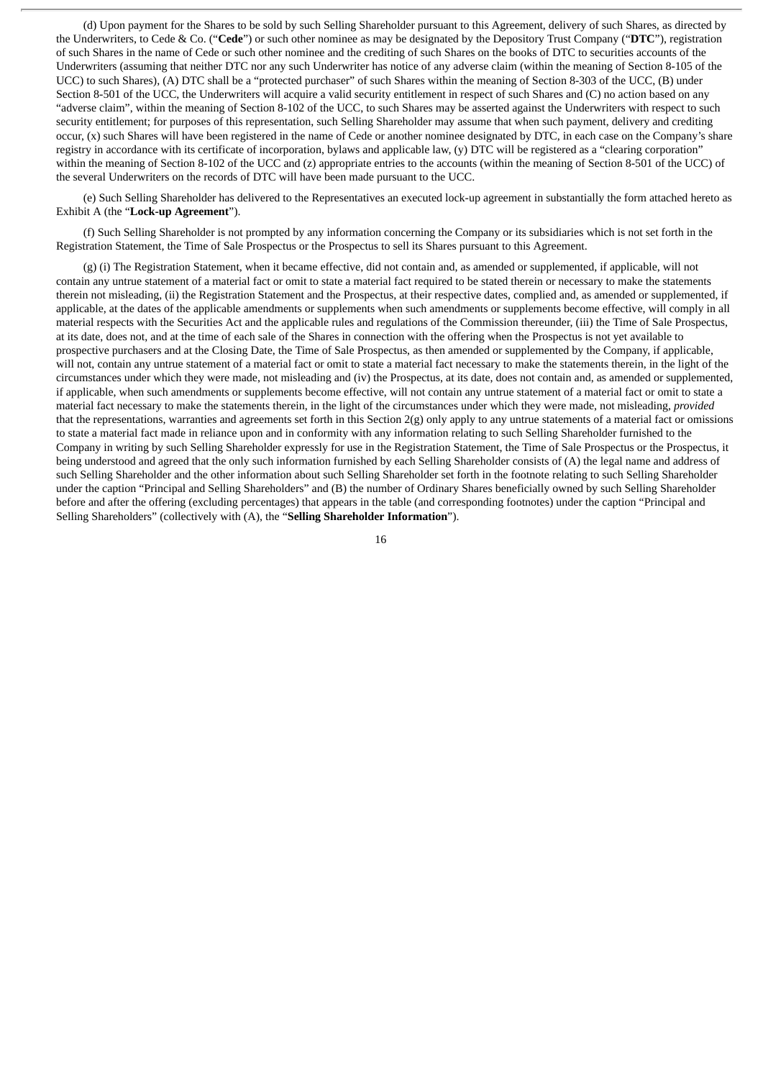(d) Upon payment for the Shares to be sold by such Selling Shareholder pursuant to this Agreement, delivery of such Shares, as directed by the Underwriters, to Cede & Co. ("**Cede**") or such other nominee as may be designated by the Depository Trust Company ("**DTC**"), registration of such Shares in the name of Cede or such other nominee and the crediting of such Shares on the books of DTC to securities accounts of the Underwriters (assuming that neither DTC nor any such Underwriter has notice of any adverse claim (within the meaning of Section 8-105 of the UCC) to such Shares), (A) DTC shall be a "protected purchaser" of such Shares within the meaning of Section 8-303 of the UCC, (B) under Section 8-501 of the UCC, the Underwriters will acquire a valid security entitlement in respect of such Shares and (C) no action based on any "adverse claim", within the meaning of Section 8-102 of the UCC, to such Shares may be asserted against the Underwriters with respect to such security entitlement; for purposes of this representation, such Selling Shareholder may assume that when such payment, delivery and crediting occur, (x) such Shares will have been registered in the name of Cede or another nominee designated by DTC, in each case on the Company's share registry in accordance with its certificate of incorporation, bylaws and applicable law, (y) DTC will be registered as a "clearing corporation" within the meaning of Section 8-102 of the UCC and (z) appropriate entries to the accounts (within the meaning of Section 8-501 of the UCC) of the several Underwriters on the records of DTC will have been made pursuant to the UCC.

(e) Such Selling Shareholder has delivered to the Representatives an executed lock-up agreement in substantially the form attached hereto as Exhibit A (the "**Lock-up Agreement**").

(f) Such Selling Shareholder is not prompted by any information concerning the Company or its subsidiaries which is not set forth in the Registration Statement, the Time of Sale Prospectus or the Prospectus to sell its Shares pursuant to this Agreement.

(g) (i) The Registration Statement, when it became effective, did not contain and, as amended or supplemented, if applicable, will not contain any untrue statement of a material fact or omit to state a material fact required to be stated therein or necessary to make the statements therein not misleading, (ii) the Registration Statement and the Prospectus, at their respective dates, complied and, as amended or supplemented, if applicable, at the dates of the applicable amendments or supplements when such amendments or supplements become effective, will comply in all material respects with the Securities Act and the applicable rules and regulations of the Commission thereunder, (iii) the Time of Sale Prospectus, at its date, does not, and at the time of each sale of the Shares in connection with the offering when the Prospectus is not yet available to prospective purchasers and at the Closing Date, the Time of Sale Prospectus, as then amended or supplemented by the Company, if applicable, will not, contain any untrue statement of a material fact or omit to state a material fact necessary to make the statements therein, in the light of the circumstances under which they were made, not misleading and (iv) the Prospectus, at its date, does not contain and, as amended or supplemented, if applicable, when such amendments or supplements become effective, will not contain any untrue statement of a material fact or omit to state a material fact necessary to make the statements therein, in the light of the circumstances under which they were made, not misleading, *provided* that the representations, warranties and agreements set forth in this Section 2(g) only apply to any untrue statements of a material fact or omissions to state a material fact made in reliance upon and in conformity with any information relating to such Selling Shareholder furnished to the Company in writing by such Selling Shareholder expressly for use in the Registration Statement, the Time of Sale Prospectus or the Prospectus, it being understood and agreed that the only such information furnished by each Selling Shareholder consists of (A) the legal name and address of such Selling Shareholder and the other information about such Selling Shareholder set forth in the footnote relating to such Selling Shareholder under the caption "Principal and Selling Shareholders" and (B) the number of Ordinary Shares beneficially owned by such Selling Shareholder before and after the offering (excluding percentages) that appears in the table (and corresponding footnotes) under the caption "Principal and Selling Shareholders" (collectively with (A), the "**Selling Shareholder Information**").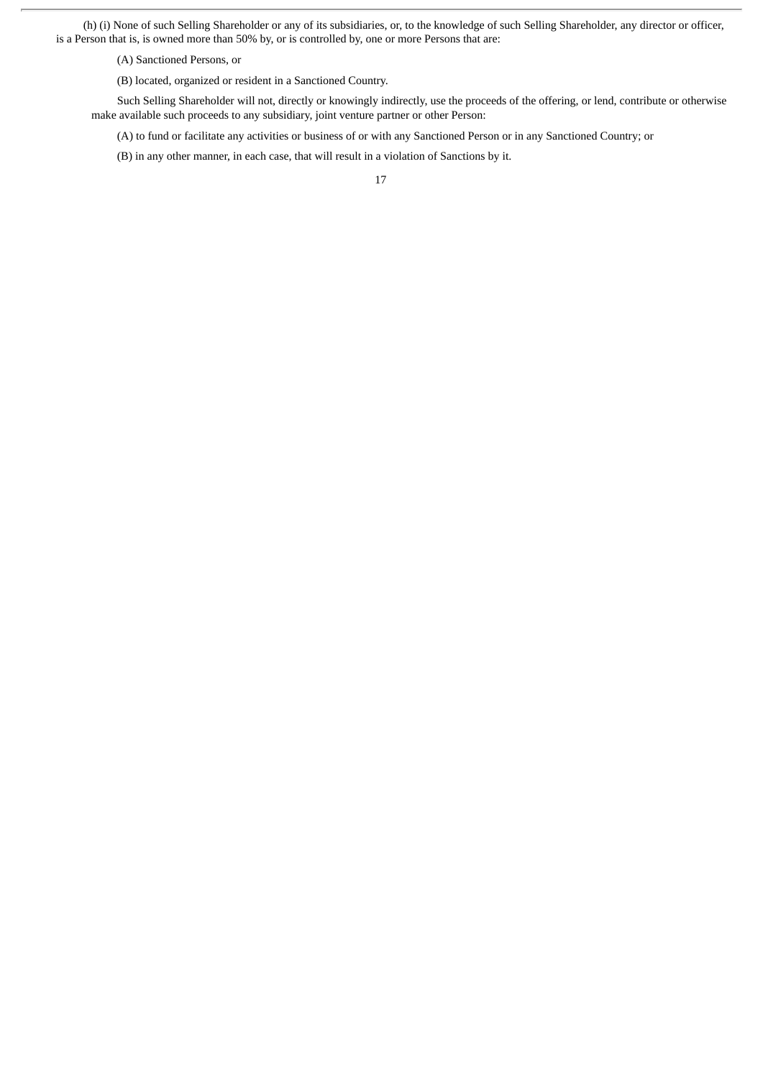(h) (i) None of such Selling Shareholder or any of its subsidiaries, or, to the knowledge of such Selling Shareholder, any director or officer, is a Person that is, is owned more than 50% by, or is controlled by, one or more Persons that are:

(A) Sanctioned Persons, or

(B) located, organized or resident in a Sanctioned Country.

Such Selling Shareholder will not, directly or knowingly indirectly, use the proceeds of the offering, or lend, contribute or otherwise make available such proceeds to any subsidiary, joint venture partner or other Person:

(A) to fund or facilitate any activities or business of or with any Sanctioned Person or in any Sanctioned Country; or

(B) in any other manner, in each case, that will result in a violation of Sanctions by it.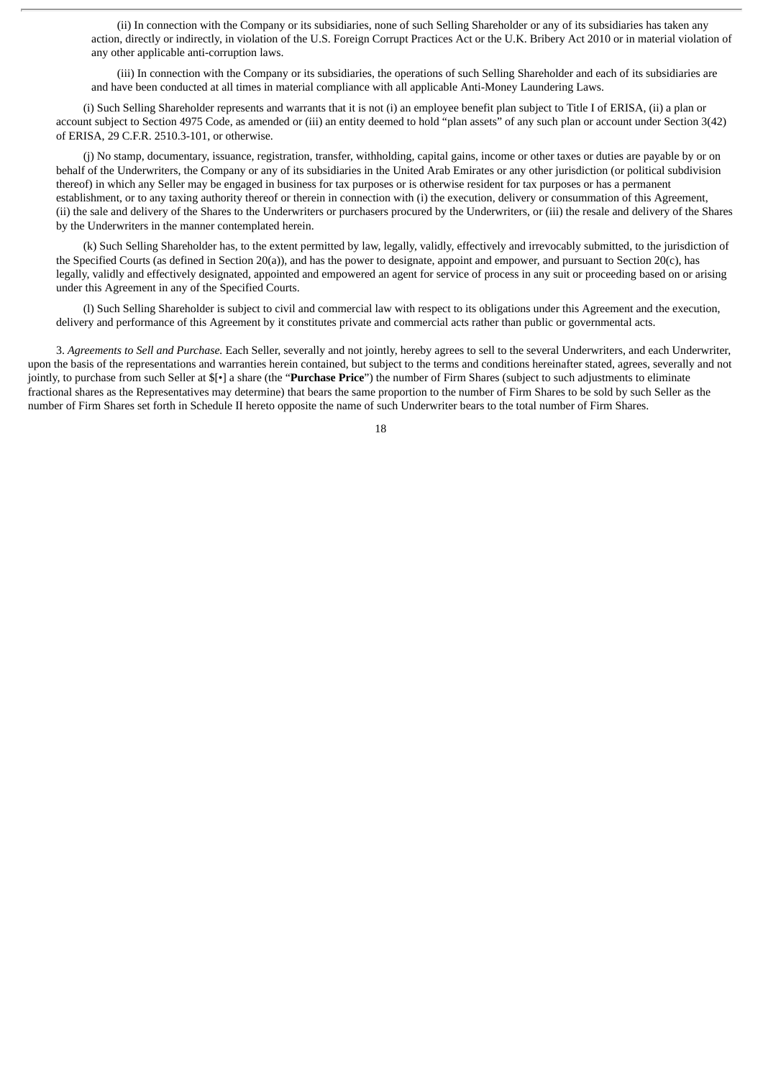(ii) In connection with the Company or its subsidiaries, none of such Selling Shareholder or any of its subsidiaries has taken any action, directly or indirectly, in violation of the U.S. Foreign Corrupt Practices Act or the U.K. Bribery Act 2010 or in material violation of any other applicable anti-corruption laws.

(iii) In connection with the Company or its subsidiaries, the operations of such Selling Shareholder and each of its subsidiaries are and have been conducted at all times in material compliance with all applicable Anti-Money Laundering Laws.

(i) Such Selling Shareholder represents and warrants that it is not (i) an employee benefit plan subject to Title I of ERISA, (ii) a plan or account subject to Section 4975 Code, as amended or (iii) an entity deemed to hold "plan assets" of any such plan or account under Section 3(42) of ERISA, 29 C.F.R. 2510.3-101, or otherwise.

(j) No stamp, documentary, issuance, registration, transfer, withholding, capital gains, income or other taxes or duties are payable by or on behalf of the Underwriters, the Company or any of its subsidiaries in the United Arab Emirates or any other jurisdiction (or political subdivision thereof) in which any Seller may be engaged in business for tax purposes or is otherwise resident for tax purposes or has a permanent establishment, or to any taxing authority thereof or therein in connection with (i) the execution, delivery or consummation of this Agreement, (ii) the sale and delivery of the Shares to the Underwriters or purchasers procured by the Underwriters, or (iii) the resale and delivery of the Shares by the Underwriters in the manner contemplated herein.

(k) Such Selling Shareholder has, to the extent permitted by law, legally, validly, effectively and irrevocably submitted, to the jurisdiction of the Specified Courts (as defined in Section 20(a)), and has the power to designate, appoint and empower, and pursuant to Section 20(c), has legally, validly and effectively designated, appointed and empowered an agent for service of process in any suit or proceeding based on or arising under this Agreement in any of the Specified Courts.

(l) Such Selling Shareholder is subject to civil and commercial law with respect to its obligations under this Agreement and the execution, delivery and performance of this Agreement by it constitutes private and commercial acts rather than public or governmental acts.

3. *Agreements to Sell and Purchase.* Each Seller, severally and not jointly, hereby agrees to sell to the several Underwriters, and each Underwriter, upon the basis of the representations and warranties herein contained, but subject to the terms and conditions hereinafter stated, agrees, severally and not jointly, to purchase from such Seller at \$[•] a share (the "**Purchase Price**") the number of Firm Shares (subject to such adjustments to eliminate fractional shares as the Representatives may determine) that bears the same proportion to the number of Firm Shares to be sold by such Seller as the number of Firm Shares set forth in Schedule II hereto opposite the name of such Underwriter bears to the total number of Firm Shares.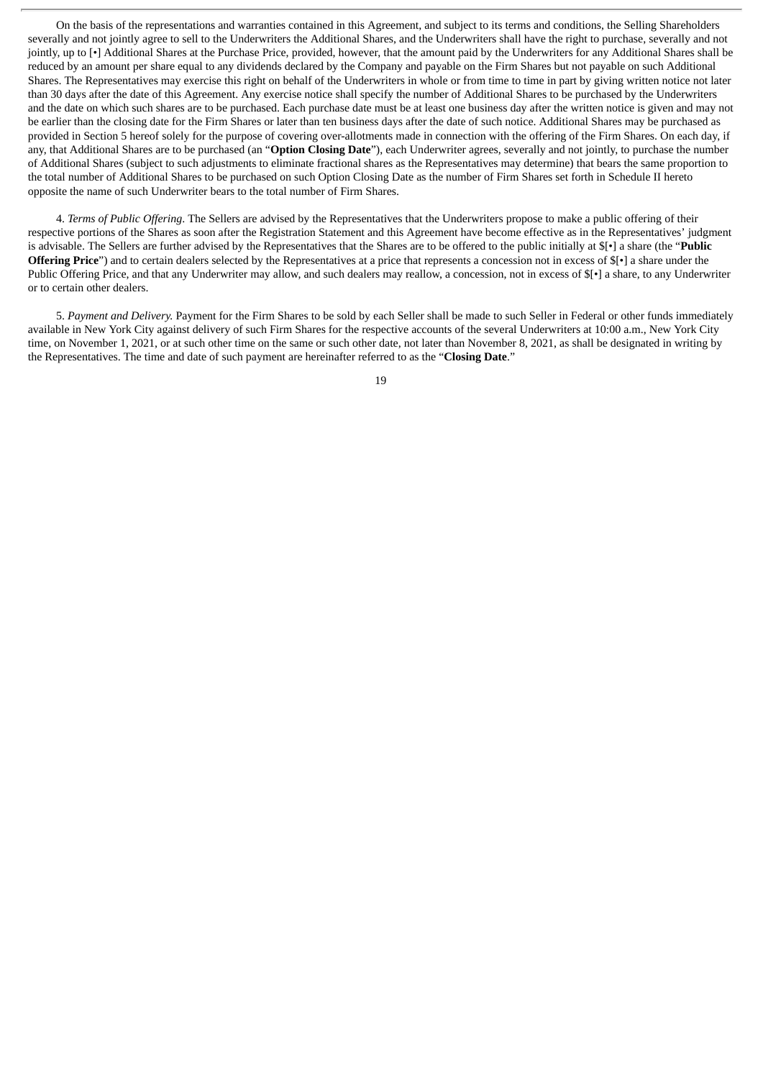On the basis of the representations and warranties contained in this Agreement, and subject to its terms and conditions, the Selling Shareholders severally and not jointly agree to sell to the Underwriters the Additional Shares, and the Underwriters shall have the right to purchase, severally and not jointly, up to [•] Additional Shares at the Purchase Price, provided, however, that the amount paid by the Underwriters for any Additional Shares shall be reduced by an amount per share equal to any dividends declared by the Company and payable on the Firm Shares but not payable on such Additional Shares. The Representatives may exercise this right on behalf of the Underwriters in whole or from time to time in part by giving written notice not later than 30 days after the date of this Agreement. Any exercise notice shall specify the number of Additional Shares to be purchased by the Underwriters and the date on which such shares are to be purchased. Each purchase date must be at least one business day after the written notice is given and may not be earlier than the closing date for the Firm Shares or later than ten business days after the date of such notice. Additional Shares may be purchased as provided in Section 5 hereof solely for the purpose of covering over-allotments made in connection with the offering of the Firm Shares. On each day, if any, that Additional Shares are to be purchased (an "**Option Closing Date**"), each Underwriter agrees, severally and not jointly, to purchase the number of Additional Shares (subject to such adjustments to eliminate fractional shares as the Representatives may determine) that bears the same proportion to the total number of Additional Shares to be purchased on such Option Closing Date as the number of Firm Shares set forth in Schedule II hereto opposite the name of such Underwriter bears to the total number of Firm Shares.

4. *Terms of Public Offering*. The Sellers are advised by the Representatives that the Underwriters propose to make a public offering of their respective portions of the Shares as soon after the Registration Statement and this Agreement have become effective as in the Representatives' judgment is advisable. The Sellers are further advised by the Representatives that the Shares are to be offered to the public initially at \$[•] a share (the "**Public Offering Price**") and to certain dealers selected by the Representatives at a price that represents a concession not in excess of \$[•] a share under the Public Offering Price, and that any Underwriter may allow, and such dealers may reallow, a concession, not in excess of \$[•] a share, to any Underwriter or to certain other dealers.

5. *Payment and Delivery.* Payment for the Firm Shares to be sold by each Seller shall be made to such Seller in Federal or other funds immediately available in New York City against delivery of such Firm Shares for the respective accounts of the several Underwriters at 10:00 a.m., New York City time, on November 1, 2021, or at such other time on the same or such other date, not later than November 8, 2021, as shall be designated in writing by the Representatives. The time and date of such payment are hereinafter referred to as the "**Closing Date**."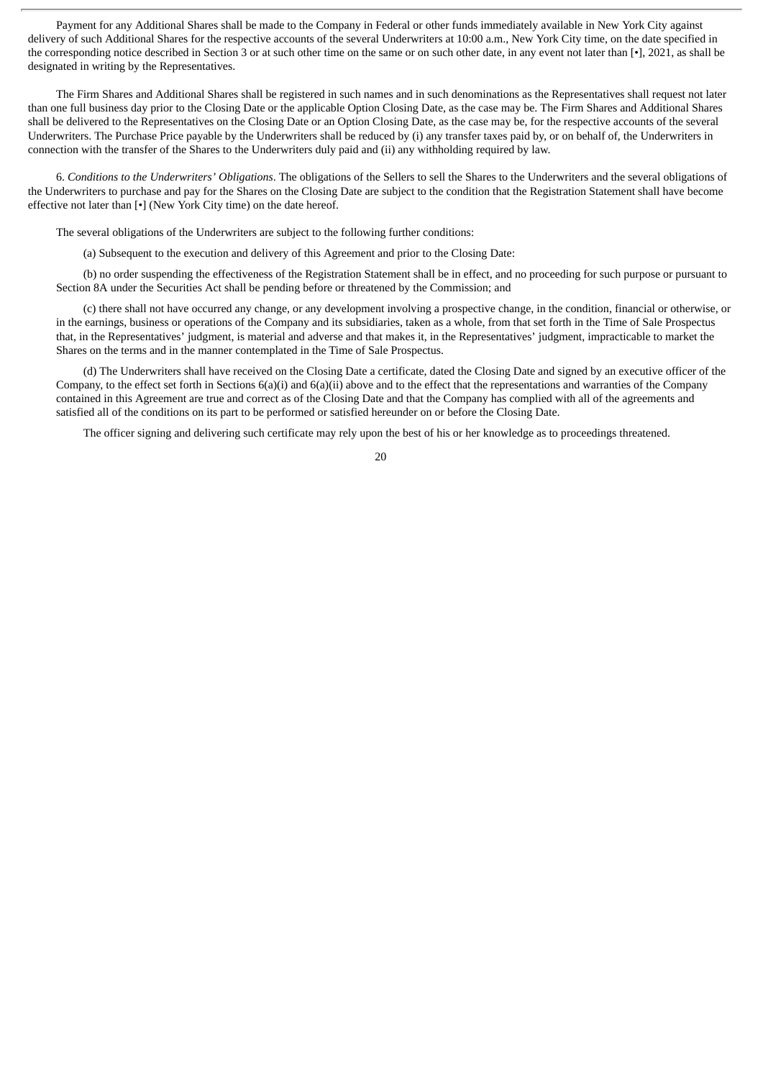Payment for any Additional Shares shall be made to the Company in Federal or other funds immediately available in New York City against delivery of such Additional Shares for the respective accounts of the several Underwriters at 10:00 a.m., New York City time, on the date specified in the corresponding notice described in Section 3 or at such other time on the same or on such other date, in any event not later than [•], 2021, as shall be designated in writing by the Representatives.

The Firm Shares and Additional Shares shall be registered in such names and in such denominations as the Representatives shall request not later than one full business day prior to the Closing Date or the applicable Option Closing Date, as the case may be. The Firm Shares and Additional Shares shall be delivered to the Representatives on the Closing Date or an Option Closing Date, as the case may be, for the respective accounts of the several Underwriters. The Purchase Price payable by the Underwriters shall be reduced by (i) any transfer taxes paid by, or on behalf of, the Underwriters in connection with the transfer of the Shares to the Underwriters duly paid and (ii) any withholding required by law.

6. *Conditions to the Underwriters' Obligations*. The obligations of the Sellers to sell the Shares to the Underwriters and the several obligations of the Underwriters to purchase and pay for the Shares on the Closing Date are subject to the condition that the Registration Statement shall have become effective not later than [•] (New York City time) on the date hereof.

The several obligations of the Underwriters are subject to the following further conditions:

(a) Subsequent to the execution and delivery of this Agreement and prior to the Closing Date:

(b) no order suspending the effectiveness of the Registration Statement shall be in effect, and no proceeding for such purpose or pursuant to Section 8A under the Securities Act shall be pending before or threatened by the Commission; and

(c) there shall not have occurred any change, or any development involving a prospective change, in the condition, financial or otherwise, or in the earnings, business or operations of the Company and its subsidiaries, taken as a whole, from that set forth in the Time of Sale Prospectus that, in the Representatives' judgment, is material and adverse and that makes it, in the Representatives' judgment, impracticable to market the Shares on the terms and in the manner contemplated in the Time of Sale Prospectus.

(d) The Underwriters shall have received on the Closing Date a certificate, dated the Closing Date and signed by an executive officer of the Company, to the effect set forth in Sections  $6(a)(i)$  and  $6(a)(ii)$  above and to the effect that the representations and warranties of the Company contained in this Agreement are true and correct as of the Closing Date and that the Company has complied with all of the agreements and satisfied all of the conditions on its part to be performed or satisfied hereunder on or before the Closing Date.

The officer signing and delivering such certificate may rely upon the best of his or her knowledge as to proceedings threatened.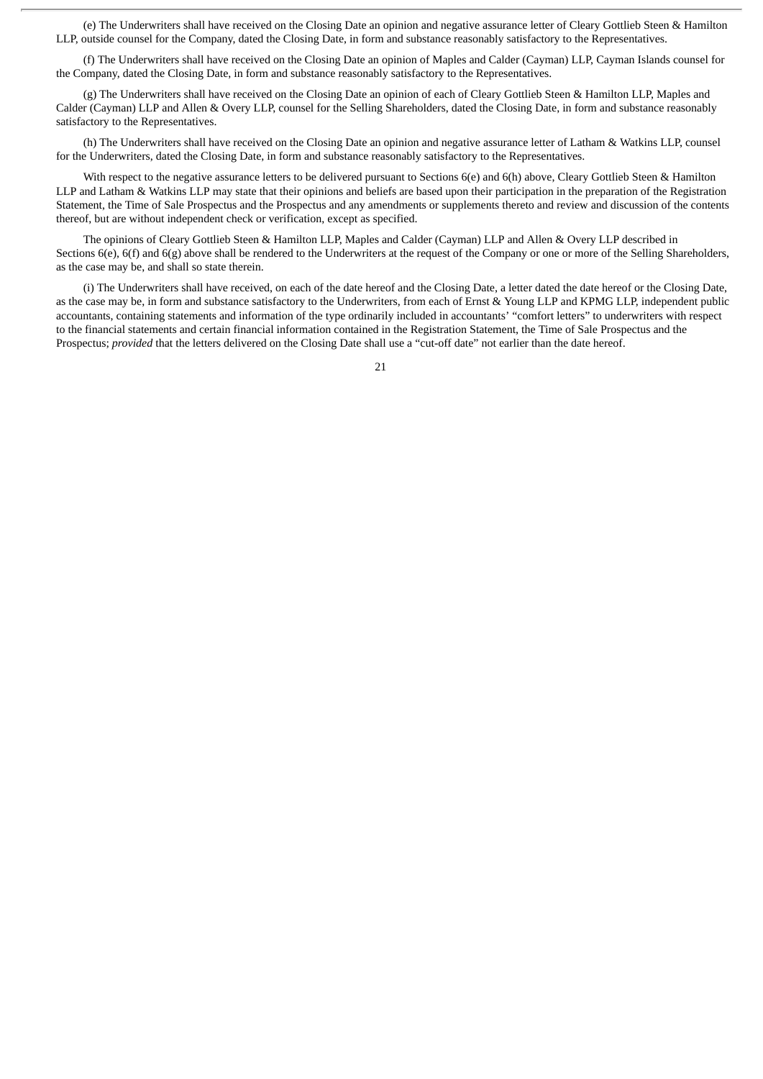(e) The Underwriters shall have received on the Closing Date an opinion and negative assurance letter of Cleary Gottlieb Steen & Hamilton LLP, outside counsel for the Company, dated the Closing Date, in form and substance reasonably satisfactory to the Representatives.

(f) The Underwriters shall have received on the Closing Date an opinion of Maples and Calder (Cayman) LLP, Cayman Islands counsel for the Company, dated the Closing Date, in form and substance reasonably satisfactory to the Representatives.

(g) The Underwriters shall have received on the Closing Date an opinion of each of Cleary Gottlieb Steen & Hamilton LLP, Maples and Calder (Cayman) LLP and Allen & Overy LLP, counsel for the Selling Shareholders, dated the Closing Date, in form and substance reasonably satisfactory to the Representatives.

(h) The Underwriters shall have received on the Closing Date an opinion and negative assurance letter of Latham & Watkins LLP, counsel for the Underwriters, dated the Closing Date, in form and substance reasonably satisfactory to the Representatives.

With respect to the negative assurance letters to be delivered pursuant to Sections 6(e) and 6(h) above, Cleary Gottlieb Steen & Hamilton LLP and Latham & Watkins LLP may state that their opinions and beliefs are based upon their participation in the preparation of the Registration Statement, the Time of Sale Prospectus and the Prospectus and any amendments or supplements thereto and review and discussion of the contents thereof, but are without independent check or verification, except as specified.

The opinions of Cleary Gottlieb Steen & Hamilton LLP, Maples and Calder (Cayman) LLP and Allen & Overy LLP described in Sections 6(e), 6(f) and 6(g) above shall be rendered to the Underwriters at the request of the Company or one or more of the Selling Shareholders, as the case may be, and shall so state therein.

(i) The Underwriters shall have received, on each of the date hereof and the Closing Date, a letter dated the date hereof or the Closing Date, as the case may be, in form and substance satisfactory to the Underwriters, from each of Ernst & Young LLP and KPMG LLP, independent public accountants, containing statements and information of the type ordinarily included in accountants' "comfort letters" to underwriters with respect to the financial statements and certain financial information contained in the Registration Statement, the Time of Sale Prospectus and the Prospectus; *provided* that the letters delivered on the Closing Date shall use a "cut-off date" not earlier than the date hereof.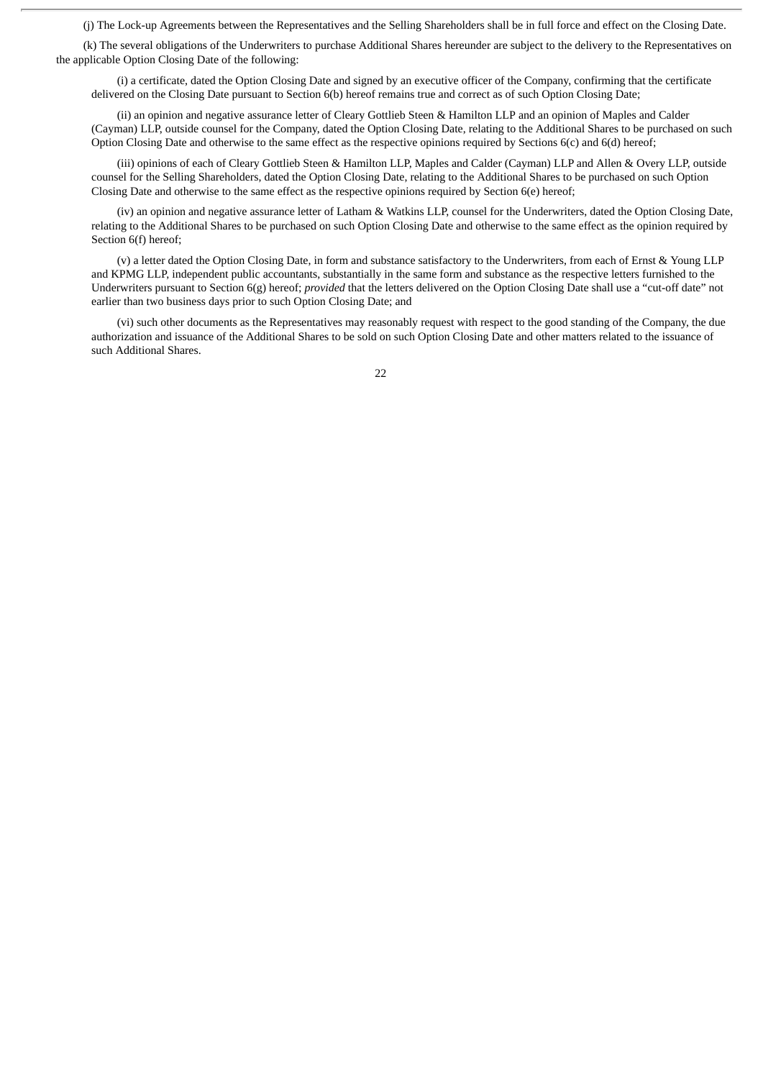(j) The Lock-up Agreements between the Representatives and the Selling Shareholders shall be in full force and effect on the Closing Date.

(k) The several obligations of the Underwriters to purchase Additional Shares hereunder are subject to the delivery to the Representatives on the applicable Option Closing Date of the following:

(i) a certificate, dated the Option Closing Date and signed by an executive officer of the Company, confirming that the certificate delivered on the Closing Date pursuant to Section 6(b) hereof remains true and correct as of such Option Closing Date;

(ii) an opinion and negative assurance letter of Cleary Gottlieb Steen & Hamilton LLP and an opinion of Maples and Calder (Cayman) LLP, outside counsel for the Company, dated the Option Closing Date, relating to the Additional Shares to be purchased on such Option Closing Date and otherwise to the same effect as the respective opinions required by Sections 6(c) and 6(d) hereof;

(iii) opinions of each of Cleary Gottlieb Steen & Hamilton LLP, Maples and Calder (Cayman) LLP and Allen & Overy LLP, outside counsel for the Selling Shareholders, dated the Option Closing Date, relating to the Additional Shares to be purchased on such Option Closing Date and otherwise to the same effect as the respective opinions required by Section 6(e) hereof;

(iv) an opinion and negative assurance letter of Latham & Watkins LLP, counsel for the Underwriters, dated the Option Closing Date, relating to the Additional Shares to be purchased on such Option Closing Date and otherwise to the same effect as the opinion required by Section 6(f) hereof;

(v) a letter dated the Option Closing Date, in form and substance satisfactory to the Underwriters, from each of Ernst & Young LLP and KPMG LLP, independent public accountants, substantially in the same form and substance as the respective letters furnished to the Underwriters pursuant to Section 6(g) hereof; *provided* that the letters delivered on the Option Closing Date shall use a "cut-off date" not earlier than two business days prior to such Option Closing Date; and

(vi) such other documents as the Representatives may reasonably request with respect to the good standing of the Company, the due authorization and issuance of the Additional Shares to be sold on such Option Closing Date and other matters related to the issuance of such Additional Shares.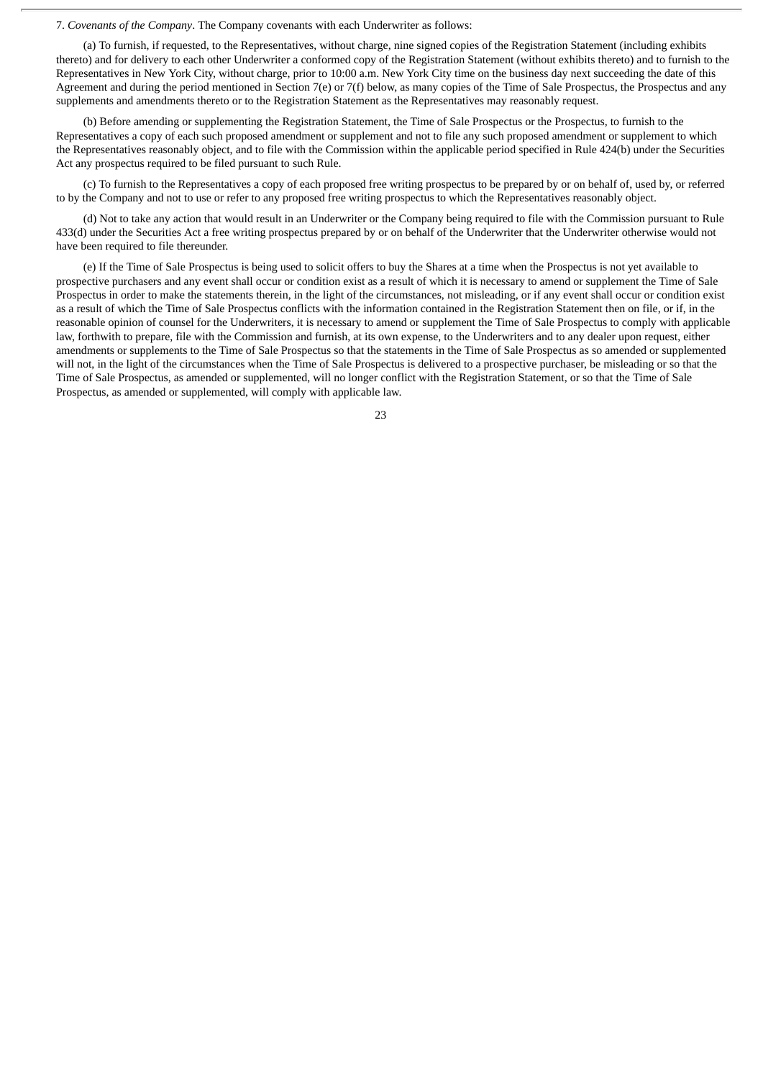7. *Covenants of the Company*. The Company covenants with each Underwriter as follows:

(a) To furnish, if requested, to the Representatives, without charge, nine signed copies of the Registration Statement (including exhibits thereto) and for delivery to each other Underwriter a conformed copy of the Registration Statement (without exhibits thereto) and to furnish to the Representatives in New York City, without charge, prior to 10:00 a.m. New York City time on the business day next succeeding the date of this Agreement and during the period mentioned in Section 7(e) or 7(f) below, as many copies of the Time of Sale Prospectus, the Prospectus and any supplements and amendments thereto or to the Registration Statement as the Representatives may reasonably request.

(b) Before amending or supplementing the Registration Statement, the Time of Sale Prospectus or the Prospectus, to furnish to the Representatives a copy of each such proposed amendment or supplement and not to file any such proposed amendment or supplement to which the Representatives reasonably object, and to file with the Commission within the applicable period specified in Rule 424(b) under the Securities Act any prospectus required to be filed pursuant to such Rule.

(c) To furnish to the Representatives a copy of each proposed free writing prospectus to be prepared by or on behalf of, used by, or referred to by the Company and not to use or refer to any proposed free writing prospectus to which the Representatives reasonably object.

(d) Not to take any action that would result in an Underwriter or the Company being required to file with the Commission pursuant to Rule 433(d) under the Securities Act a free writing prospectus prepared by or on behalf of the Underwriter that the Underwriter otherwise would not have been required to file thereunder.

(e) If the Time of Sale Prospectus is being used to solicit offers to buy the Shares at a time when the Prospectus is not yet available to prospective purchasers and any event shall occur or condition exist as a result of which it is necessary to amend or supplement the Time of Sale Prospectus in order to make the statements therein, in the light of the circumstances, not misleading, or if any event shall occur or condition exist as a result of which the Time of Sale Prospectus conflicts with the information contained in the Registration Statement then on file, or if, in the reasonable opinion of counsel for the Underwriters, it is necessary to amend or supplement the Time of Sale Prospectus to comply with applicable law, forthwith to prepare, file with the Commission and furnish, at its own expense, to the Underwriters and to any dealer upon request, either amendments or supplements to the Time of Sale Prospectus so that the statements in the Time of Sale Prospectus as so amended or supplemented will not, in the light of the circumstances when the Time of Sale Prospectus is delivered to a prospective purchaser, be misleading or so that the Time of Sale Prospectus, as amended or supplemented, will no longer conflict with the Registration Statement, or so that the Time of Sale Prospectus, as amended or supplemented, will comply with applicable law.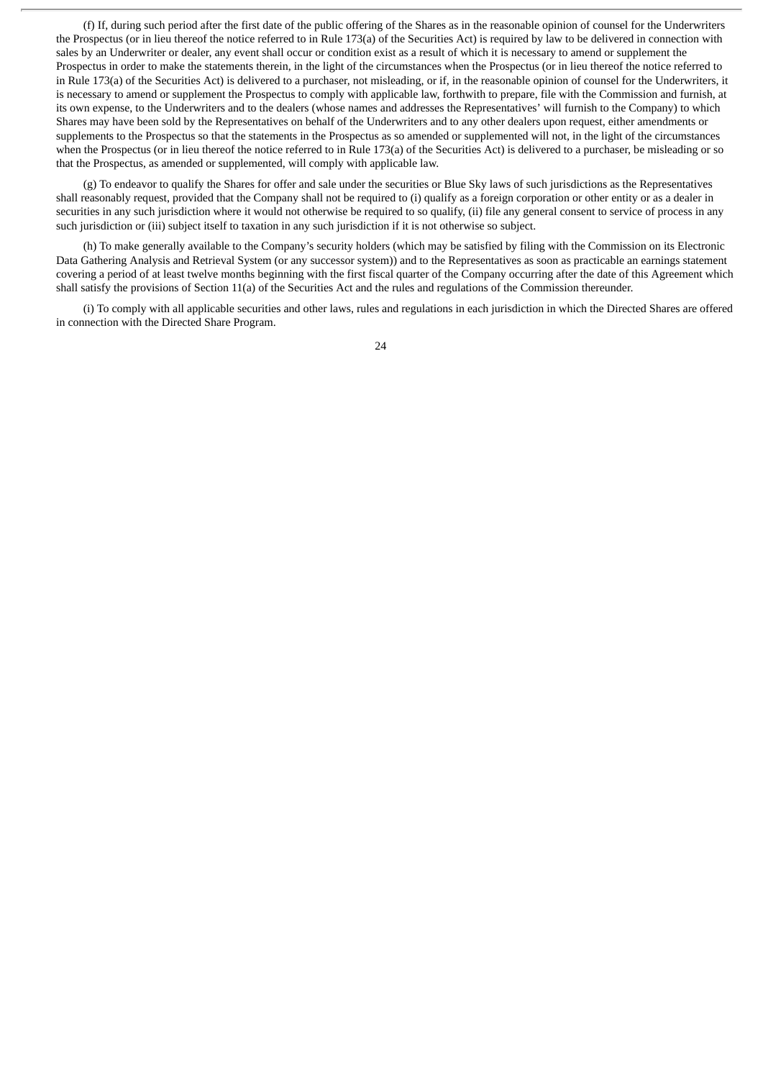(f) If, during such period after the first date of the public offering of the Shares as in the reasonable opinion of counsel for the Underwriters the Prospectus (or in lieu thereof the notice referred to in Rule 173(a) of the Securities Act) is required by law to be delivered in connection with sales by an Underwriter or dealer, any event shall occur or condition exist as a result of which it is necessary to amend or supplement the Prospectus in order to make the statements therein, in the light of the circumstances when the Prospectus (or in lieu thereof the notice referred to in Rule 173(a) of the Securities Act) is delivered to a purchaser, not misleading, or if, in the reasonable opinion of counsel for the Underwriters, it is necessary to amend or supplement the Prospectus to comply with applicable law, forthwith to prepare, file with the Commission and furnish, at its own expense, to the Underwriters and to the dealers (whose names and addresses the Representatives' will furnish to the Company) to which Shares may have been sold by the Representatives on behalf of the Underwriters and to any other dealers upon request, either amendments or supplements to the Prospectus so that the statements in the Prospectus as so amended or supplemented will not, in the light of the circumstances when the Prospectus (or in lieu thereof the notice referred to in Rule 173(a) of the Securities Act) is delivered to a purchaser, be misleading or so that the Prospectus, as amended or supplemented, will comply with applicable law.

(g) To endeavor to qualify the Shares for offer and sale under the securities or Blue Sky laws of such jurisdictions as the Representatives shall reasonably request, provided that the Company shall not be required to (i) qualify as a foreign corporation or other entity or as a dealer in securities in any such jurisdiction where it would not otherwise be required to so qualify, (ii) file any general consent to service of process in any such jurisdiction or (iii) subject itself to taxation in any such jurisdiction if it is not otherwise so subject.

(h) To make generally available to the Company's security holders (which may be satisfied by filing with the Commission on its Electronic Data Gathering Analysis and Retrieval System (or any successor system)) and to the Representatives as soon as practicable an earnings statement covering a period of at least twelve months beginning with the first fiscal quarter of the Company occurring after the date of this Agreement which shall satisfy the provisions of Section 11(a) of the Securities Act and the rules and regulations of the Commission thereunder.

(i) To comply with all applicable securities and other laws, rules and regulations in each jurisdiction in which the Directed Shares are offered in connection with the Directed Share Program.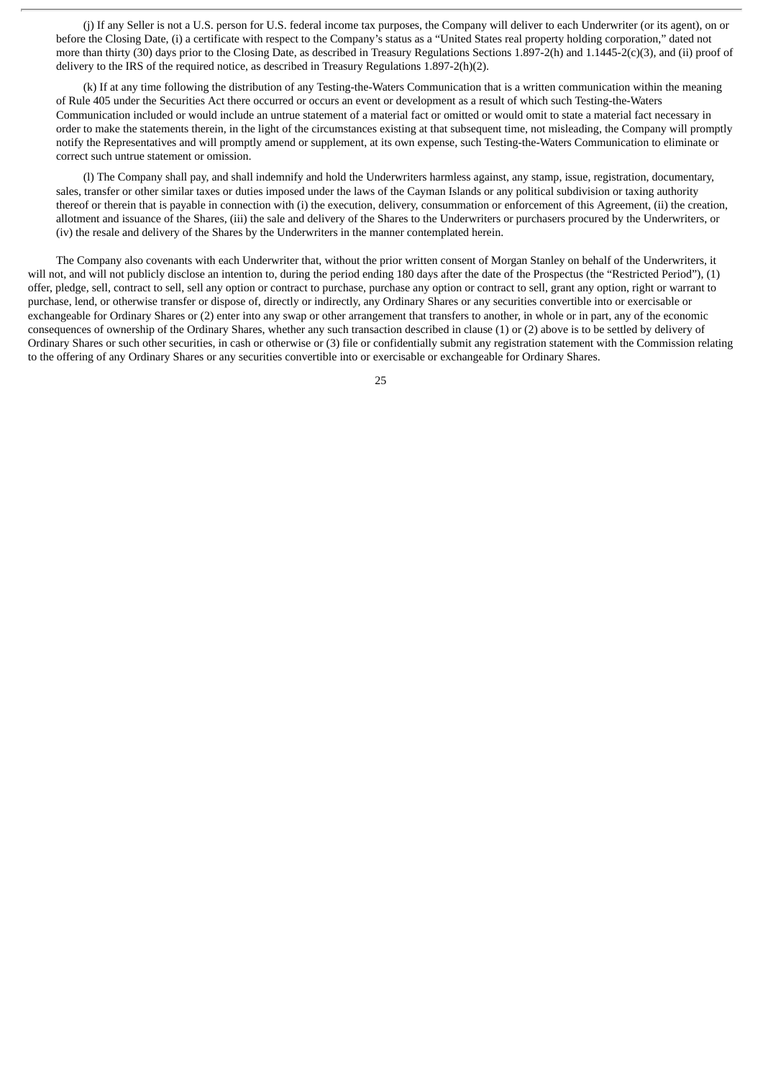(j) If any Seller is not a U.S. person for U.S. federal income tax purposes, the Company will deliver to each Underwriter (or its agent), on or before the Closing Date, (i) a certificate with respect to the Company's status as a "United States real property holding corporation," dated not more than thirty (30) days prior to the Closing Date, as described in Treasury Regulations Sections 1.897-2(h) and 1.1445-2(c)(3), and (ii) proof of delivery to the IRS of the required notice, as described in Treasury Regulations 1.897-2(h)(2).

(k) If at any time following the distribution of any Testing-the-Waters Communication that is a written communication within the meaning of Rule 405 under the Securities Act there occurred or occurs an event or development as a result of which such Testing-the-Waters Communication included or would include an untrue statement of a material fact or omitted or would omit to state a material fact necessary in order to make the statements therein, in the light of the circumstances existing at that subsequent time, not misleading, the Company will promptly notify the Representatives and will promptly amend or supplement, at its own expense, such Testing-the-Waters Communication to eliminate or correct such untrue statement or omission.

(l) The Company shall pay, and shall indemnify and hold the Underwriters harmless against, any stamp, issue, registration, documentary, sales, transfer or other similar taxes or duties imposed under the laws of the Cayman Islands or any political subdivision or taxing authority thereof or therein that is payable in connection with (i) the execution, delivery, consummation or enforcement of this Agreement, (ii) the creation, allotment and issuance of the Shares, (iii) the sale and delivery of the Shares to the Underwriters or purchasers procured by the Underwriters, or (iv) the resale and delivery of the Shares by the Underwriters in the manner contemplated herein.

The Company also covenants with each Underwriter that, without the prior written consent of Morgan Stanley on behalf of the Underwriters, it will not, and will not publicly disclose an intention to, during the period ending 180 days after the date of the Prospectus (the "Restricted Period"), (1) offer, pledge, sell, contract to sell, sell any option or contract to purchase, purchase any option or contract to sell, grant any option, right or warrant to purchase, lend, or otherwise transfer or dispose of, directly or indirectly, any Ordinary Shares or any securities convertible into or exercisable or exchangeable for Ordinary Shares or (2) enter into any swap or other arrangement that transfers to another, in whole or in part, any of the economic consequences of ownership of the Ordinary Shares, whether any such transaction described in clause (1) or (2) above is to be settled by delivery of Ordinary Shares or such other securities, in cash or otherwise or (3) file or confidentially submit any registration statement with the Commission relating to the offering of any Ordinary Shares or any securities convertible into or exercisable or exchangeable for Ordinary Shares.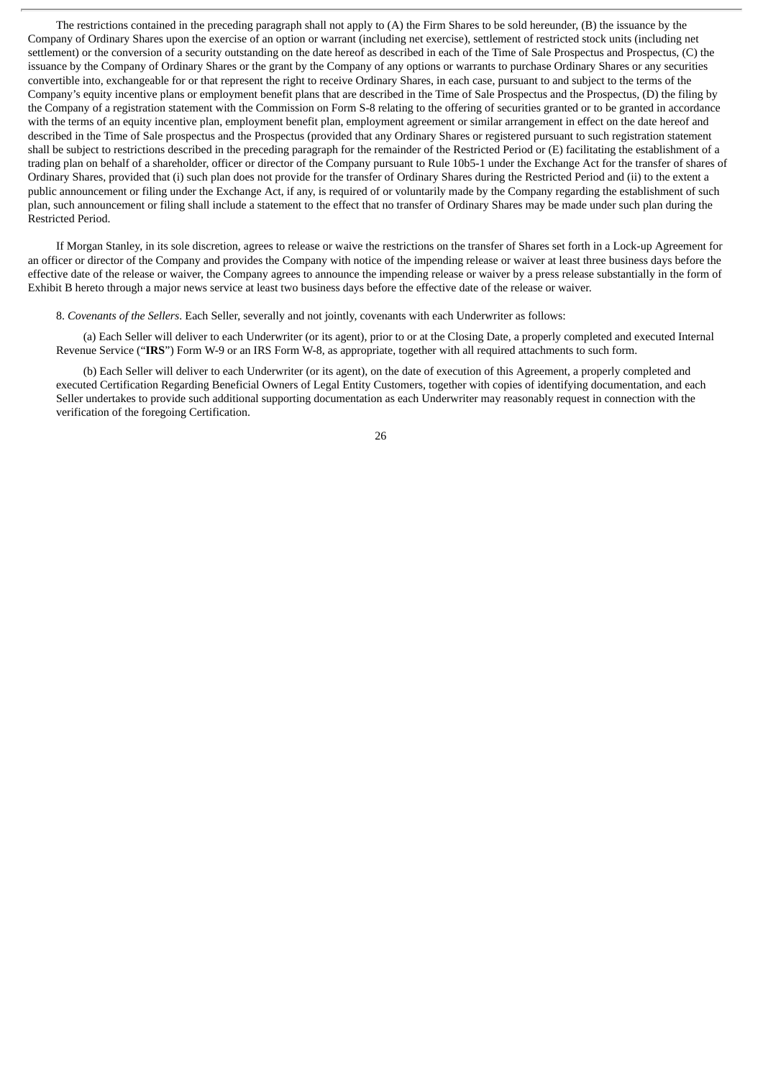The restrictions contained in the preceding paragraph shall not apply to (A) the Firm Shares to be sold hereunder, (B) the issuance by the Company of Ordinary Shares upon the exercise of an option or warrant (including net exercise), settlement of restricted stock units (including net settlement) or the conversion of a security outstanding on the date hereof as described in each of the Time of Sale Prospectus and Prospectus, (C) the issuance by the Company of Ordinary Shares or the grant by the Company of any options or warrants to purchase Ordinary Shares or any securities convertible into, exchangeable for or that represent the right to receive Ordinary Shares, in each case, pursuant to and subject to the terms of the Company's equity incentive plans or employment benefit plans that are described in the Time of Sale Prospectus and the Prospectus, (D) the filing by the Company of a registration statement with the Commission on Form S-8 relating to the offering of securities granted or to be granted in accordance with the terms of an equity incentive plan, employment benefit plan, employment agreement or similar arrangement in effect on the date hereof and described in the Time of Sale prospectus and the Prospectus (provided that any Ordinary Shares or registered pursuant to such registration statement shall be subject to restrictions described in the preceding paragraph for the remainder of the Restricted Period or (E) facilitating the establishment of a trading plan on behalf of a shareholder, officer or director of the Company pursuant to Rule 10b5-1 under the Exchange Act for the transfer of shares of Ordinary Shares, provided that (i) such plan does not provide for the transfer of Ordinary Shares during the Restricted Period and (ii) to the extent a public announcement or filing under the Exchange Act, if any, is required of or voluntarily made by the Company regarding the establishment of such plan, such announcement or filing shall include a statement to the effect that no transfer of Ordinary Shares may be made under such plan during the Restricted Period.

If Morgan Stanley, in its sole discretion, agrees to release or waive the restrictions on the transfer of Shares set forth in a Lock-up Agreement for an officer or director of the Company and provides the Company with notice of the impending release or waiver at least three business days before the effective date of the release or waiver, the Company agrees to announce the impending release or waiver by a press release substantially in the form of Exhibit B hereto through a major news service at least two business days before the effective date of the release or waiver.

8. *Covenants of the Sellers*. Each Seller, severally and not jointly, covenants with each Underwriter as follows:

(a) Each Seller will deliver to each Underwriter (or its agent), prior to or at the Closing Date, a properly completed and executed Internal Revenue Service ("**IRS**") Form W-9 or an IRS Form W-8, as appropriate, together with all required attachments to such form.

(b) Each Seller will deliver to each Underwriter (or its agent), on the date of execution of this Agreement, a properly completed and executed Certification Regarding Beneficial Owners of Legal Entity Customers, together with copies of identifying documentation, and each Seller undertakes to provide such additional supporting documentation as each Underwriter may reasonably request in connection with the verification of the foregoing Certification.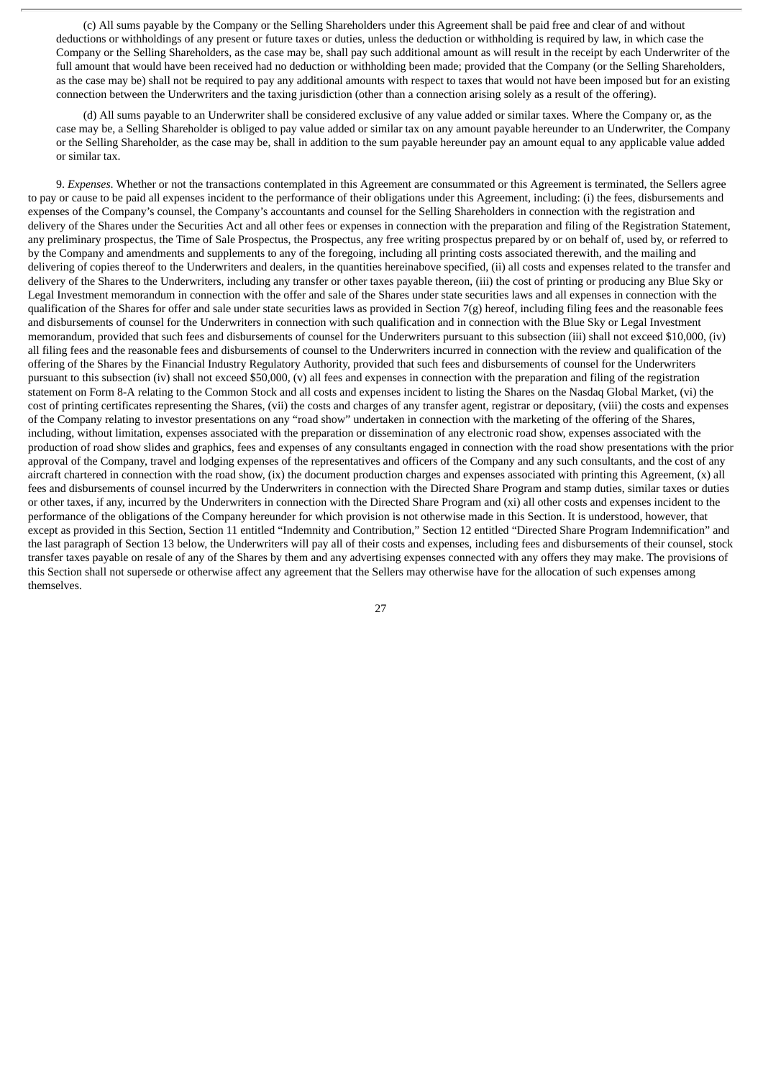(c) All sums payable by the Company or the Selling Shareholders under this Agreement shall be paid free and clear of and without deductions or withholdings of any present or future taxes or duties, unless the deduction or withholding is required by law, in which case the Company or the Selling Shareholders, as the case may be, shall pay such additional amount as will result in the receipt by each Underwriter of the full amount that would have been received had no deduction or withholding been made; provided that the Company (or the Selling Shareholders, as the case may be) shall not be required to pay any additional amounts with respect to taxes that would not have been imposed but for an existing connection between the Underwriters and the taxing jurisdiction (other than a connection arising solely as a result of the offering).

(d) All sums payable to an Underwriter shall be considered exclusive of any value added or similar taxes. Where the Company or, as the case may be, a Selling Shareholder is obliged to pay value added or similar tax on any amount payable hereunder to an Underwriter, the Company or the Selling Shareholder, as the case may be, shall in addition to the sum payable hereunder pay an amount equal to any applicable value added or similar tax.

9. *Expenses*. Whether or not the transactions contemplated in this Agreement are consummated or this Agreement is terminated, the Sellers agree to pay or cause to be paid all expenses incident to the performance of their obligations under this Agreement, including: (i) the fees, disbursements and expenses of the Company's counsel, the Company's accountants and counsel for the Selling Shareholders in connection with the registration and delivery of the Shares under the Securities Act and all other fees or expenses in connection with the preparation and filing of the Registration Statement, any preliminary prospectus, the Time of Sale Prospectus, the Prospectus, any free writing prospectus prepared by or on behalf of, used by, or referred to by the Company and amendments and supplements to any of the foregoing, including all printing costs associated therewith, and the mailing and delivering of copies thereof to the Underwriters and dealers, in the quantities hereinabove specified, (ii) all costs and expenses related to the transfer and delivery of the Shares to the Underwriters, including any transfer or other taxes payable thereon, (iii) the cost of printing or producing any Blue Sky or Legal Investment memorandum in connection with the offer and sale of the Shares under state securities laws and all expenses in connection with the qualification of the Shares for offer and sale under state securities laws as provided in Section 7(g) hereof, including filing fees and the reasonable fees and disbursements of counsel for the Underwriters in connection with such qualification and in connection with the Blue Sky or Legal Investment memorandum, provided that such fees and disbursements of counsel for the Underwriters pursuant to this subsection (iii) shall not exceed \$10,000, (iv) all filing fees and the reasonable fees and disbursements of counsel to the Underwriters incurred in connection with the review and qualification of the offering of the Shares by the Financial Industry Regulatory Authority, provided that such fees and disbursements of counsel for the Underwriters pursuant to this subsection (iv) shall not exceed \$50,000, (v) all fees and expenses in connection with the preparation and filing of the registration statement on Form 8-A relating to the Common Stock and all costs and expenses incident to listing the Shares on the Nasdaq Global Market, (vi) the cost of printing certificates representing the Shares, (vii) the costs and charges of any transfer agent, registrar or depositary, (viii) the costs and expenses of the Company relating to investor presentations on any "road show" undertaken in connection with the marketing of the offering of the Shares, including, without limitation, expenses associated with the preparation or dissemination of any electronic road show, expenses associated with the production of road show slides and graphics, fees and expenses of any consultants engaged in connection with the road show presentations with the prior approval of the Company, travel and lodging expenses of the representatives and officers of the Company and any such consultants, and the cost of any aircraft chartered in connection with the road show, (ix) the document production charges and expenses associated with printing this Agreement, (x) all fees and disbursements of counsel incurred by the Underwriters in connection with the Directed Share Program and stamp duties, similar taxes or duties or other taxes, if any, incurred by the Underwriters in connection with the Directed Share Program and (xi) all other costs and expenses incident to the performance of the obligations of the Company hereunder for which provision is not otherwise made in this Section. It is understood, however, that except as provided in this Section, Section 11 entitled "Indemnity and Contribution," Section 12 entitled "Directed Share Program Indemnification" and the last paragraph of Section 13 below, the Underwriters will pay all of their costs and expenses, including fees and disbursements of their counsel, stock transfer taxes payable on resale of any of the Shares by them and any advertising expenses connected with any offers they may make. The provisions of this Section shall not supersede or otherwise affect any agreement that the Sellers may otherwise have for the allocation of such expenses among themselves.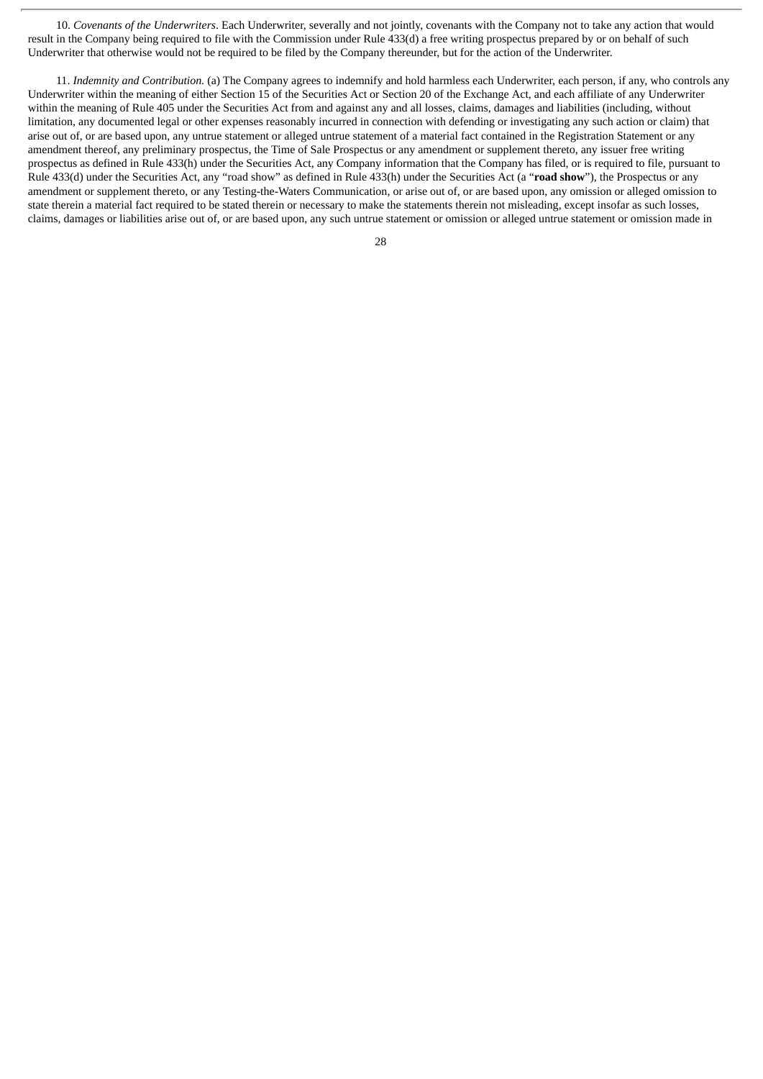10. *Covenants of the Underwriters*. Each Underwriter, severally and not jointly, covenants with the Company not to take any action that would result in the Company being required to file with the Commission under Rule 433(d) a free writing prospectus prepared by or on behalf of such Underwriter that otherwise would not be required to be filed by the Company thereunder, but for the action of the Underwriter.

11. *Indemnity and Contribution.* (a) The Company agrees to indemnify and hold harmless each Underwriter, each person, if any, who controls any Underwriter within the meaning of either Section 15 of the Securities Act or Section 20 of the Exchange Act, and each affiliate of any Underwriter within the meaning of Rule 405 under the Securities Act from and against any and all losses, claims, damages and liabilities (including, without limitation, any documented legal or other expenses reasonably incurred in connection with defending or investigating any such action or claim) that arise out of, or are based upon, any untrue statement or alleged untrue statement of a material fact contained in the Registration Statement or any amendment thereof, any preliminary prospectus, the Time of Sale Prospectus or any amendment or supplement thereto, any issuer free writing prospectus as defined in Rule 433(h) under the Securities Act, any Company information that the Company has filed, or is required to file, pursuant to Rule 433(d) under the Securities Act, any "road show" as defined in Rule 433(h) under the Securities Act (a "**road show**"), the Prospectus or any amendment or supplement thereto, or any Testing-the-Waters Communication, or arise out of, or are based upon, any omission or alleged omission to state therein a material fact required to be stated therein or necessary to make the statements therein not misleading, except insofar as such losses, claims, damages or liabilities arise out of, or are based upon, any such untrue statement or omission or alleged untrue statement or omission made in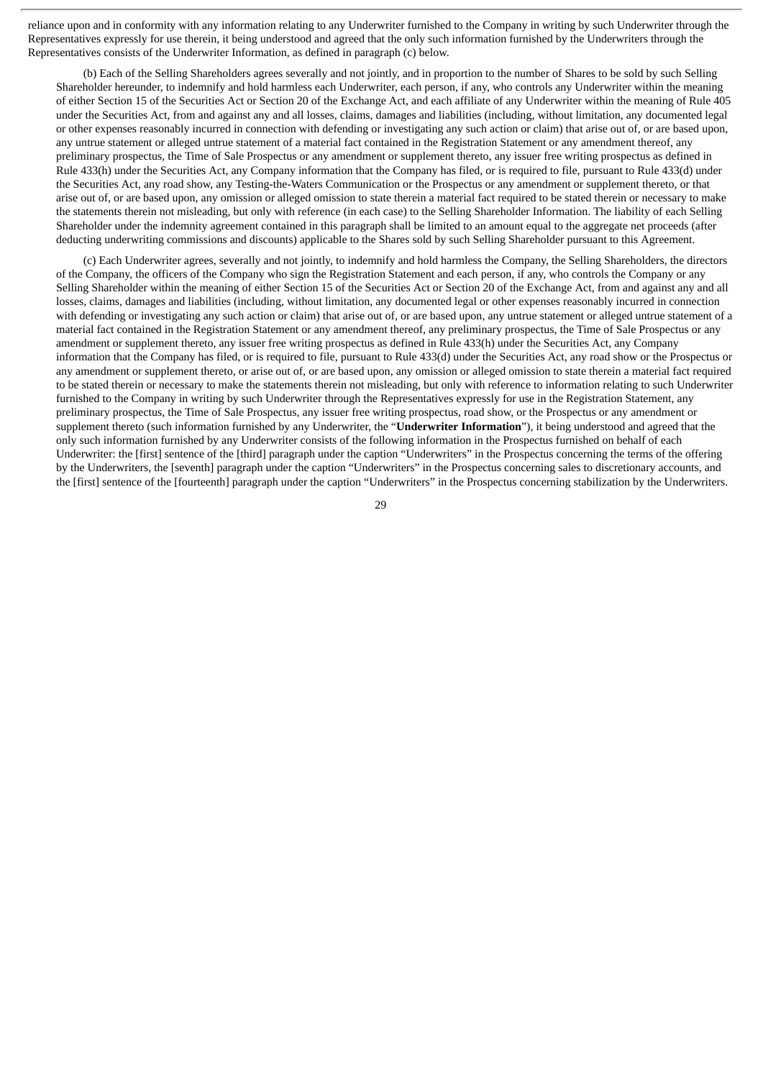reliance upon and in conformity with any information relating to any Underwriter furnished to the Company in writing by such Underwriter through the Representatives expressly for use therein, it being understood and agreed that the only such information furnished by the Underwriters through the Representatives consists of the Underwriter Information, as defined in paragraph (c) below.

(b) Each of the Selling Shareholders agrees severally and not jointly, and in proportion to the number of Shares to be sold by such Selling Shareholder hereunder, to indemnify and hold harmless each Underwriter, each person, if any, who controls any Underwriter within the meaning of either Section 15 of the Securities Act or Section 20 of the Exchange Act, and each affiliate of any Underwriter within the meaning of Rule 405 under the Securities Act, from and against any and all losses, claims, damages and liabilities (including, without limitation, any documented legal or other expenses reasonably incurred in connection with defending or investigating any such action or claim) that arise out of, or are based upon, any untrue statement or alleged untrue statement of a material fact contained in the Registration Statement or any amendment thereof, any preliminary prospectus, the Time of Sale Prospectus or any amendment or supplement thereto, any issuer free writing prospectus as defined in Rule 433(h) under the Securities Act, any Company information that the Company has filed, or is required to file, pursuant to Rule 433(d) under the Securities Act, any road show, any Testing-the-Waters Communication or the Prospectus or any amendment or supplement thereto, or that arise out of, or are based upon, any omission or alleged omission to state therein a material fact required to be stated therein or necessary to make the statements therein not misleading, but only with reference (in each case) to the Selling Shareholder Information. The liability of each Selling Shareholder under the indemnity agreement contained in this paragraph shall be limited to an amount equal to the aggregate net proceeds (after deducting underwriting commissions and discounts) applicable to the Shares sold by such Selling Shareholder pursuant to this Agreement.

(c) Each Underwriter agrees, severally and not jointly, to indemnify and hold harmless the Company, the Selling Shareholders, the directors of the Company, the officers of the Company who sign the Registration Statement and each person, if any, who controls the Company or any Selling Shareholder within the meaning of either Section 15 of the Securities Act or Section 20 of the Exchange Act, from and against any and all losses, claims, damages and liabilities (including, without limitation, any documented legal or other expenses reasonably incurred in connection with defending or investigating any such action or claim) that arise out of, or are based upon, any untrue statement or alleged untrue statement of a material fact contained in the Registration Statement or any amendment thereof, any preliminary prospectus, the Time of Sale Prospectus or any amendment or supplement thereto, any issuer free writing prospectus as defined in Rule 433(h) under the Securities Act, any Company information that the Company has filed, or is required to file, pursuant to Rule 433(d) under the Securities Act, any road show or the Prospectus or any amendment or supplement thereto, or arise out of, or are based upon, any omission or alleged omission to state therein a material fact required to be stated therein or necessary to make the statements therein not misleading, but only with reference to information relating to such Underwriter furnished to the Company in writing by such Underwriter through the Representatives expressly for use in the Registration Statement, any preliminary prospectus, the Time of Sale Prospectus, any issuer free writing prospectus, road show, or the Prospectus or any amendment or supplement thereto (such information furnished by any Underwriter, the "**Underwriter Information**"), it being understood and agreed that the only such information furnished by any Underwriter consists of the following information in the Prospectus furnished on behalf of each Underwriter: the [first] sentence of the [third] paragraph under the caption "Underwriters" in the Prospectus concerning the terms of the offering by the Underwriters, the [seventh] paragraph under the caption "Underwriters" in the Prospectus concerning sales to discretionary accounts, and the [first] sentence of the [fourteenth] paragraph under the caption "Underwriters" in the Prospectus concerning stabilization by the Underwriters.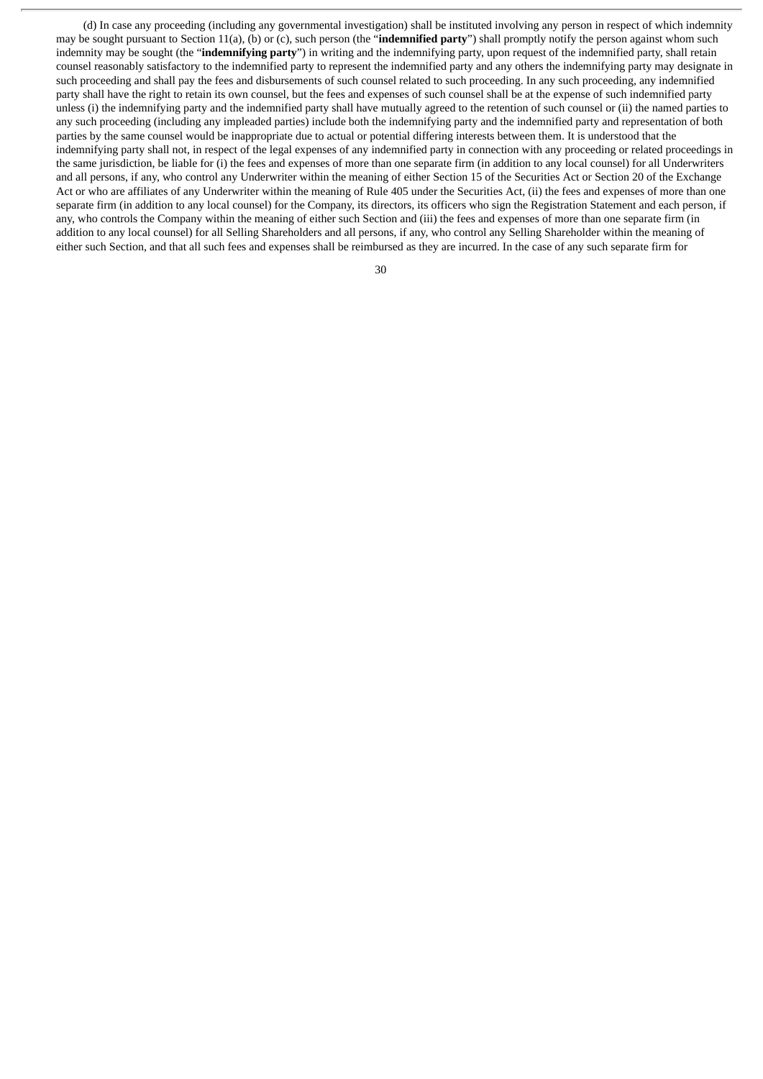(d) In case any proceeding (including any governmental investigation) shall be instituted involving any person in respect of which indemnity may be sought pursuant to Section 11(a), (b) or (c), such person (the "**indemnified party**") shall promptly notify the person against whom such indemnity may be sought (the "**indemnifying party**") in writing and the indemnifying party, upon request of the indemnified party, shall retain counsel reasonably satisfactory to the indemnified party to represent the indemnified party and any others the indemnifying party may designate in such proceeding and shall pay the fees and disbursements of such counsel related to such proceeding. In any such proceeding, any indemnified party shall have the right to retain its own counsel, but the fees and expenses of such counsel shall be at the expense of such indemnified party unless (i) the indemnifying party and the indemnified party shall have mutually agreed to the retention of such counsel or (ii) the named parties to any such proceeding (including any impleaded parties) include both the indemnifying party and the indemnified party and representation of both parties by the same counsel would be inappropriate due to actual or potential differing interests between them. It is understood that the indemnifying party shall not, in respect of the legal expenses of any indemnified party in connection with any proceeding or related proceedings in the same jurisdiction, be liable for (i) the fees and expenses of more than one separate firm (in addition to any local counsel) for all Underwriters and all persons, if any, who control any Underwriter within the meaning of either Section 15 of the Securities Act or Section 20 of the Exchange Act or who are affiliates of any Underwriter within the meaning of Rule 405 under the Securities Act, (ii) the fees and expenses of more than one separate firm (in addition to any local counsel) for the Company, its directors, its officers who sign the Registration Statement and each person, if any, who controls the Company within the meaning of either such Section and (iii) the fees and expenses of more than one separate firm (in addition to any local counsel) for all Selling Shareholders and all persons, if any, who control any Selling Shareholder within the meaning of either such Section, and that all such fees and expenses shall be reimbursed as they are incurred. In the case of any such separate firm for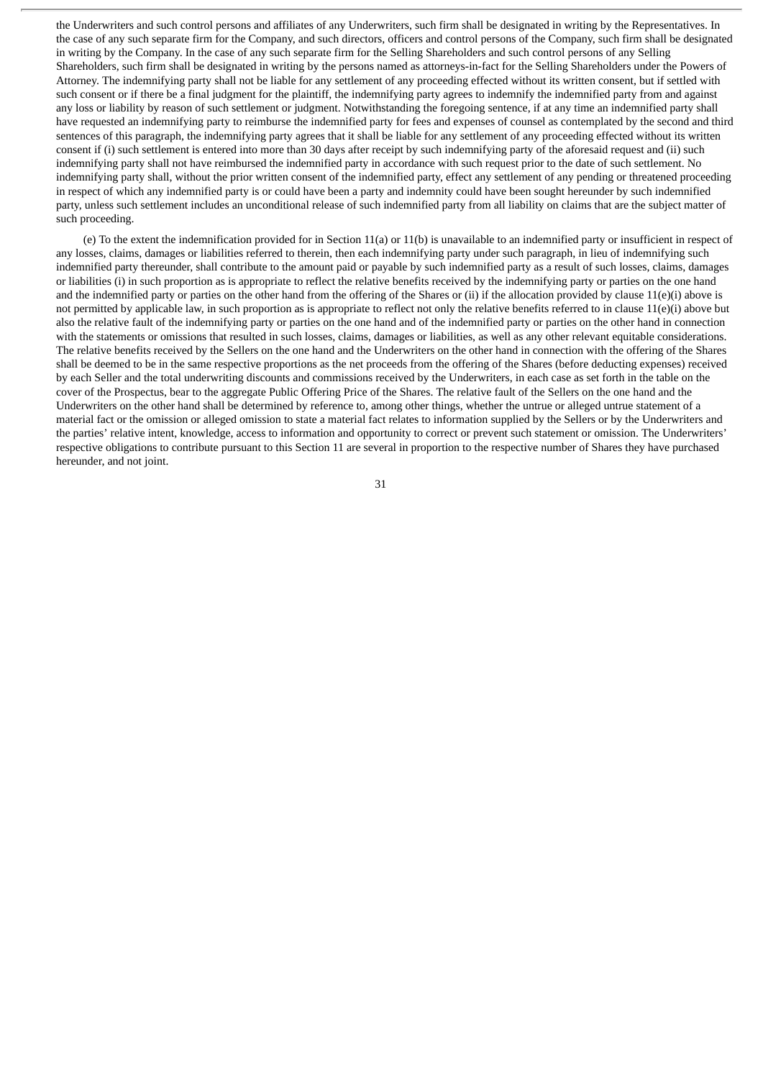the Underwriters and such control persons and affiliates of any Underwriters, such firm shall be designated in writing by the Representatives. In the case of any such separate firm for the Company, and such directors, officers and control persons of the Company, such firm shall be designated in writing by the Company. In the case of any such separate firm for the Selling Shareholders and such control persons of any Selling Shareholders, such firm shall be designated in writing by the persons named as attorneys-in-fact for the Selling Shareholders under the Powers of Attorney. The indemnifying party shall not be liable for any settlement of any proceeding effected without its written consent, but if settled with such consent or if there be a final judgment for the plaintiff, the indemnifying party agrees to indemnify the indemnified party from and against any loss or liability by reason of such settlement or judgment. Notwithstanding the foregoing sentence, if at any time an indemnified party shall have requested an indemnifying party to reimburse the indemnified party for fees and expenses of counsel as contemplated by the second and third sentences of this paragraph, the indemnifying party agrees that it shall be liable for any settlement of any proceeding effected without its written consent if (i) such settlement is entered into more than 30 days after receipt by such indemnifying party of the aforesaid request and (ii) such indemnifying party shall not have reimbursed the indemnified party in accordance with such request prior to the date of such settlement. No indemnifying party shall, without the prior written consent of the indemnified party, effect any settlement of any pending or threatened proceeding in respect of which any indemnified party is or could have been a party and indemnity could have been sought hereunder by such indemnified party, unless such settlement includes an unconditional release of such indemnified party from all liability on claims that are the subject matter of such proceeding.

(e) To the extent the indemnification provided for in Section 11(a) or 11(b) is unavailable to an indemnified party or insufficient in respect of any losses, claims, damages or liabilities referred to therein, then each indemnifying party under such paragraph, in lieu of indemnifying such indemnified party thereunder, shall contribute to the amount paid or payable by such indemnified party as a result of such losses, claims, damages or liabilities (i) in such proportion as is appropriate to reflect the relative benefits received by the indemnifying party or parties on the one hand and the indemnified party or parties on the other hand from the offering of the Shares or (ii) if the allocation provided by clause  $11(e)(i)$  above is not permitted by applicable law, in such proportion as is appropriate to reflect not only the relative benefits referred to in clause 11(e)(i) above but also the relative fault of the indemnifying party or parties on the one hand and of the indemnified party or parties on the other hand in connection with the statements or omissions that resulted in such losses, claims, damages or liabilities, as well as any other relevant equitable considerations. The relative benefits received by the Sellers on the one hand and the Underwriters on the other hand in connection with the offering of the Shares shall be deemed to be in the same respective proportions as the net proceeds from the offering of the Shares (before deducting expenses) received by each Seller and the total underwriting discounts and commissions received by the Underwriters, in each case as set forth in the table on the cover of the Prospectus, bear to the aggregate Public Offering Price of the Shares. The relative fault of the Sellers on the one hand and the Underwriters on the other hand shall be determined by reference to, among other things, whether the untrue or alleged untrue statement of a material fact or the omission or alleged omission to state a material fact relates to information supplied by the Sellers or by the Underwriters and the parties' relative intent, knowledge, access to information and opportunity to correct or prevent such statement or omission. The Underwriters' respective obligations to contribute pursuant to this Section 11 are several in proportion to the respective number of Shares they have purchased hereunder, and not joint.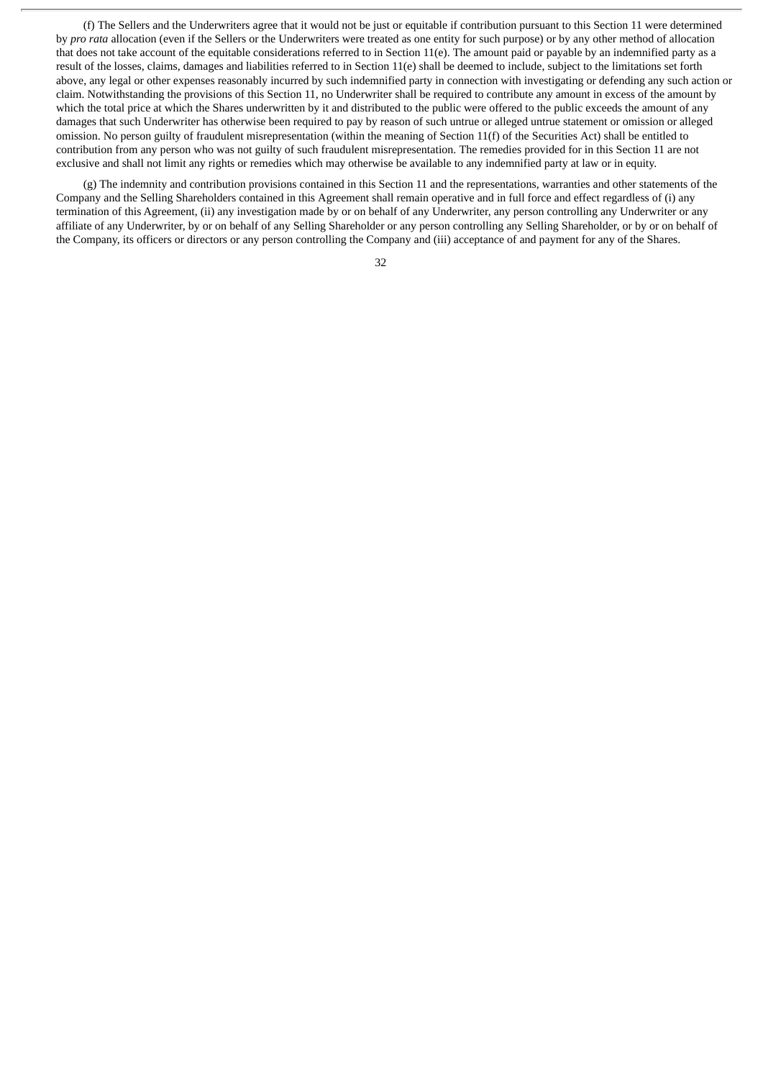(f) The Sellers and the Underwriters agree that it would not be just or equitable if contribution pursuant to this Section 11 were determined by *pro rata* allocation (even if the Sellers or the Underwriters were treated as one entity for such purpose) or by any other method of allocation that does not take account of the equitable considerations referred to in Section 11(e). The amount paid or payable by an indemnified party as a result of the losses, claims, damages and liabilities referred to in Section 11(e) shall be deemed to include, subject to the limitations set forth above, any legal or other expenses reasonably incurred by such indemnified party in connection with investigating or defending any such action or claim. Notwithstanding the provisions of this Section 11, no Underwriter shall be required to contribute any amount in excess of the amount by which the total price at which the Shares underwritten by it and distributed to the public were offered to the public exceeds the amount of any damages that such Underwriter has otherwise been required to pay by reason of such untrue or alleged untrue statement or omission or alleged omission. No person guilty of fraudulent misrepresentation (within the meaning of Section 11(f) of the Securities Act) shall be entitled to contribution from any person who was not guilty of such fraudulent misrepresentation. The remedies provided for in this Section 11 are not exclusive and shall not limit any rights or remedies which may otherwise be available to any indemnified party at law or in equity.

(g) The indemnity and contribution provisions contained in this Section 11 and the representations, warranties and other statements of the Company and the Selling Shareholders contained in this Agreement shall remain operative and in full force and effect regardless of (i) any termination of this Agreement, (ii) any investigation made by or on behalf of any Underwriter, any person controlling any Underwriter or any affiliate of any Underwriter, by or on behalf of any Selling Shareholder or any person controlling any Selling Shareholder, or by or on behalf of the Company, its officers or directors or any person controlling the Company and (iii) acceptance of and payment for any of the Shares.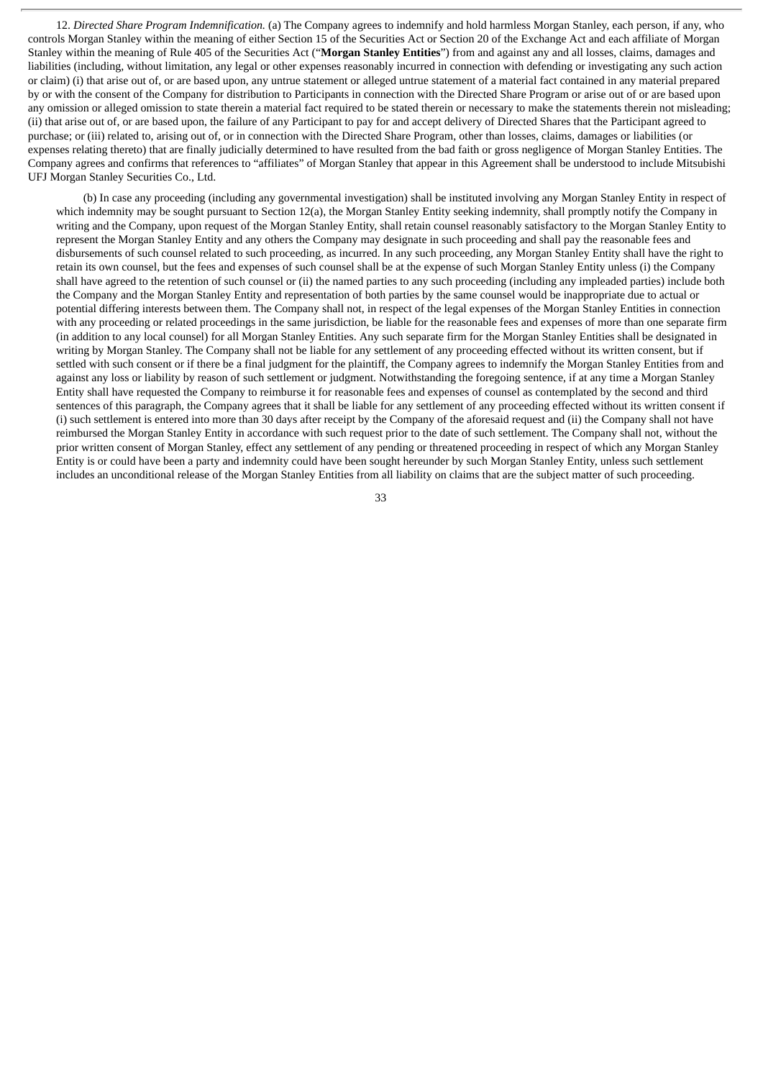12. *Directed Share Program Indemnification.* (a) The Company agrees to indemnify and hold harmless Morgan Stanley, each person, if any, who controls Morgan Stanley within the meaning of either Section 15 of the Securities Act or Section 20 of the Exchange Act and each affiliate of Morgan Stanley within the meaning of Rule 405 of the Securities Act ("**Morgan Stanley Entities**") from and against any and all losses, claims, damages and liabilities (including, without limitation, any legal or other expenses reasonably incurred in connection with defending or investigating any such action or claim) (i) that arise out of, or are based upon, any untrue statement or alleged untrue statement of a material fact contained in any material prepared by or with the consent of the Company for distribution to Participants in connection with the Directed Share Program or arise out of or are based upon any omission or alleged omission to state therein a material fact required to be stated therein or necessary to make the statements therein not misleading; (ii) that arise out of, or are based upon, the failure of any Participant to pay for and accept delivery of Directed Shares that the Participant agreed to purchase; or (iii) related to, arising out of, or in connection with the Directed Share Program, other than losses, claims, damages or liabilities (or expenses relating thereto) that are finally judicially determined to have resulted from the bad faith or gross negligence of Morgan Stanley Entities. The Company agrees and confirms that references to "affiliates" of Morgan Stanley that appear in this Agreement shall be understood to include Mitsubishi UFJ Morgan Stanley Securities Co., Ltd.

(b) In case any proceeding (including any governmental investigation) shall be instituted involving any Morgan Stanley Entity in respect of which indemnity may be sought pursuant to Section 12(a), the Morgan Stanley Entity seeking indemnity, shall promptly notify the Company in writing and the Company, upon request of the Morgan Stanley Entity, shall retain counsel reasonably satisfactory to the Morgan Stanley Entity to represent the Morgan Stanley Entity and any others the Company may designate in such proceeding and shall pay the reasonable fees and disbursements of such counsel related to such proceeding, as incurred. In any such proceeding, any Morgan Stanley Entity shall have the right to retain its own counsel, but the fees and expenses of such counsel shall be at the expense of such Morgan Stanley Entity unless (i) the Company shall have agreed to the retention of such counsel or (ii) the named parties to any such proceeding (including any impleaded parties) include both the Company and the Morgan Stanley Entity and representation of both parties by the same counsel would be inappropriate due to actual or potential differing interests between them. The Company shall not, in respect of the legal expenses of the Morgan Stanley Entities in connection with any proceeding or related proceedings in the same jurisdiction, be liable for the reasonable fees and expenses of more than one separate firm (in addition to any local counsel) for all Morgan Stanley Entities. Any such separate firm for the Morgan Stanley Entities shall be designated in writing by Morgan Stanley. The Company shall not be liable for any settlement of any proceeding effected without its written consent, but if settled with such consent or if there be a final judgment for the plaintiff, the Company agrees to indemnify the Morgan Stanley Entities from and against any loss or liability by reason of such settlement or judgment. Notwithstanding the foregoing sentence, if at any time a Morgan Stanley Entity shall have requested the Company to reimburse it for reasonable fees and expenses of counsel as contemplated by the second and third sentences of this paragraph, the Company agrees that it shall be liable for any settlement of any proceeding effected without its written consent if (i) such settlement is entered into more than 30 days after receipt by the Company of the aforesaid request and (ii) the Company shall not have reimbursed the Morgan Stanley Entity in accordance with such request prior to the date of such settlement. The Company shall not, without the prior written consent of Morgan Stanley, effect any settlement of any pending or threatened proceeding in respect of which any Morgan Stanley Entity is or could have been a party and indemnity could have been sought hereunder by such Morgan Stanley Entity, unless such settlement includes an unconditional release of the Morgan Stanley Entities from all liability on claims that are the subject matter of such proceeding.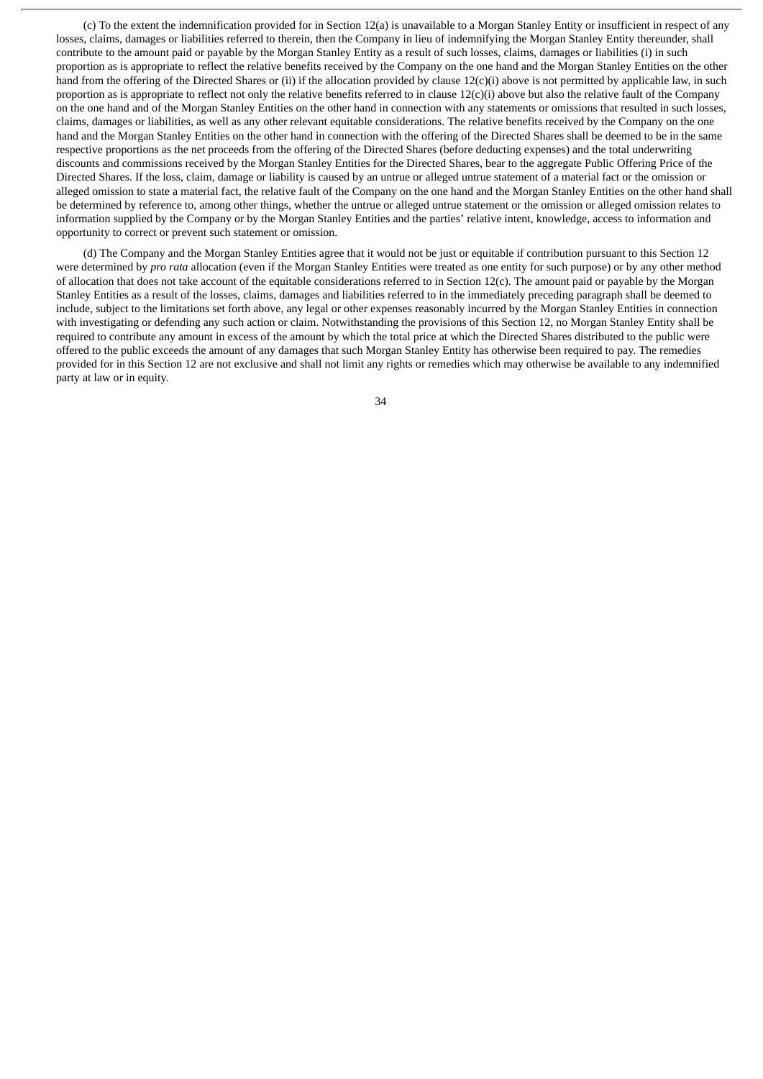(c) To the extent the indemnification provided for in Section 12(a) is unavailable to a Morgan Stanley Entity or insufficient in respect of any losses, claims, damages or liabilities referred to therein, then the Company in lieu of indemnifying the Morgan Stanley Entity thereunder, shall contribute to the amount paid or payable by the Morgan Stanley Entity as a result of such losses, claims, damages or liabilities (i) in such proportion as is appropriate to reflect the relative benefits received by the Company on the one hand and the Morgan Stanley Entities on the other hand from the offering of the Directed Shares or (ii) if the allocation provided by clause 12(c)(i) above is not permitted by applicable law, in such proportion as is appropriate to reflect not only the relative benefits referred to in clause  $12(c)(i)$  above but also the relative fault of the Company on the one hand and of the Morgan Stanley Entities on the other hand in connection with any statements or omissions that resulted in such losses, claims, damages or liabilities, as well as any other relevant equitable considerations. The relative benefits received by the Company on the one hand and the Morgan Stanley Entities on the other hand in connection with the offering of the Directed Shares shall be deemed to be in the same respective proportions as the net proceeds from the offering of the Directed Shares (before deducting expenses) and the total underwriting discounts and commissions received by the Morgan Stanley Entities for the Directed Shares, bear to the aggregate Public Offering Price of the Directed Shares. If the loss, claim, damage or liability is caused by an untrue or alleged untrue statement of a material fact or the omission or alleged omission to state a material fact, the relative fault of the Company on the one hand and the Morgan Stanley Entities on the other hand shall be determined by reference to, among other things, whether the untrue or alleged untrue statement or the omission or alleged omission relates to information supplied by the Company or by the Morgan Stanley Entities and the parties' relative intent, knowledge, access to information and opportunity to correct or prevent such statement or omission.

(d) The Company and the Morgan Stanley Entities agree that it would not be just or equitable if contribution pursuant to this Section 12 were determined by *pro rata* allocation (even if the Morgan Stanley Entities were treated as one entity for such purpose) or by any other method of allocation that does not take account of the equitable considerations referred to in Section 12(c). The amount paid or payable by the Morgan Stanley Entities as a result of the losses, claims, damages and liabilities referred to in the immediately preceding paragraph shall be deemed to include, subject to the limitations set forth above, any legal or other expenses reasonably incurred by the Morgan Stanley Entities in connection with investigating or defending any such action or claim. Notwithstanding the provisions of this Section 12, no Morgan Stanley Entity shall be required to contribute any amount in excess of the amount by which the total price at which the Directed Shares distributed to the public were offered to the public exceeds the amount of any damages that such Morgan Stanley Entity has otherwise been required to pay. The remedies provided for in this Section 12 are not exclusive and shall not limit any rights or remedies which may otherwise be available to any indemnified party at law or in equity.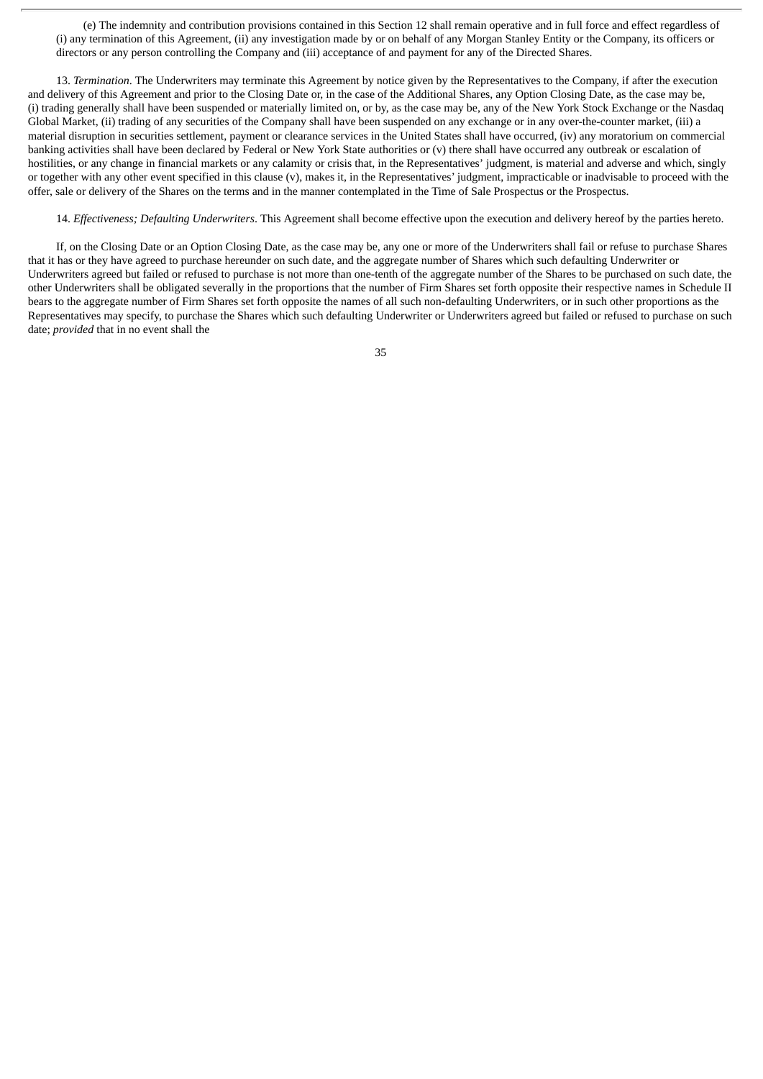(e) The indemnity and contribution provisions contained in this Section 12 shall remain operative and in full force and effect regardless of (i) any termination of this Agreement, (ii) any investigation made by or on behalf of any Morgan Stanley Entity or the Company, its officers or directors or any person controlling the Company and (iii) acceptance of and payment for any of the Directed Shares.

13. *Termination*. The Underwriters may terminate this Agreement by notice given by the Representatives to the Company, if after the execution and delivery of this Agreement and prior to the Closing Date or, in the case of the Additional Shares, any Option Closing Date, as the case may be, (i) trading generally shall have been suspended or materially limited on, or by, as the case may be, any of the New York Stock Exchange or the Nasdaq Global Market, (ii) trading of any securities of the Company shall have been suspended on any exchange or in any over-the-counter market, (iii) a material disruption in securities settlement, payment or clearance services in the United States shall have occurred, (iv) any moratorium on commercial banking activities shall have been declared by Federal or New York State authorities or (v) there shall have occurred any outbreak or escalation of hostilities, or any change in financial markets or any calamity or crisis that, in the Representatives' judgment, is material and adverse and which, singly or together with any other event specified in this clause (v), makes it, in the Representatives' judgment, impracticable or inadvisable to proceed with the offer, sale or delivery of the Shares on the terms and in the manner contemplated in the Time of Sale Prospectus or the Prospectus.

14. *Effectiveness; Defaulting Underwriters*. This Agreement shall become effective upon the execution and delivery hereof by the parties hereto.

If, on the Closing Date or an Option Closing Date, as the case may be, any one or more of the Underwriters shall fail or refuse to purchase Shares that it has or they have agreed to purchase hereunder on such date, and the aggregate number of Shares which such defaulting Underwriter or Underwriters agreed but failed or refused to purchase is not more than one-tenth of the aggregate number of the Shares to be purchased on such date, the other Underwriters shall be obligated severally in the proportions that the number of Firm Shares set forth opposite their respective names in Schedule II bears to the aggregate number of Firm Shares set forth opposite the names of all such non-defaulting Underwriters, or in such other proportions as the Representatives may specify, to purchase the Shares which such defaulting Underwriter or Underwriters agreed but failed or refused to purchase on such date; *provided* that in no event shall the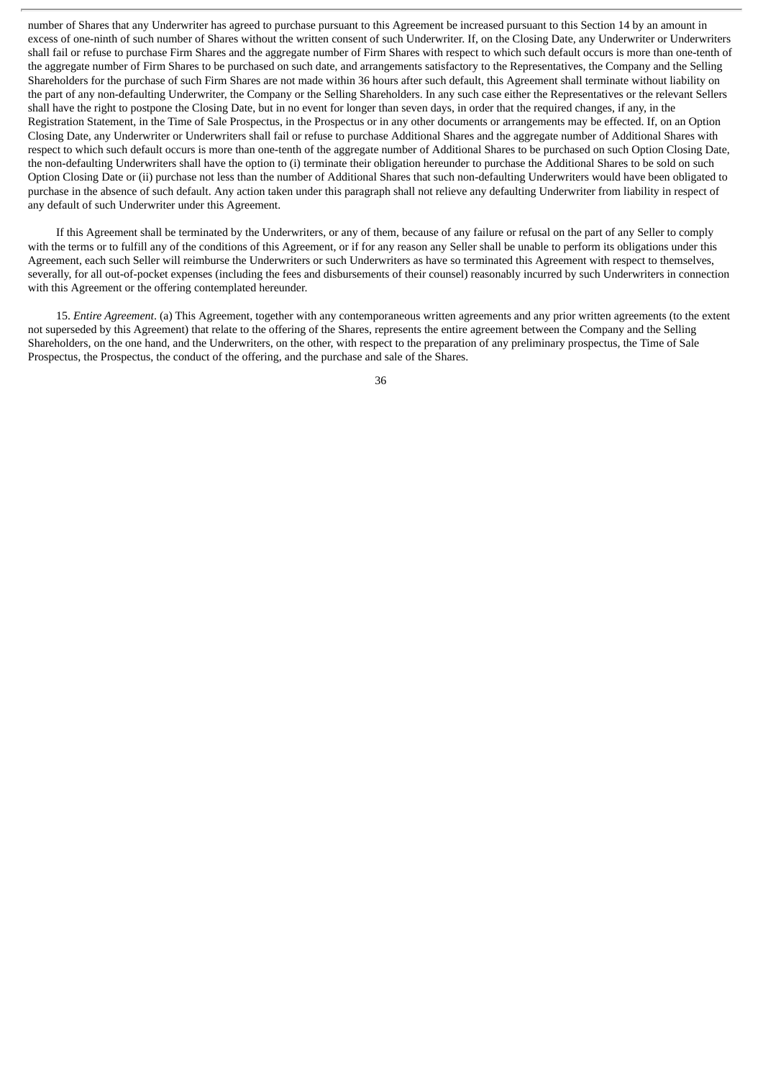number of Shares that any Underwriter has agreed to purchase pursuant to this Agreement be increased pursuant to this Section 14 by an amount in excess of one-ninth of such number of Shares without the written consent of such Underwriter. If, on the Closing Date, any Underwriter or Underwriters shall fail or refuse to purchase Firm Shares and the aggregate number of Firm Shares with respect to which such default occurs is more than one-tenth of the aggregate number of Firm Shares to be purchased on such date, and arrangements satisfactory to the Representatives, the Company and the Selling Shareholders for the purchase of such Firm Shares are not made within 36 hours after such default, this Agreement shall terminate without liability on the part of any non-defaulting Underwriter, the Company or the Selling Shareholders. In any such case either the Representatives or the relevant Sellers shall have the right to postpone the Closing Date, but in no event for longer than seven days, in order that the required changes, if any, in the Registration Statement, in the Time of Sale Prospectus, in the Prospectus or in any other documents or arrangements may be effected. If, on an Option Closing Date, any Underwriter or Underwriters shall fail or refuse to purchase Additional Shares and the aggregate number of Additional Shares with respect to which such default occurs is more than one-tenth of the aggregate number of Additional Shares to be purchased on such Option Closing Date, the non-defaulting Underwriters shall have the option to (i) terminate their obligation hereunder to purchase the Additional Shares to be sold on such Option Closing Date or (ii) purchase not less than the number of Additional Shares that such non-defaulting Underwriters would have been obligated to purchase in the absence of such default. Any action taken under this paragraph shall not relieve any defaulting Underwriter from liability in respect of any default of such Underwriter under this Agreement.

If this Agreement shall be terminated by the Underwriters, or any of them, because of any failure or refusal on the part of any Seller to comply with the terms or to fulfill any of the conditions of this Agreement, or if for any reason any Seller shall be unable to perform its obligations under this Agreement, each such Seller will reimburse the Underwriters or such Underwriters as have so terminated this Agreement with respect to themselves, severally, for all out-of-pocket expenses (including the fees and disbursements of their counsel) reasonably incurred by such Underwriters in connection with this Agreement or the offering contemplated hereunder.

15. *Entire Agreement*. (a) This Agreement, together with any contemporaneous written agreements and any prior written agreements (to the extent not superseded by this Agreement) that relate to the offering of the Shares, represents the entire agreement between the Company and the Selling Shareholders, on the one hand, and the Underwriters, on the other, with respect to the preparation of any preliminary prospectus, the Time of Sale Prospectus, the Prospectus, the conduct of the offering, and the purchase and sale of the Shares.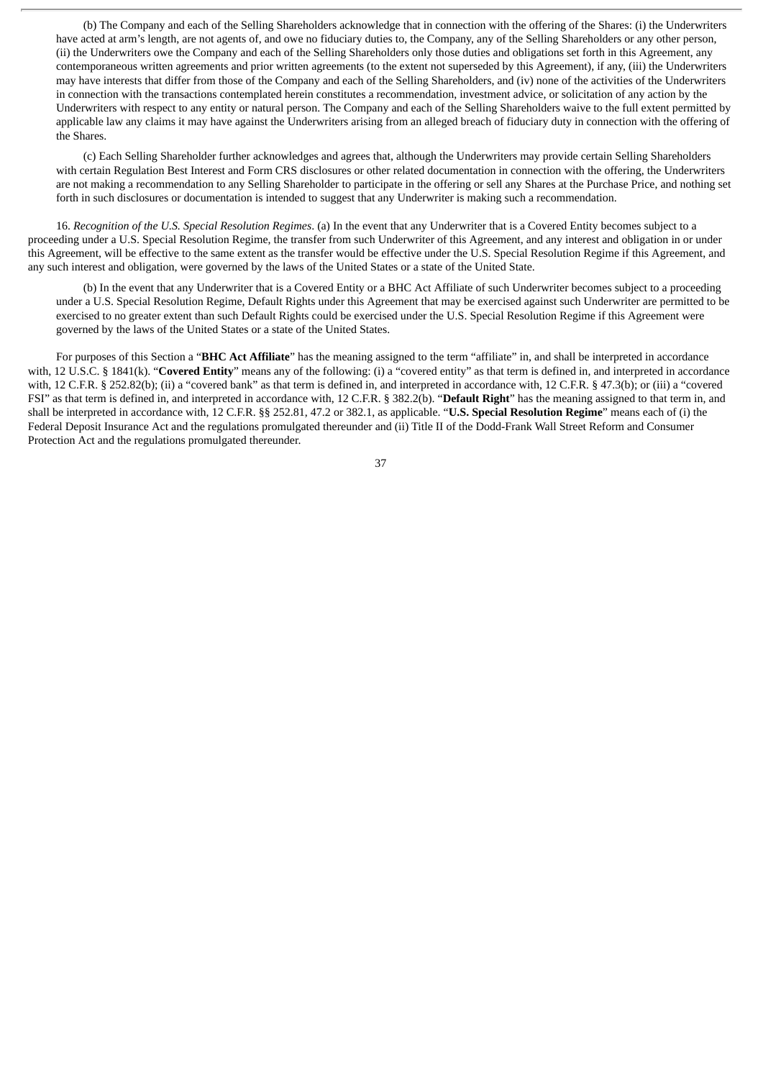(b) The Company and each of the Selling Shareholders acknowledge that in connection with the offering of the Shares: (i) the Underwriters have acted at arm's length, are not agents of, and owe no fiduciary duties to, the Company, any of the Selling Shareholders or any other person, (ii) the Underwriters owe the Company and each of the Selling Shareholders only those duties and obligations set forth in this Agreement, any contemporaneous written agreements and prior written agreements (to the extent not superseded by this Agreement), if any, (iii) the Underwriters may have interests that differ from those of the Company and each of the Selling Shareholders, and (iv) none of the activities of the Underwriters in connection with the transactions contemplated herein constitutes a recommendation, investment advice, or solicitation of any action by the Underwriters with respect to any entity or natural person. The Company and each of the Selling Shareholders waive to the full extent permitted by applicable law any claims it may have against the Underwriters arising from an alleged breach of fiduciary duty in connection with the offering of the Shares.

(c) Each Selling Shareholder further acknowledges and agrees that, although the Underwriters may provide certain Selling Shareholders with certain Regulation Best Interest and Form CRS disclosures or other related documentation in connection with the offering, the Underwriters are not making a recommendation to any Selling Shareholder to participate in the offering or sell any Shares at the Purchase Price, and nothing set forth in such disclosures or documentation is intended to suggest that any Underwriter is making such a recommendation.

16. *Recognition of the U.S. Special Resolution Regimes*. (a) In the event that any Underwriter that is a Covered Entity becomes subject to a proceeding under a U.S. Special Resolution Regime, the transfer from such Underwriter of this Agreement, and any interest and obligation in or under this Agreement, will be effective to the same extent as the transfer would be effective under the U.S. Special Resolution Regime if this Agreement, and any such interest and obligation, were governed by the laws of the United States or a state of the United State.

(b) In the event that any Underwriter that is a Covered Entity or a BHC Act Affiliate of such Underwriter becomes subject to a proceeding under a U.S. Special Resolution Regime, Default Rights under this Agreement that may be exercised against such Underwriter are permitted to be exercised to no greater extent than such Default Rights could be exercised under the U.S. Special Resolution Regime if this Agreement were governed by the laws of the United States or a state of the United States.

For purposes of this Section a "**BHC Act Affiliate**" has the meaning assigned to the term "affiliate" in, and shall be interpreted in accordance with, 12 U.S.C. § 1841(k). "**Covered Entity**" means any of the following: (i) a "covered entity" as that term is defined in, and interpreted in accordance with, 12 C.F.R. § 252.82(b); (ii) a "covered bank" as that term is defined in, and interpreted in accordance with, 12 C.F.R. § 47.3(b); or (iii) a "covered FSI" as that term is defined in, and interpreted in accordance with, 12 C.F.R. § 382.2(b). "**Default Right**" has the meaning assigned to that term in, and shall be interpreted in accordance with, 12 C.F.R. §§ 252.81, 47.2 or 382.1, as applicable. "**U.S. Special Resolution Regime**" means each of (i) the Federal Deposit Insurance Act and the regulations promulgated thereunder and (ii) Title II of the Dodd-Frank Wall Street Reform and Consumer Protection Act and the regulations promulgated thereunder.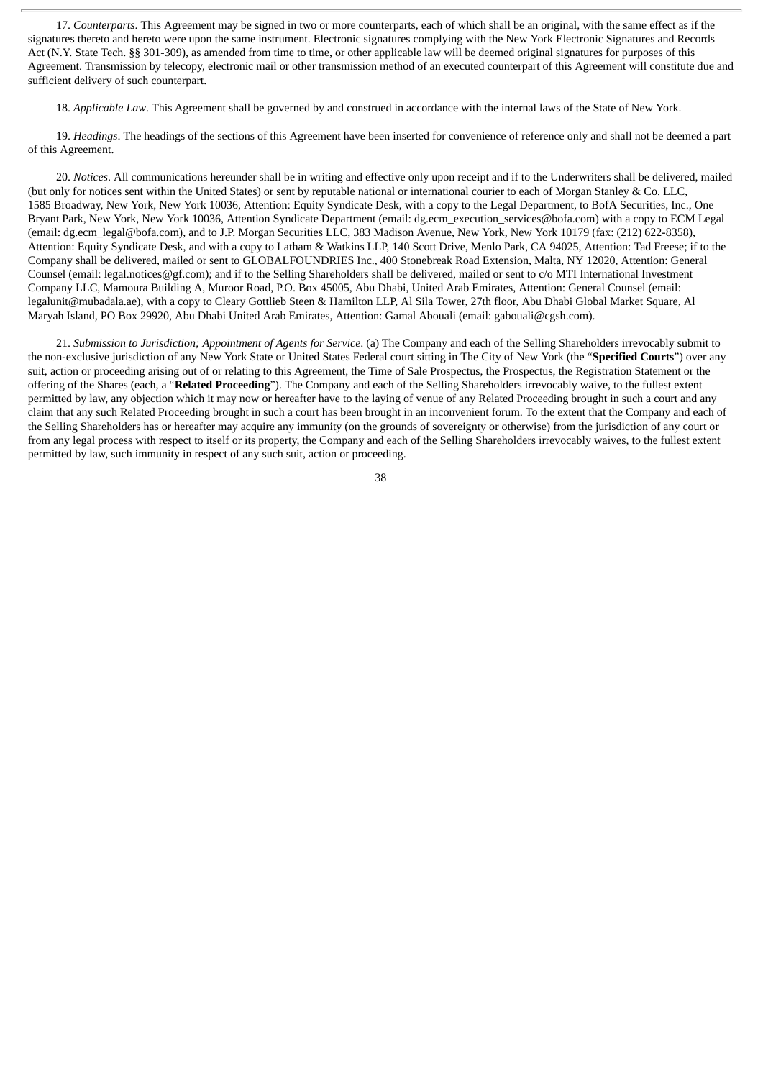17. *Counterparts*. This Agreement may be signed in two or more counterparts, each of which shall be an original, with the same effect as if the signatures thereto and hereto were upon the same instrument. Electronic signatures complying with the New York Electronic Signatures and Records Act (N.Y. State Tech. §§ 301-309), as amended from time to time, or other applicable law will be deemed original signatures for purposes of this Agreement. Transmission by telecopy, electronic mail or other transmission method of an executed counterpart of this Agreement will constitute due and sufficient delivery of such counterpart.

18. *Applicable Law*. This Agreement shall be governed by and construed in accordance with the internal laws of the State of New York.

19. *Headings*. The headings of the sections of this Agreement have been inserted for convenience of reference only and shall not be deemed a part of this Agreement.

20. *Notices*. All communications hereunder shall be in writing and effective only upon receipt and if to the Underwriters shall be delivered, mailed (but only for notices sent within the United States) or sent by reputable national or international courier to each of Morgan Stanley & Co. LLC, 1585 Broadway, New York, New York 10036, Attention: Equity Syndicate Desk, with a copy to the Legal Department, to BofA Securities, Inc., One Bryant Park, New York, New York 10036, Attention Syndicate Department (email: dg.ecm\_execution\_services@bofa.com) with a copy to ECM Legal (email: dg.ecm\_legal@bofa.com), and to J.P. Morgan Securities LLC, 383 Madison Avenue, New York, New York 10179 (fax: (212) 622-8358), Attention: Equity Syndicate Desk, and with a copy to Latham & Watkins LLP, 140 Scott Drive, Menlo Park, CA 94025, Attention: Tad Freese; if to the Company shall be delivered, mailed or sent to GLOBALFOUNDRIES Inc., 400 Stonebreak Road Extension, Malta, NY 12020, Attention: General Counsel (email: legal.notices@gf.com); and if to the Selling Shareholders shall be delivered, mailed or sent to c/o MTI International Investment Company LLC, Mamoura Building A, Muroor Road, P.O. Box 45005, Abu Dhabi, United Arab Emirates, Attention: General Counsel (email: legalunit@mubadala.ae), with a copy to Cleary Gottlieb Steen & Hamilton LLP, Al Sila Tower, 27th floor, Abu Dhabi Global Market Square, Al Maryah Island, PO Box 29920, Abu Dhabi United Arab Emirates, Attention: Gamal Abouali (email: gabouali@cgsh.com).

21. *Submission to Jurisdiction; Appointment of Agents for Service*. (a) The Company and each of the Selling Shareholders irrevocably submit to the non-exclusive jurisdiction of any New York State or United States Federal court sitting in The City of New York (the "**Specified Courts**") over any suit, action or proceeding arising out of or relating to this Agreement, the Time of Sale Prospectus, the Prospectus, the Registration Statement or the offering of the Shares (each, a "**Related Proceeding**"). The Company and each of the Selling Shareholders irrevocably waive, to the fullest extent permitted by law, any objection which it may now or hereafter have to the laying of venue of any Related Proceeding brought in such a court and any claim that any such Related Proceeding brought in such a court has been brought in an inconvenient forum. To the extent that the Company and each of the Selling Shareholders has or hereafter may acquire any immunity (on the grounds of sovereignty or otherwise) from the jurisdiction of any court or from any legal process with respect to itself or its property, the Company and each of the Selling Shareholders irrevocably waives, to the fullest extent permitted by law, such immunity in respect of any such suit, action or proceeding.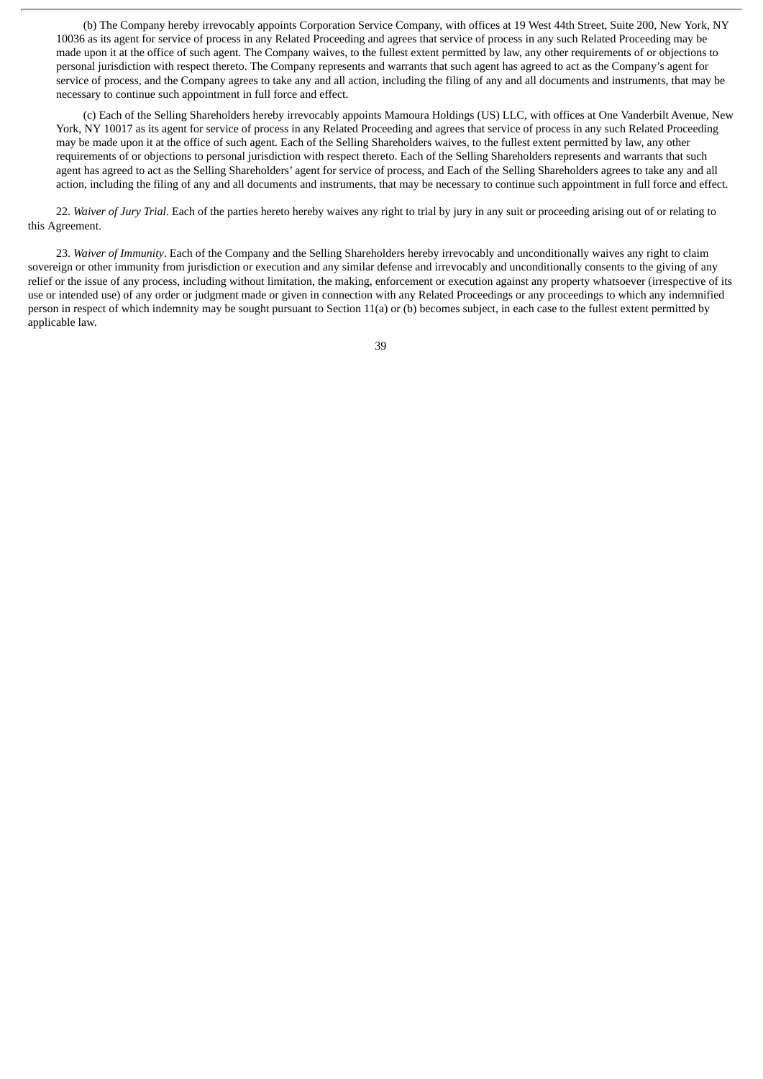(b) The Company hereby irrevocably appoints Corporation Service Company, with offices at 19 West 44th Street, Suite 200, New York, NY 10036 as its agent for service of process in any Related Proceeding and agrees that service of process in any such Related Proceeding may be made upon it at the office of such agent. The Company waives, to the fullest extent permitted by law, any other requirements of or objections to personal jurisdiction with respect thereto. The Company represents and warrants that such agent has agreed to act as the Company's agent for service of process, and the Company agrees to take any and all action, including the filing of any and all documents and instruments, that may be necessary to continue such appointment in full force and effect.

(c) Each of the Selling Shareholders hereby irrevocably appoints Mamoura Holdings (US) LLC, with offices at One Vanderbilt Avenue, New York, NY 10017 as its agent for service of process in any Related Proceeding and agrees that service of process in any such Related Proceeding may be made upon it at the office of such agent. Each of the Selling Shareholders waives, to the fullest extent permitted by law, any other requirements of or objections to personal jurisdiction with respect thereto. Each of the Selling Shareholders represents and warrants that such agent has agreed to act as the Selling Shareholders' agent for service of process, and Each of the Selling Shareholders agrees to take any and all action, including the filing of any and all documents and instruments, that may be necessary to continue such appointment in full force and effect.

22. *Waiver of Jury Trial*. Each of the parties hereto hereby waives any right to trial by jury in any suit or proceeding arising out of or relating to this Agreement.

23. *Waiver of Immunity*. Each of the Company and the Selling Shareholders hereby irrevocably and unconditionally waives any right to claim sovereign or other immunity from jurisdiction or execution and any similar defense and irrevocably and unconditionally consents to the giving of any relief or the issue of any process, including without limitation, the making, enforcement or execution against any property whatsoever (irrespective of its use or intended use) of any order or judgment made or given in connection with any Related Proceedings or any proceedings to which any indemnified person in respect of which indemnity may be sought pursuant to Section 11(a) or (b) becomes subject, in each case to the fullest extent permitted by applicable law.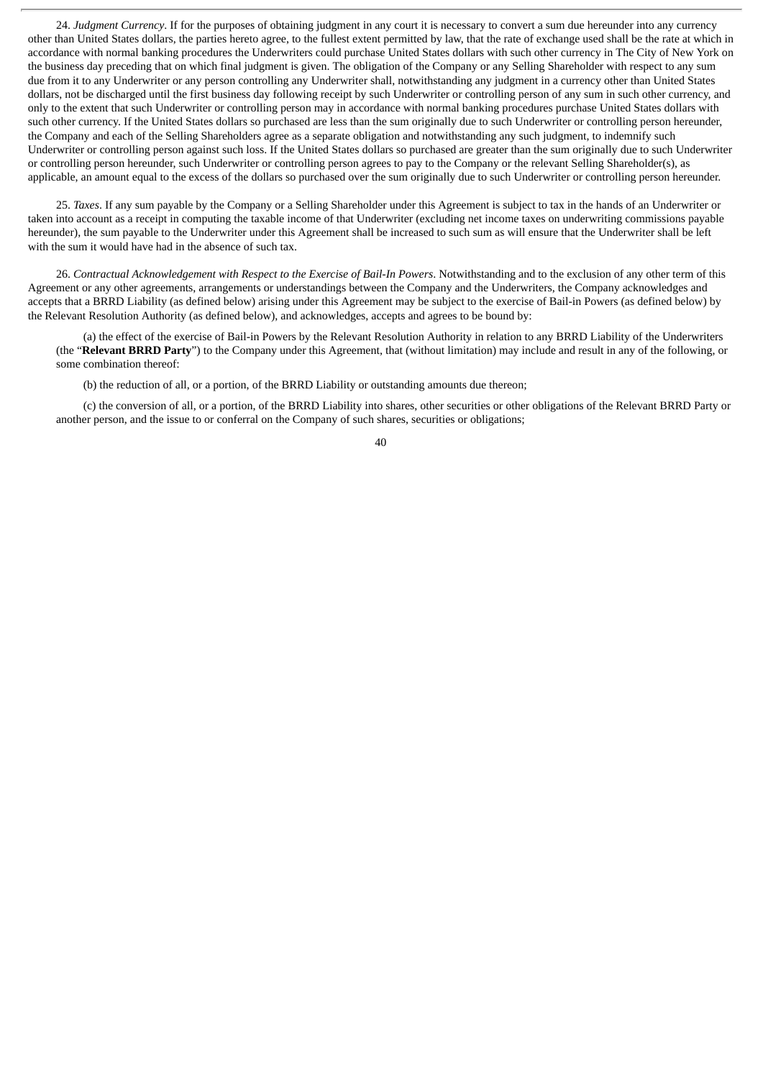24. *Judgment Currency*. If for the purposes of obtaining judgment in any court it is necessary to convert a sum due hereunder into any currency other than United States dollars, the parties hereto agree, to the fullest extent permitted by law, that the rate of exchange used shall be the rate at which in accordance with normal banking procedures the Underwriters could purchase United States dollars with such other currency in The City of New York on the business day preceding that on which final judgment is given. The obligation of the Company or any Selling Shareholder with respect to any sum due from it to any Underwriter or any person controlling any Underwriter shall, notwithstanding any judgment in a currency other than United States dollars, not be discharged until the first business day following receipt by such Underwriter or controlling person of any sum in such other currency, and only to the extent that such Underwriter or controlling person may in accordance with normal banking procedures purchase United States dollars with such other currency. If the United States dollars so purchased are less than the sum originally due to such Underwriter or controlling person hereunder, the Company and each of the Selling Shareholders agree as a separate obligation and notwithstanding any such judgment, to indemnify such Underwriter or controlling person against such loss. If the United States dollars so purchased are greater than the sum originally due to such Underwriter or controlling person hereunder, such Underwriter or controlling person agrees to pay to the Company or the relevant Selling Shareholder(s), as applicable, an amount equal to the excess of the dollars so purchased over the sum originally due to such Underwriter or controlling person hereunder.

25. *Taxes*. If any sum payable by the Company or a Selling Shareholder under this Agreement is subject to tax in the hands of an Underwriter or taken into account as a receipt in computing the taxable income of that Underwriter (excluding net income taxes on underwriting commissions payable hereunder), the sum payable to the Underwriter under this Agreement shall be increased to such sum as will ensure that the Underwriter shall be left with the sum it would have had in the absence of such tax.

26. *Contractual Acknowledgement with Respect to the Exercise of Bail-In Powers*. Notwithstanding and to the exclusion of any other term of this Agreement or any other agreements, arrangements or understandings between the Company and the Underwriters, the Company acknowledges and accepts that a BRRD Liability (as defined below) arising under this Agreement may be subject to the exercise of Bail-in Powers (as defined below) by the Relevant Resolution Authority (as defined below), and acknowledges, accepts and agrees to be bound by:

(a) the effect of the exercise of Bail-in Powers by the Relevant Resolution Authority in relation to any BRRD Liability of the Underwriters (the "**Relevant BRRD Party**") to the Company under this Agreement, that (without limitation) may include and result in any of the following, or some combination thereof:

(b) the reduction of all, or a portion, of the BRRD Liability or outstanding amounts due thereon;

(c) the conversion of all, or a portion, of the BRRD Liability into shares, other securities or other obligations of the Relevant BRRD Party or another person, and the issue to or conferral on the Company of such shares, securities or obligations;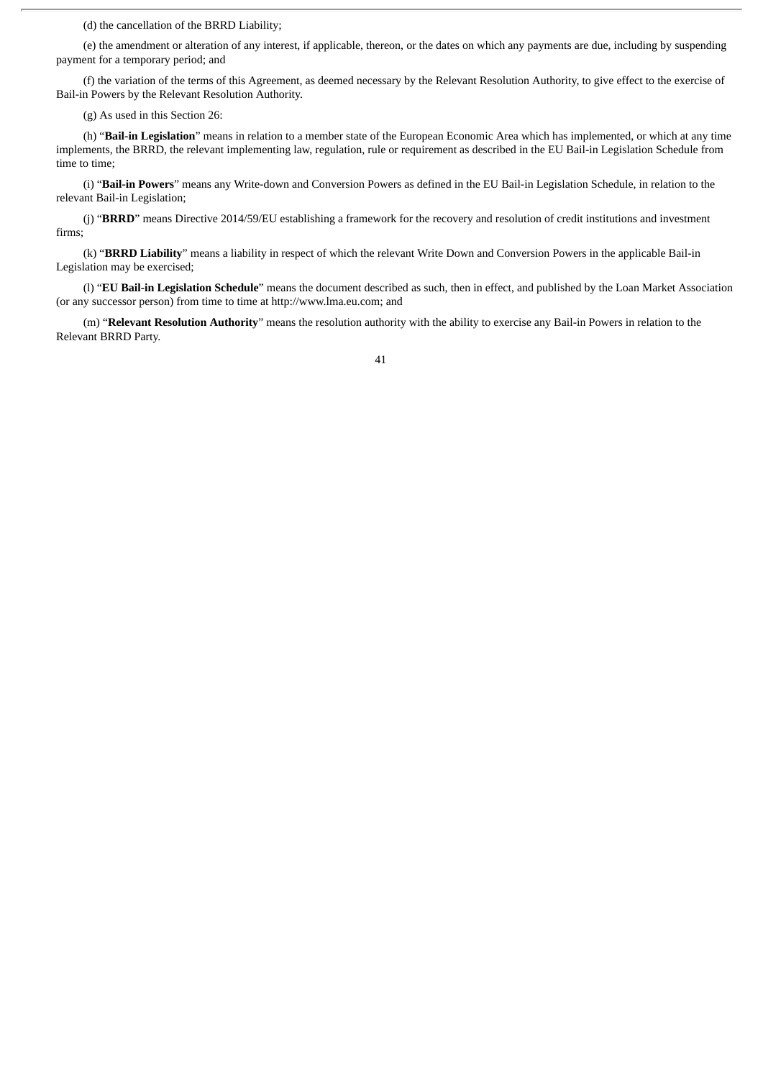(d) the cancellation of the BRRD Liability;

(e) the amendment or alteration of any interest, if applicable, thereon, or the dates on which any payments are due, including by suspending payment for a temporary period; and

(f) the variation of the terms of this Agreement, as deemed necessary by the Relevant Resolution Authority, to give effect to the exercise of Bail-in Powers by the Relevant Resolution Authority.

(g) As used in this Section 26:

(h) "**Bail-in Legislation**" means in relation to a member state of the European Economic Area which has implemented, or which at any time implements, the BRRD, the relevant implementing law, regulation, rule or requirement as described in the EU Bail-in Legislation Schedule from time to time;

(i) "**Bail-in Powers**" means any Write-down and Conversion Powers as defined in the EU Bail-in Legislation Schedule, in relation to the relevant Bail-in Legislation;

(j) "**BRRD**" means Directive 2014/59/EU establishing a framework for the recovery and resolution of credit institutions and investment firms;

(k) "**BRRD Liability**" means a liability in respect of which the relevant Write Down and Conversion Powers in the applicable Bail-in Legislation may be exercised;

(l) "**EU Bail-in Legislation Schedule**" means the document described as such, then in effect, and published by the Loan Market Association (or any successor person) from time to time at http://www.lma.eu.com; and

(m) "**Relevant Resolution Authority**" means the resolution authority with the ability to exercise any Bail-in Powers in relation to the Relevant BRRD Party.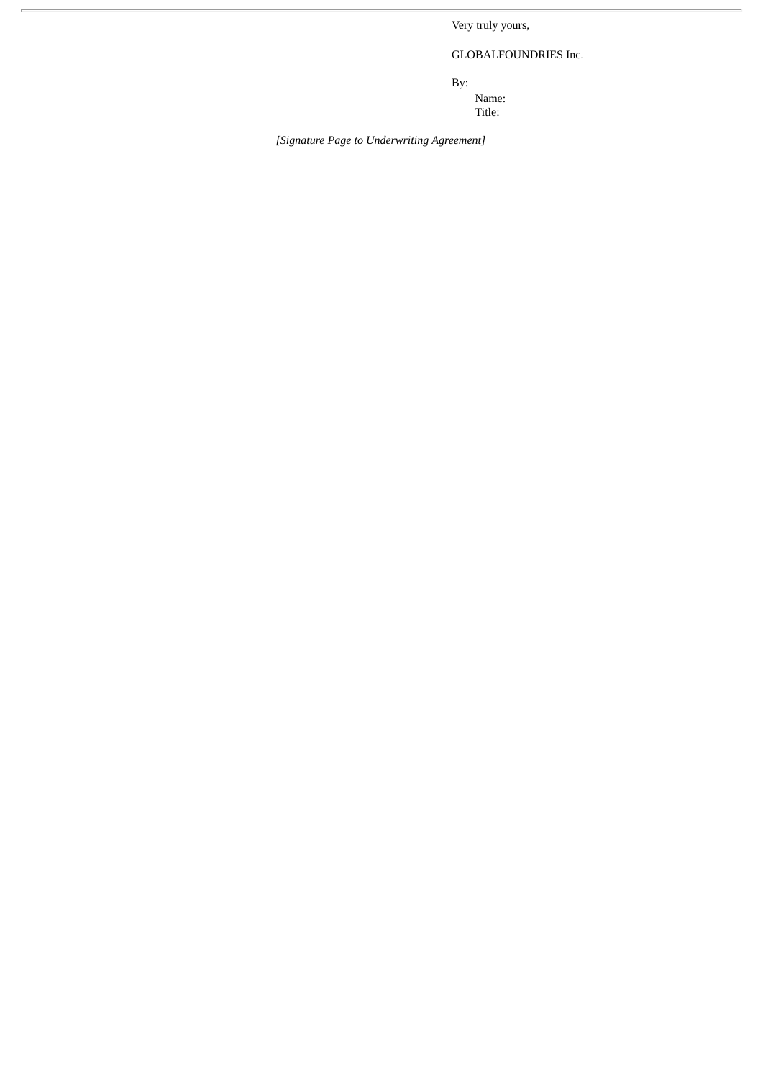Very truly yours,

GLOBALFOUNDRIES Inc.

By:

Name:

Title:

*[Signature Page to Underwriting Agreement]*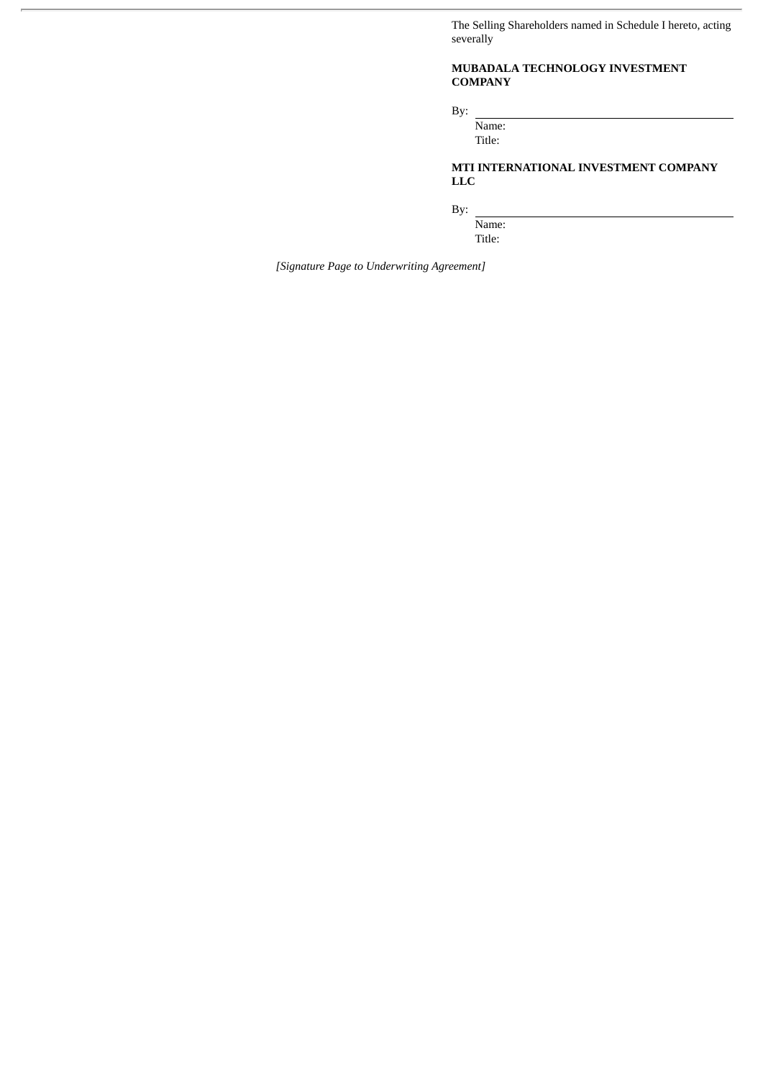The Selling Shareholders named in Schedule I hereto, acting severally

## **MUBADALA TECHNOLOGY INVESTMENT COMPANY**

By:

Name: Title:

**MTI INTERNATIONAL INVESTMENT COMPANY LLC**

By:

Name: Title:

*[Signature Page to Underwriting Agreement]*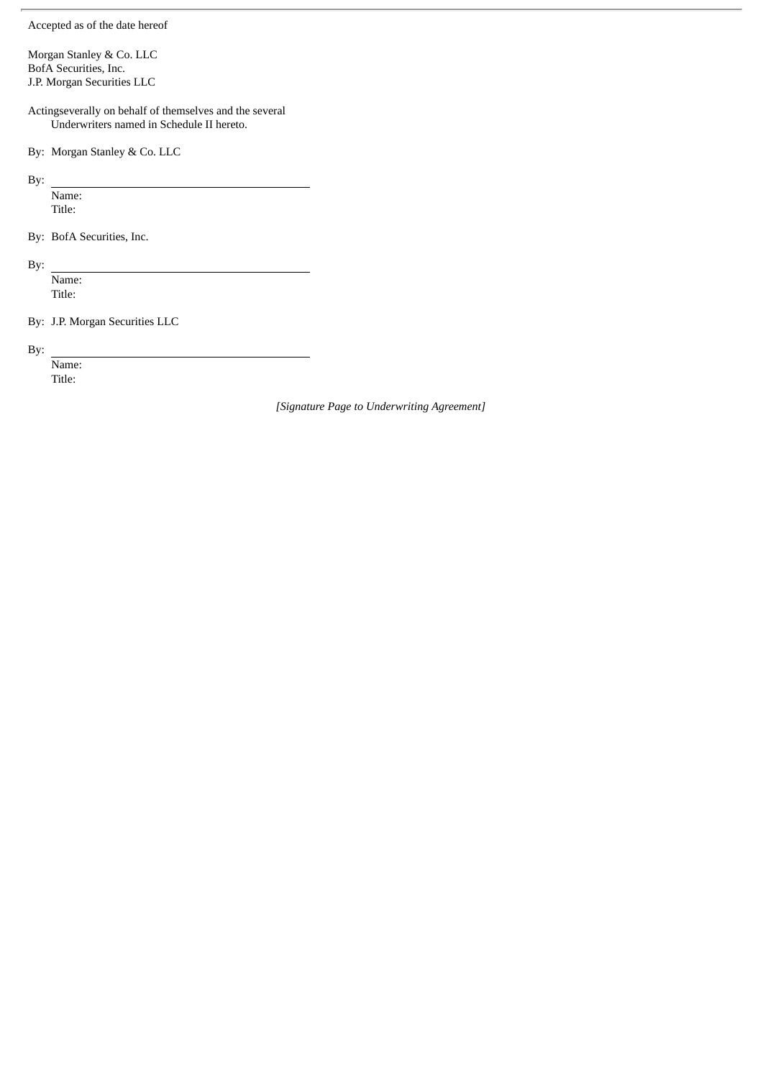Accepted as of the date hereof

Morgan Stanley & Co. LLC BofA Securities, Inc. J.P. Morgan Securities LLC

Actingseverally on behalf of themselves and the several Underwriters named in Schedule II hereto.

By: Morgan Stanley & Co. LLC

By:

Name: Title:

By: BofA Securities, Inc.

By:

Name: Title:

By: J.P. Morgan Securities LLC

By:

Name: Title:

*[Signature Page to Underwriting Agreement]*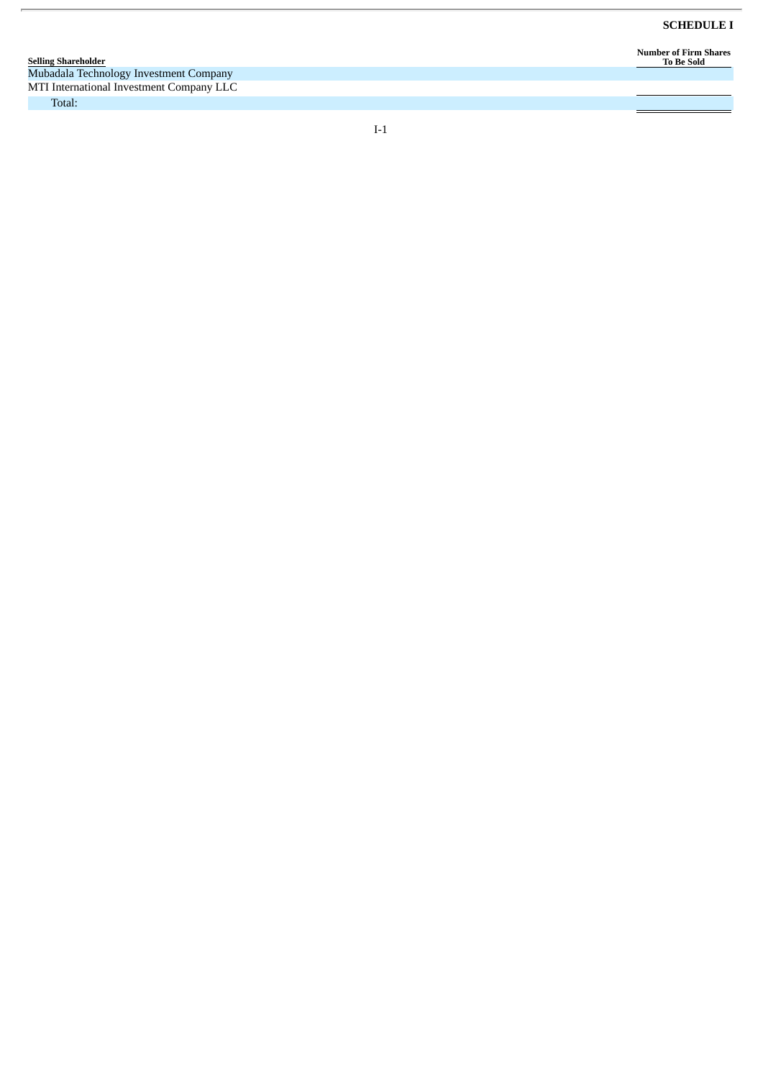Number of Firm Shares<br>To Be Sold

| <b>Selling Shareholder</b>               |
|------------------------------------------|
| Mubadala Technology Investment Company   |
| MTI International Investment Company LLC |
| $-1$                                     |

 $I-1$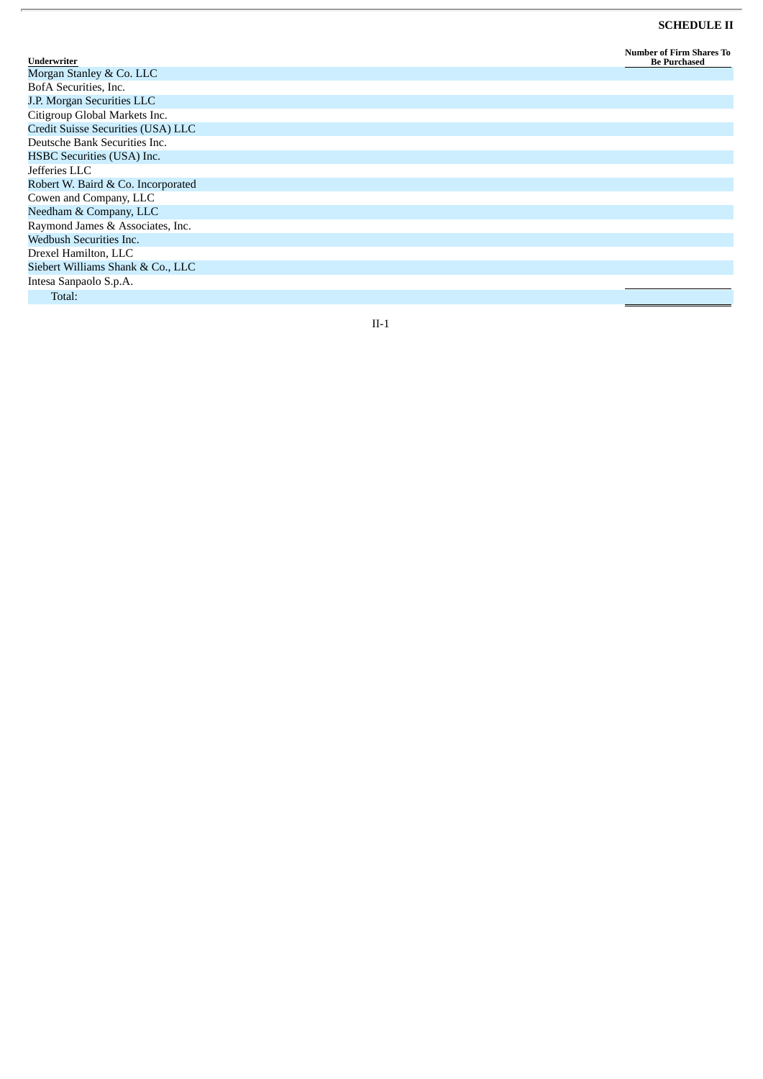#### **SCHEDULE II**

| Underwriter                        | <b>Number of Firm Shares To</b><br><b>Be Purchased</b> |
|------------------------------------|--------------------------------------------------------|
| Morgan Stanley & Co. LLC           |                                                        |
| BofA Securities, Inc.              |                                                        |
| J.P. Morgan Securities LLC         |                                                        |
| Citigroup Global Markets Inc.      |                                                        |
| Credit Suisse Securities (USA) LLC |                                                        |
| Deutsche Bank Securities Inc.      |                                                        |
| HSBC Securities (USA) Inc.         |                                                        |
| Jefferies LLC                      |                                                        |
| Robert W. Baird & Co. Incorporated |                                                        |
| Cowen and Company, LLC             |                                                        |
| Needham & Company, LLC             |                                                        |
| Raymond James & Associates, Inc.   |                                                        |
| Wedbush Securities Inc.            |                                                        |
| Drexel Hamilton, LLC               |                                                        |
| Siebert Williams Shank & Co., LLC  |                                                        |
| Intesa Sanpaolo S.p.A.             |                                                        |
| Total:                             |                                                        |

 $\overline{r}$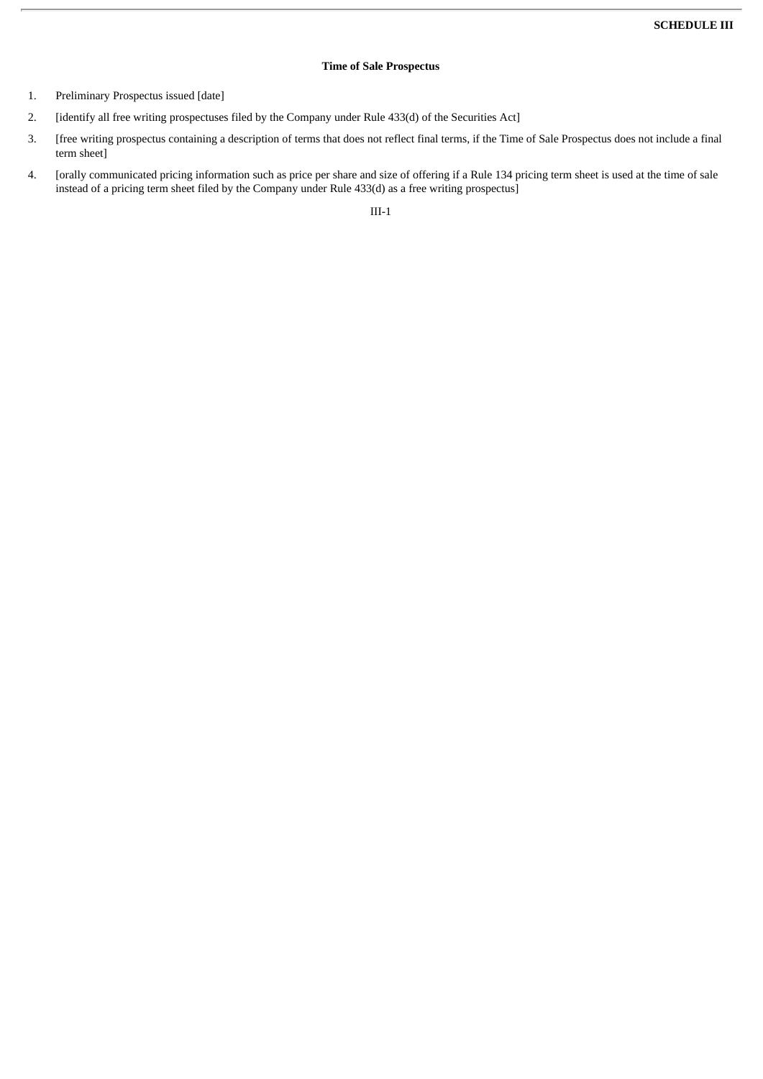# **Time of Sale Prospectus**

- 1. Preliminary Prospectus issued [date]
- 2. [identify all free writing prospectuses filed by the Company under Rule 433(d) of the Securities Act]
- 3. [free writing prospectus containing a description of terms that does not reflect final terms, if the Time of Sale Prospectus does not include a final term sheet]
- 4. [orally communicated pricing information such as price per share and size of offering if a Rule 134 pricing term sheet is used at the time of sale instead of a pricing term sheet filed by the Company under Rule 433(d) as a free writing prospectus]

III-1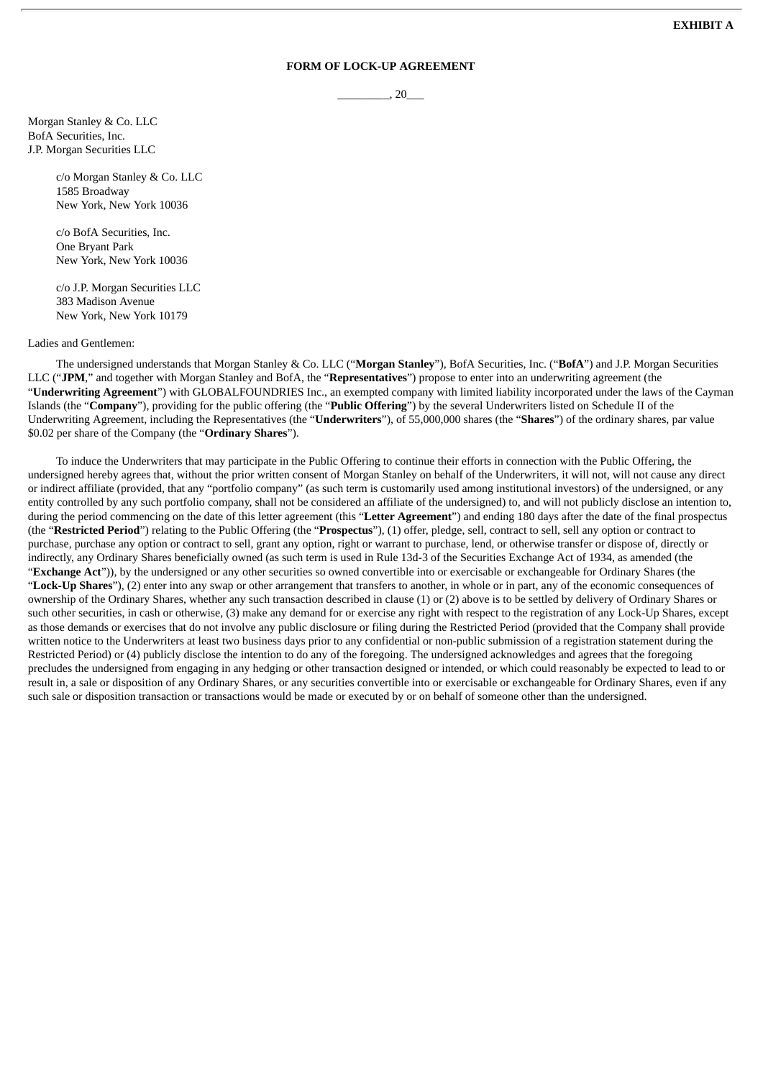# **FORM OF LOCK-UP AGREEMENT**

 $, 20$ 

Morgan Stanley & Co. LLC BofA Securities, Inc. J.P. Morgan Securities LLC

> c/o Morgan Stanley & Co. LLC 1585 Broadway New York, New York 10036

c/o BofA Securities, Inc. One Bryant Park New York, New York 10036

c/o J.P. Morgan Securities LLC 383 Madison Avenue New York, New York 10179

#### Ladies and Gentlemen:

The undersigned understands that Morgan Stanley & Co. LLC ("**Morgan Stanley**"), BofA Securities, Inc. ("**BofA**") and J.P. Morgan Securities LLC ("**JPM**," and together with Morgan Stanley and BofA, the "**Representatives**") propose to enter into an underwriting agreement (the "**Underwriting Agreement**") with GLOBALFOUNDRIES Inc., an exempted company with limited liability incorporated under the laws of the Cayman Islands (the "**Company**"), providing for the public offering (the "**Public Offering**") by the several Underwriters listed on Schedule II of the Underwriting Agreement, including the Representatives (the "**Underwriters**"), of 55,000,000 shares (the "**Shares**") of the ordinary shares, par value \$0.02 per share of the Company (the "**Ordinary Shares**").

To induce the Underwriters that may participate in the Public Offering to continue their efforts in connection with the Public Offering, the undersigned hereby agrees that, without the prior written consent of Morgan Stanley on behalf of the Underwriters, it will not, will not cause any direct or indirect affiliate (provided, that any "portfolio company" (as such term is customarily used among institutional investors) of the undersigned, or any entity controlled by any such portfolio company, shall not be considered an affiliate of the undersigned) to, and will not publicly disclose an intention to, during the period commencing on the date of this letter agreement (this "**Letter Agreement**") and ending 180 days after the date of the final prospectus (the "**Restricted Period**") relating to the Public Offering (the "**Prospectus**"), (1) offer, pledge, sell, contract to sell, sell any option or contract to purchase, purchase any option or contract to sell, grant any option, right or warrant to purchase, lend, or otherwise transfer or dispose of, directly or indirectly, any Ordinary Shares beneficially owned (as such term is used in Rule 13d-3 of the Securities Exchange Act of 1934, as amended (the "**Exchange Act**")), by the undersigned or any other securities so owned convertible into or exercisable or exchangeable for Ordinary Shares (the "**Lock-Up Shares**"), (2) enter into any swap or other arrangement that transfers to another, in whole or in part, any of the economic consequences of ownership of the Ordinary Shares, whether any such transaction described in clause (1) or (2) above is to be settled by delivery of Ordinary Shares or such other securities, in cash or otherwise, (3) make any demand for or exercise any right with respect to the registration of any Lock-Up Shares, except as those demands or exercises that do not involve any public disclosure or filing during the Restricted Period (provided that the Company shall provide written notice to the Underwriters at least two business days prior to any confidential or non-public submission of a registration statement during the Restricted Period) or (4) publicly disclose the intention to do any of the foregoing. The undersigned acknowledges and agrees that the foregoing precludes the undersigned from engaging in any hedging or other transaction designed or intended, or which could reasonably be expected to lead to or result in, a sale or disposition of any Ordinary Shares, or any securities convertible into or exercisable or exchangeable for Ordinary Shares, even if any such sale or disposition transaction or transactions would be made or executed by or on behalf of someone other than the undersigned.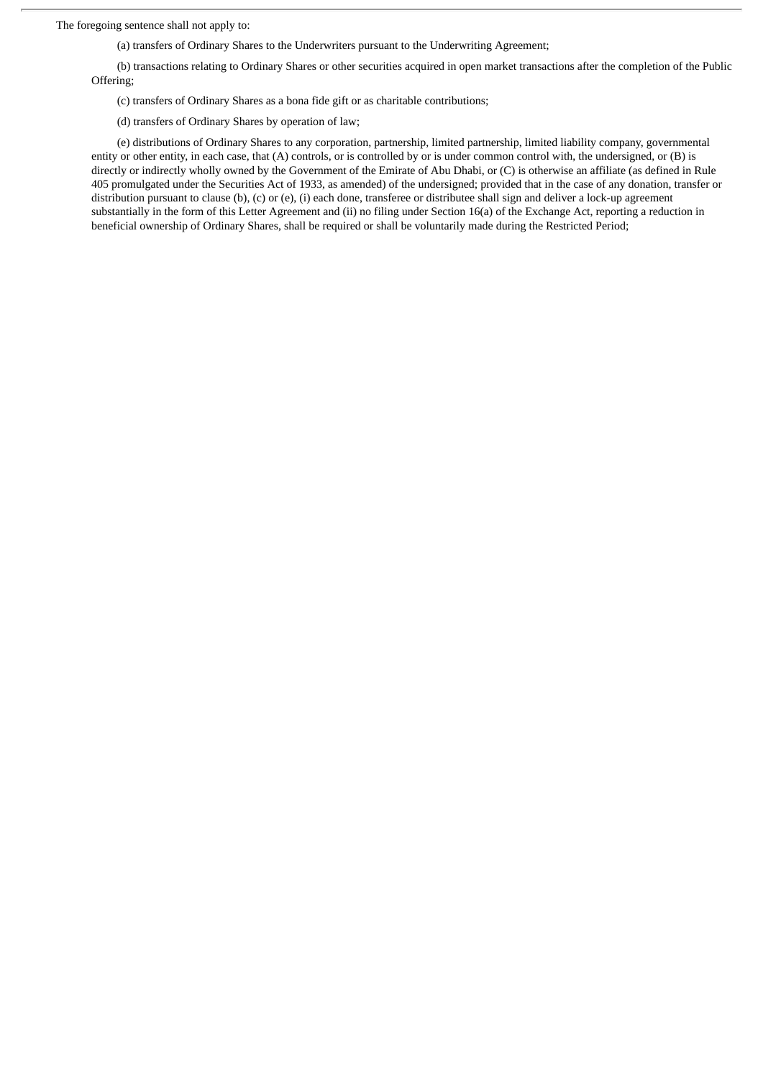The foregoing sentence shall not apply to:

(a) transfers of Ordinary Shares to the Underwriters pursuant to the Underwriting Agreement;

(b) transactions relating to Ordinary Shares or other securities acquired in open market transactions after the completion of the Public Offering;

(c) transfers of Ordinary Shares as a bona fide gift or as charitable contributions;

(d) transfers of Ordinary Shares by operation of law;

(e) distributions of Ordinary Shares to any corporation, partnership, limited partnership, limited liability company, governmental entity or other entity, in each case, that (A) controls, or is controlled by or is under common control with, the undersigned, or (B) is directly or indirectly wholly owned by the Government of the Emirate of Abu Dhabi, or (C) is otherwise an affiliate (as defined in Rule 405 promulgated under the Securities Act of 1933, as amended) of the undersigned; provided that in the case of any donation, transfer or distribution pursuant to clause (b), (c) or (e), (i) each done, transferee or distributee shall sign and deliver a lock-up agreement substantially in the form of this Letter Agreement and (ii) no filing under Section 16(a) of the Exchange Act, reporting a reduction in beneficial ownership of Ordinary Shares, shall be required or shall be voluntarily made during the Restricted Period;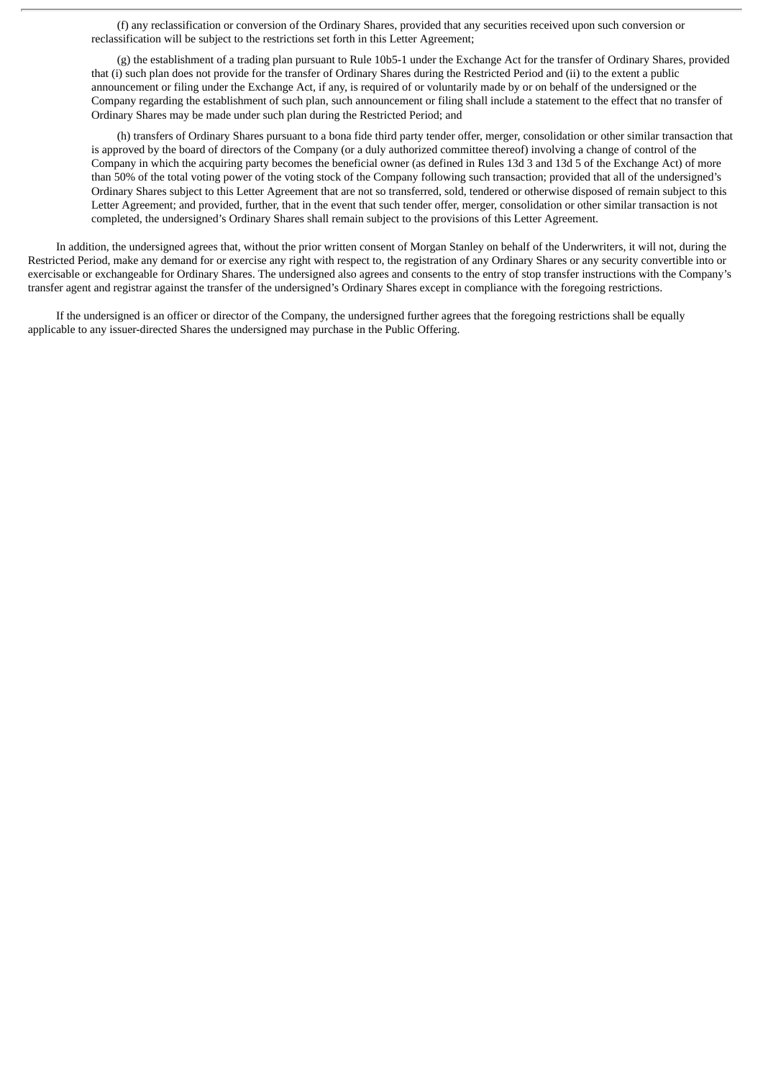(f) any reclassification or conversion of the Ordinary Shares, provided that any securities received upon such conversion or reclassification will be subject to the restrictions set forth in this Letter Agreement;

(g) the establishment of a trading plan pursuant to Rule 10b5-1 under the Exchange Act for the transfer of Ordinary Shares, provided that (i) such plan does not provide for the transfer of Ordinary Shares during the Restricted Period and (ii) to the extent a public announcement or filing under the Exchange Act, if any, is required of or voluntarily made by or on behalf of the undersigned or the Company regarding the establishment of such plan, such announcement or filing shall include a statement to the effect that no transfer of Ordinary Shares may be made under such plan during the Restricted Period; and

(h) transfers of Ordinary Shares pursuant to a bona fide third party tender offer, merger, consolidation or other similar transaction that is approved by the board of directors of the Company (or a duly authorized committee thereof) involving a change of control of the Company in which the acquiring party becomes the beneficial owner (as defined in Rules 13d 3 and 13d 5 of the Exchange Act) of more than 50% of the total voting power of the voting stock of the Company following such transaction; provided that all of the undersigned's Ordinary Shares subject to this Letter Agreement that are not so transferred, sold, tendered or otherwise disposed of remain subject to this Letter Agreement; and provided, further, that in the event that such tender offer, merger, consolidation or other similar transaction is not completed, the undersigned's Ordinary Shares shall remain subject to the provisions of this Letter Agreement.

In addition, the undersigned agrees that, without the prior written consent of Morgan Stanley on behalf of the Underwriters, it will not, during the Restricted Period, make any demand for or exercise any right with respect to, the registration of any Ordinary Shares or any security convertible into or exercisable or exchangeable for Ordinary Shares. The undersigned also agrees and consents to the entry of stop transfer instructions with the Company's transfer agent and registrar against the transfer of the undersigned's Ordinary Shares except in compliance with the foregoing restrictions.

If the undersigned is an officer or director of the Company, the undersigned further agrees that the foregoing restrictions shall be equally applicable to any issuer-directed Shares the undersigned may purchase in the Public Offering.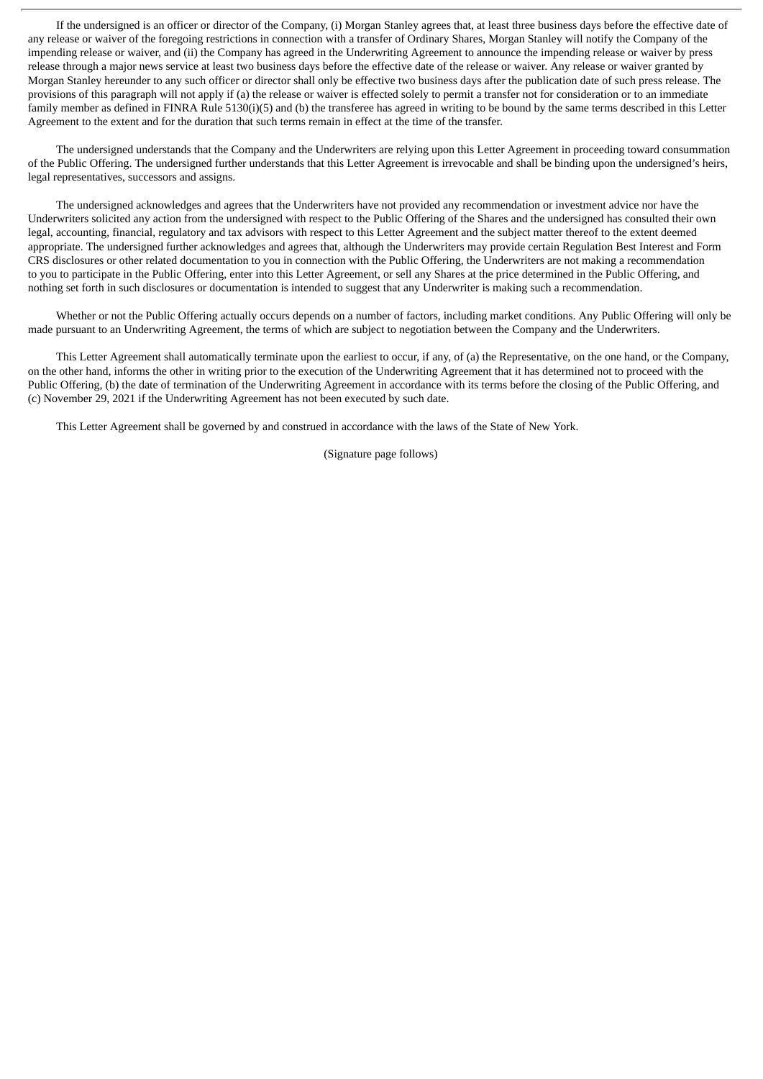If the undersigned is an officer or director of the Company, (i) Morgan Stanley agrees that, at least three business days before the effective date of any release or waiver of the foregoing restrictions in connection with a transfer of Ordinary Shares, Morgan Stanley will notify the Company of the impending release or waiver, and (ii) the Company has agreed in the Underwriting Agreement to announce the impending release or waiver by press release through a major news service at least two business days before the effective date of the release or waiver. Any release or waiver granted by Morgan Stanley hereunder to any such officer or director shall only be effective two business days after the publication date of such press release. The provisions of this paragraph will not apply if (a) the release or waiver is effected solely to permit a transfer not for consideration or to an immediate family member as defined in FINRA Rule 5130(i)(5) and (b) the transferee has agreed in writing to be bound by the same terms described in this Letter Agreement to the extent and for the duration that such terms remain in effect at the time of the transfer.

The undersigned understands that the Company and the Underwriters are relying upon this Letter Agreement in proceeding toward consummation of the Public Offering. The undersigned further understands that this Letter Agreement is irrevocable and shall be binding upon the undersigned's heirs, legal representatives, successors and assigns.

The undersigned acknowledges and agrees that the Underwriters have not provided any recommendation or investment advice nor have the Underwriters solicited any action from the undersigned with respect to the Public Offering of the Shares and the undersigned has consulted their own legal, accounting, financial, regulatory and tax advisors with respect to this Letter Agreement and the subject matter thereof to the extent deemed appropriate. The undersigned further acknowledges and agrees that, although the Underwriters may provide certain Regulation Best Interest and Form CRS disclosures or other related documentation to you in connection with the Public Offering, the Underwriters are not making a recommendation to you to participate in the Public Offering, enter into this Letter Agreement, or sell any Shares at the price determined in the Public Offering, and nothing set forth in such disclosures or documentation is intended to suggest that any Underwriter is making such a recommendation.

Whether or not the Public Offering actually occurs depends on a number of factors, including market conditions. Any Public Offering will only be made pursuant to an Underwriting Agreement, the terms of which are subject to negotiation between the Company and the Underwriters.

This Letter Agreement shall automatically terminate upon the earliest to occur, if any, of (a) the Representative, on the one hand, or the Company, on the other hand, informs the other in writing prior to the execution of the Underwriting Agreement that it has determined not to proceed with the Public Offering, (b) the date of termination of the Underwriting Agreement in accordance with its terms before the closing of the Public Offering, and (c) November 29, 2021 if the Underwriting Agreement has not been executed by such date.

This Letter Agreement shall be governed by and construed in accordance with the laws of the State of New York.

(Signature page follows)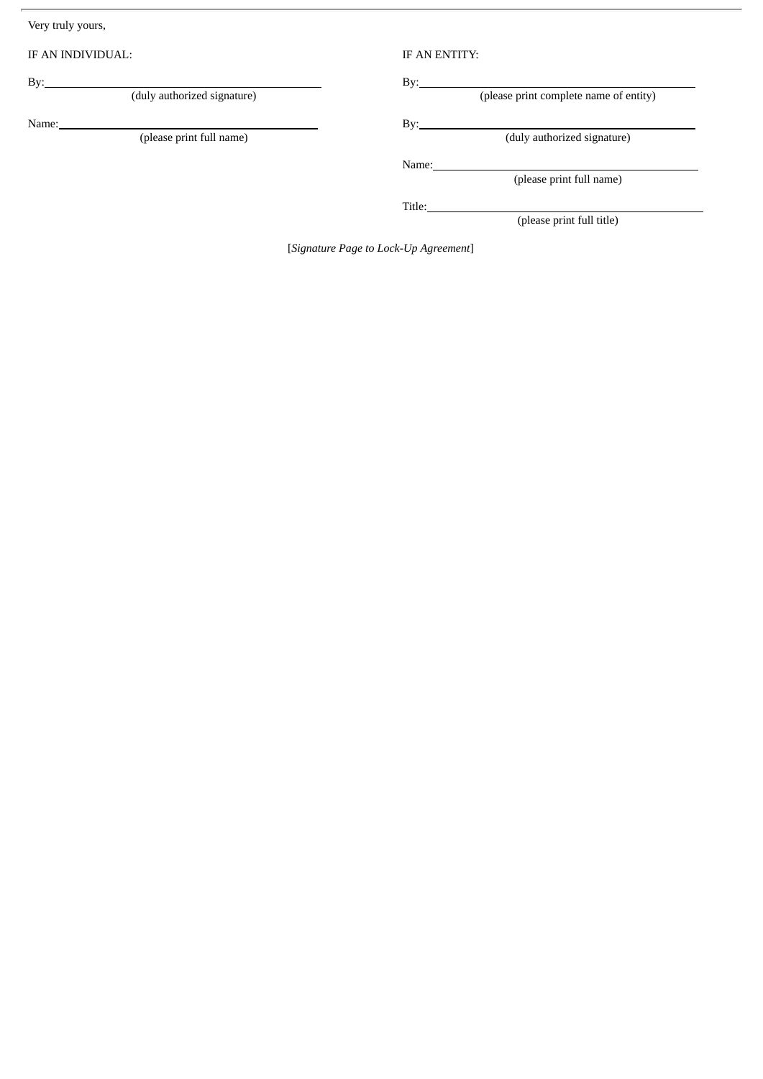Very truly yours,

IF AN INDIVIDUAL: IF AN ENTITY:

By: By:

Name: By:

(duly authorized signature) **EXECUS** By: EXECUS EXECUS (please print complete name of entity)

(duly authorized signature)

Name:

(please print full name)

Title:

(please print full title)

[*Signature Page to Lock-Up Agreement*]